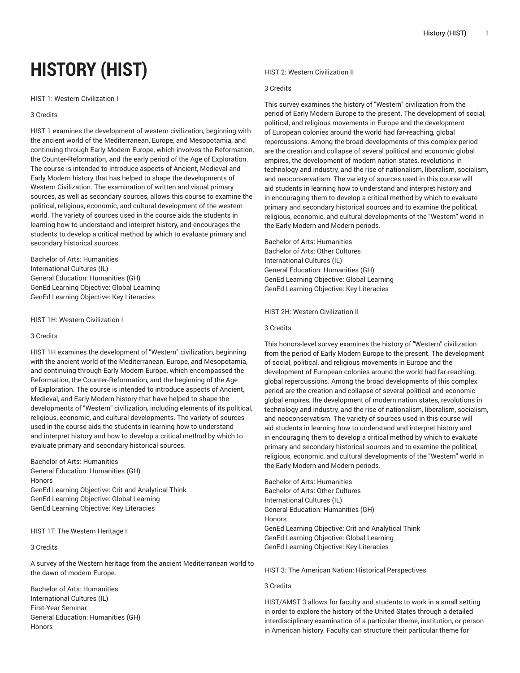# **HISTORY (HIST)**

## HIST 1: Western Civilization I

# 3 Credits

HIST 1 examines the development of western civilization, beginning with the ancient world of the Mediterranean, Europe, and Mesopotamia, and continuing through Early Modern Europe, which involves the Reformation, the Counter-Reformation, and the early period of the Age of Exploration. The course is intended to introduce aspects of Ancient, Medieval and Early Modern history that has helped to shape the developments of Western Civilization. The examination of written and visual primary sources, as well as secondary sources, allows this course to examine the political, religious, economic, and cultural development of the western world. The variety of sources used in the course aids the students in learning how to understand and interpret history, and encourages the students to develop a critical method by which to evaluate primary and secondary historical sources.

Bachelor of Arts: Humanities International Cultures (IL) General Education: Humanities (GH) GenEd Learning Objective: Global Learning GenEd Learning Objective: Key Literacies

HIST 1H: Western Civilization I

#### 3 Credits

HIST 1H examines the development of "Western" civilization, beginning with the ancient world of the Mediterranean, Europe, and Mesopotamia, and continuing through Early Modern Europe, which encompassed the Reformation, the Counter-Reformation, and the beginning of the Age of Exploration. The course is intended to introduce aspects of Ancient, Medieval, and Early Modern history that have helped to shape the developments of "Western" civilization, including elements of its political, religious, economic, and cultural developments. The variety of sources used in the course aids the students in learning how to understand and interpret history and how to develop a critical method by which to evaluate primary and secondary historical sources.

Bachelor of Arts: Humanities General Education: Humanities (GH) Honors GenEd Learning Objective: Crit and Analytical Think GenEd Learning Objective: Global Learning GenEd Learning Objective: Key Literacies

# HIST 1T: The Western Heritage I

# 3 Credits

A survey of the Western heritage from the ancient Mediterranean world to the dawn of modern Europe.

Bachelor of Arts: Humanities International Cultures (IL) First-Year Seminar General Education: Humanities (GH) **Honors** 

HIST 2: Western Civilization II

## 3 Credits

This survey examines the history of "Western" civilization from the period of Early Modern Europe to the present. The development of social, political, and religious movements in Europe and the development of European colonies around the world had far-reaching, global repercussions. Among the broad developments of this complex period are the creation and collapse of several political and economic global empires, the development of modern nation states, revolutions in technology and industry, and the rise of nationalism, liberalism, socialism, and neoconservatism. The variety of sources used in this course will aid students in learning how to understand and interpret history and in encouraging them to develop a critical method by which to evaluate primary and secondary historical sources and to examine the political, religious, economic, and cultural developments of the "Western" world in the Early Modern and Modern periods.

Bachelor of Arts: Humanities Bachelor of Arts: Other Cultures International Cultures (IL) General Education: Humanities (GH) GenEd Learning Objective: Global Learning GenEd Learning Objective: Key Literacies

HIST 2H: Western Civilization II

# 3 Credits

This honors-level survey examines the history of "Western" civilization from the period of Early Modern Europe to the present. The development of social, political, and religious movements in Europe and the development of European colonies around the world had far-reaching, global repercussions. Among the broad developments of this complex period are the creation and collapse of several political and economic global empires, the development of modern nation states, revolutions in technology and industry, and the rise of nationalism, liberalism, socialism, and neoconservatism. The variety of sources used in this course will aid students in learning how to understand and interpret history and in encouraging them to develop a critical method by which to evaluate primary and secondary historical sources and to examine the political, religious, economic, and cultural developments of the "Western" world in the Early Modern and Modern periods.

Bachelor of Arts: Humanities Bachelor of Arts: Other Cultures International Cultures (IL) General Education: Humanities (GH) **Honors** GenEd Learning Objective: Crit and Analytical Think GenEd Learning Objective: Global Learning GenEd Learning Objective: Key Literacies

HIST 3: The American Nation: Historical Perspectives

#### 3 Credits

HIST/AMST 3 allows for faculty and students to work in a small setting in order to explore the history of the United States through a detailed interdisciplinary examination of a particular theme, institution, or person in American history. Faculty can structure their particular theme for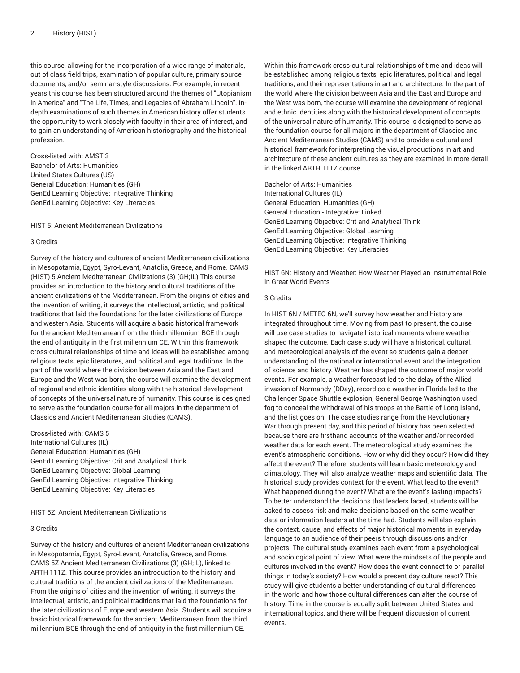this course, allowing for the incorporation of a wide range of materials, out of class field trips, examination of popular culture, primary source documents, and/or seminar-style discussions. For example, in recent years this course has been structured around the themes of "Utopianism in America" and "The Life, Times, and Legacies of Abraham Lincoln". Indepth examinations of such themes in American history offer students the opportunity to work closely with faculty in their area of interest, and to gain an understanding of American historiography and the historical profession.

Cross-listed with: AMST 3 Bachelor of Arts: Humanities United States Cultures (US) General Education: Humanities (GH) GenEd Learning Objective: Integrative Thinking GenEd Learning Objective: Key Literacies

HIST 5: Ancient Mediterranean Civilizations

## 3 Credits

Survey of the history and cultures of ancient Mediterranean civilizations in Mesopotamia, Egypt, Syro-Levant, Anatolia, Greece, and Rome. CAMS (HIST) 5 Ancient Mediterranean Civilizations (3) (GH;IL) This course provides an introduction to the history and cultural traditions of the ancient civilizations of the Mediterranean. From the origins of cities and the invention of writing, it surveys the intellectual, artistic, and political traditions that laid the foundations for the later civilizations of Europe and western Asia. Students will acquire a basic historical framework for the ancient Mediterranean from the third millennium BCE through the end of antiquity in the first millennium CE. Within this framework cross-cultural relationships of time and ideas will be established among religious texts, epic literatures, and political and legal traditions. In the part of the world where the division between Asia and the East and Europe and the West was born, the course will examine the development of regional and ethnic identities along with the historical development of concepts of the universal nature of humanity. This course is designed to serve as the foundation course for all majors in the department of Classics and Ancient Mediterranean Studies (CAMS).

Cross-listed with: CAMS 5 International Cultures (IL) General Education: Humanities (GH) GenEd Learning Objective: Crit and Analytical Think GenEd Learning Objective: Global Learning GenEd Learning Objective: Integrative Thinking GenEd Learning Objective: Key Literacies

HIST 5Z: Ancient Mediterranean Civilizations

## 3 Credits

Survey of the history and cultures of ancient Mediterranean civilizations in Mesopotamia, Egypt, Syro-Levant, Anatolia, Greece, and Rome. CAMS 5Z Ancient Mediterranean Civilizations (3) (GH;IL), linked to ARTH 111Z. This course provides an introduction to the history and cultural traditions of the ancient civilizations of the Mediterranean. From the origins of cities and the invention of writing, it surveys the intellectual, artistic, and political traditions that laid the foundations for the later civilizations of Europe and western Asia. Students will acquire a basic historical framework for the ancient Mediterranean from the third millennium BCE through the end of antiquity in the first millennium CE.

Within this framework cross-cultural relationships of time and ideas will be established among religious texts, epic literatures, political and legal traditions, and their representations in art and architecture. In the part of the world where the division between Asia and the East and Europe and the West was born, the course will examine the development of regional and ethnic identities along with the historical development of concepts of the universal nature of humanity. This course is designed to serve as the foundation course for all majors in the department of Classics and Ancient Mediterranean Studies (CAMS) and to provide a cultural and historical framework for interpreting the visual productions in art and architecture of these ancient cultures as they are examined in more detail in the linked ARTH 111Z course.

Bachelor of Arts: Humanities International Cultures (IL) General Education: Humanities (GH) General Education - Integrative: Linked GenEd Learning Objective: Crit and Analytical Think GenEd Learning Objective: Global Learning GenEd Learning Objective: Integrative Thinking GenEd Learning Objective: Key Literacies

HIST 6N: History and Weather: How Weather Played an Instrumental Role in Great World Events

## 3 Credits

In HIST 6N / METEO 6N, we'll survey how weather and history are integrated throughout time. Moving from past to present, the course will use case studies to navigate historical moments where weather shaped the outcome. Each case study will have a historical, cultural, and meteorological analysis of the event so students gain a deeper understanding of the national or international event and the integration of science and history. Weather has shaped the outcome of major world events. For example, a weather forecast led to the delay of the Allied invasion of Normandy (DDay), record cold weather in Florida led to the Challenger Space Shuttle explosion, General George Washington used fog to conceal the withdrawal of his troops at the Battle of Long Island, and the list goes on. The case studies range from the Revolutionary War through present day, and this period of history has been selected because there are firsthand accounts of the weather and/or recorded weather data for each event. The meteorological study examines the event's atmospheric conditions. How or why did they occur? How did they affect the event? Therefore, students will learn basic meteorology and climatology. They will also analyze weather maps and scientific data. The historical study provides context for the event. What lead to the event? What happened during the event? What are the event's lasting impacts? To better understand the decisions that leaders faced, students will be asked to assess risk and make decisions based on the same weather data or information leaders at the time had. Students will also explain the context, cause, and effects of major historical moments in everyday language to an audience of their peers through discussions and/or projects. The cultural study examines each event from a psychological and sociological point of view. What were the mindsets of the people and cultures involved in the event? How does the event connect to or parallel things in today's society? How would a present day culture react? This study will give students a better understanding of cultural differences in the world and how those cultural differences can alter the course of history. Time in the course is equally split between United States and international topics, and there will be frequent discussion of current events.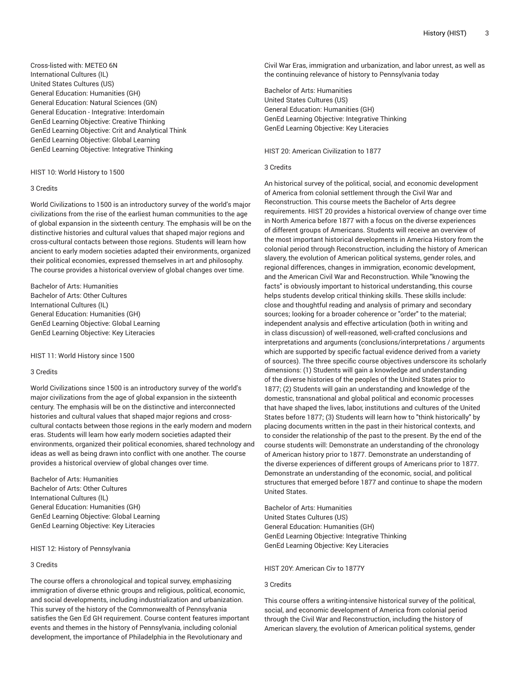Cross-listed with: METEO 6N International Cultures (IL) United States Cultures (US) General Education: Humanities (GH) General Education: Natural Sciences (GN) General Education - Integrative: Interdomain GenEd Learning Objective: Creative Thinking GenEd Learning Objective: Crit and Analytical Think GenEd Learning Objective: Global Learning GenEd Learning Objective: Integrative Thinking

#### HIST 10: World History to 1500

#### 3 Credits

World Civilizations to 1500 is an introductory survey of the world's major civilizations from the rise of the earliest human communities to the age of global expansion in the sixteenth century. The emphasis will be on the distinctive histories and cultural values that shaped major regions and cross-cultural contacts between those regions. Students will learn how ancient to early modern societies adapted their environments, organized their political economies, expressed themselves in art and philosophy. The course provides a historical overview of global changes over time.

Bachelor of Arts: Humanities Bachelor of Arts: Other Cultures International Cultures (IL) General Education: Humanities (GH) GenEd Learning Objective: Global Learning GenEd Learning Objective: Key Literacies

HIST 11: World History since 1500

## 3 Credits

World Civilizations since 1500 is an introductory survey of the world's major civilizations from the age of global expansion in the sixteenth century. The emphasis will be on the distinctive and interconnected histories and cultural values that shaped major regions and crosscultural contacts between those regions in the early modern and modern eras. Students will learn how early modern societies adapted their environments, organized their political economies, shared technology and ideas as well as being drawn into conflict with one another. The course provides a historical overview of global changes over time.

Bachelor of Arts: Humanities Bachelor of Arts: Other Cultures International Cultures (IL) General Education: Humanities (GH) GenEd Learning Objective: Global Learning GenEd Learning Objective: Key Literacies

#### HIST 12: History of Pennsylvania

#### 3 Credits

The course offers a chronological and topical survey, emphasizing immigration of diverse ethnic groups and religious, political, economic, and social developments, including industrialization and urbanization. This survey of the history of the Commonwealth of Pennsylvania satisfies the Gen Ed GH requirement. Course content features important events and themes in the history of Pennsylvania, including colonial development, the importance of Philadelphia in the Revolutionary and

Civil War Eras, immigration and urbanization, and labor unrest, as well as the continuing relevance of history to Pennsylvania today

Bachelor of Arts: Humanities United States Cultures (US) General Education: Humanities (GH) GenEd Learning Objective: Integrative Thinking GenEd Learning Objective: Key Literacies

## HIST 20: American Civilization to 1877

# 3 Credits

An historical survey of the political, social, and economic development of America from colonial settlement through the Civil War and Reconstruction. This course meets the Bachelor of Arts degree requirements. HIST 20 provides a historical overview of change over time in North America before 1877 with a focus on the diverse experiences of different groups of Americans. Students will receive an overview of the most important historical developments in America History from the colonial period through Reconstruction, including the history of American slavery, the evolution of American political systems, gender roles, and regional differences, changes in immigration, economic development, and the American Civil War and Reconstruction. While "knowing the facts" is obviously important to historical understanding, this course helps students develop critical thinking skills. These skills include: close and thoughtful reading and analysis of primary and secondary sources; looking for a broader coherence or "order" to the material; independent analysis and effective articulation (both in writing and in class discussion) of well-reasoned, well-crafted conclusions and interpretations and arguments (conclusions/interpretations / arguments which are supported by specific factual evidence derived from a variety of sources). The three specific course objectives underscore its scholarly dimensions: (1) Students will gain a knowledge and understanding of the diverse histories of the peoples of the United States prior to 1877; (2) Students will gain an understanding and knowledge of the domestic, transnational and global political and economic processes that have shaped the lives, labor, institutions and cultures of the United States before 1877; (3) Students will learn how to "think historically" by placing documents written in the past in their historical contexts, and to consider the relationship of the past to the present. By the end of the course students will: Demonstrate an understanding of the chronology of American history prior to 1877. Demonstrate an understanding of the diverse experiences of different groups of Americans prior to 1877. Demonstrate an understanding of the economic, social, and political structures that emerged before 1877 and continue to shape the modern United States.

Bachelor of Arts: Humanities United States Cultures (US) General Education: Humanities (GH) GenEd Learning Objective: Integrative Thinking GenEd Learning Objective: Key Literacies

# HIST 20Y: American Civ to 1877Y

# 3 Credits

This course offers a writing-intensive historical survey of the political, social, and economic development of America from colonial period through the Civil War and Reconstruction, including the history of American slavery, the evolution of American political systems, gender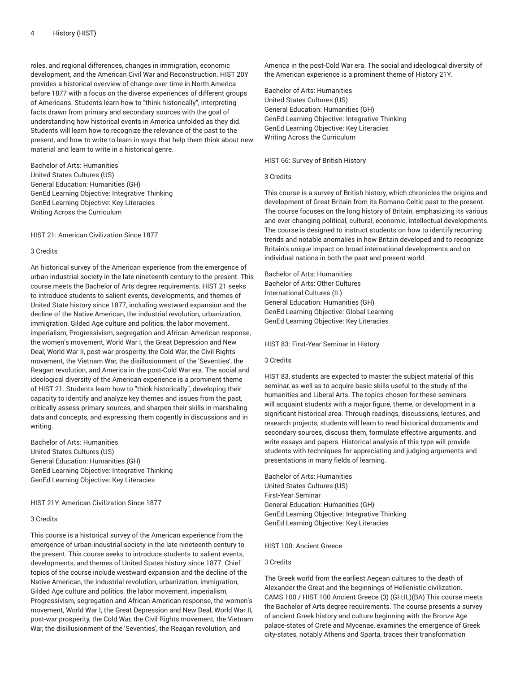roles, and regional differences, changes in immigration, economic development, and the American Civil War and Reconstruction. HIST 20Y provides a historical overview of change over time in North America before 1877 with a focus on the diverse experiences of different groups of Americans. Students learn how to "think historically", interpreting facts drawn from primary and secondary sources with the goal of understanding how historical events in America unfolded as they did. Students will learn how to recognize the relevance of the past to the present, and how to write to learn in ways that help them think about new material and learn to write in a historical genre.

Bachelor of Arts: Humanities United States Cultures (US) General Education: Humanities (GH) GenEd Learning Objective: Integrative Thinking GenEd Learning Objective: Key Literacies Writing Across the Curriculum

HIST 21: American Civilization Since 1877

## 3 Credits

An historical survey of the American experience from the emergence of urban-industrial society in the late nineteenth century to the present. This course meets the Bachelor of Arts degree requirements. HIST 21 seeks to introduce students to salient events, developments, and themes of United State history since 1877, including westward expansion and the decline of the Native American, the industrial revolution, urbanization, immigration, Gilded Age culture and politics, the labor movement, imperialism, Progressivism, segregation and African-American response, the women's movement, World War I, the Great Depression and New Deal, World War II, post-war prosperity, the Cold War, the Civil Rights movement, the Vietnam War, the disillusionment of the 'Seventies', the Reagan revolution, and America in the post-Cold War era. The social and ideological diversity of the American experience is a prominent theme of HIST 21. Students learn how to "think historically", developing their capacity to identify and analyze key themes and issues from the past, critically assess primary sources, and sharpen their skills in marshaling data and concepts, and expressing them cogently in discussions and in writing.

Bachelor of Arts: Humanities United States Cultures (US) General Education: Humanities (GH) GenEd Learning Objective: Integrative Thinking GenEd Learning Objective: Key Literacies

HIST 21Y: American Civilization Since 1877

## 3 Credits

This course is a historical survey of the American experience from the emergence of urban-industrial society in the late nineteenth century to the present. This course seeks to introduce students to salient events, developments, and themes of United States history since 1877. Chief topics of the course include westward expansion and the decline of the Native American, the industrial revolution, urbanization, immigration, Gilded Age culture and politics, the labor movement, imperialism, Progressivism, segregation and African-American response, the women's movement, World War I, the Great Depression and New Deal, World War II, post-war prosperity, the Cold War, the Civil Rights movement, the Vietnam War, the disillusionment of the 'Seventies', the Reagan revolution, and

America in the post-Cold War era. The social and ideological diversity of the American experience is a prominent theme of History 21Y.

Bachelor of Arts: Humanities United States Cultures (US) General Education: Humanities (GH) GenEd Learning Objective: Integrative Thinking GenEd Learning Objective: Key Literacies Writing Across the Curriculum

#### HIST 66: Survey of British History

#### 3 Credits

This course is a survey of British history, which chronicles the origins and development of Great Britain from its Romano-Celtic past to the present. The course focuses on the long history of Britain, emphasizing its various and ever-changing political, cultural, economic, intellectual developments. The course is designed to instruct students on how to identify recurring trends and notable anomalies in how Britain developed and to recognize Britain's unique impact on broad international developments and on individual nations in both the past and present world.

Bachelor of Arts: Humanities Bachelor of Arts: Other Cultures International Cultures (IL) General Education: Humanities (GH) GenEd Learning Objective: Global Learning GenEd Learning Objective: Key Literacies

#### HIST 83: First-Year Seminar in History

#### 3 Credits

HIST 83, students are expected to master the subject material of this seminar, as well as to acquire basic skills useful to the study of the humanities and Liberal Arts. The topics chosen for these seminars will acquaint students with a major figure, theme, or development in a significant historical area. Through readings, discussions, lectures, and research projects, students will learn to read historical documents and secondary sources, discuss them, formulate effective arguments, and write essays and papers. Historical analysis of this type will provide students with techniques for appreciating and judging arguments and presentations in many fields of learning.

Bachelor of Arts: Humanities United States Cultures (US) First-Year Seminar General Education: Humanities (GH) GenEd Learning Objective: Integrative Thinking GenEd Learning Objective: Key Literacies

## HIST 100: Ancient Greece

## 3 Credits

The Greek world from the earliest Aegean cultures to the death of Alexander the Great and the beginnings of Hellenistic civilization. CAMS 100 / HIST 100 Ancient Greece (3) (GH;IL)(BA) This course meets the Bachelor of Arts degree requirements. The course presents a survey of ancient Greek history and culture beginning with the Bronze Age palace-states of Crete and Mycenae, examines the emergence of Greek city-states, notably Athens and Sparta, traces their transformation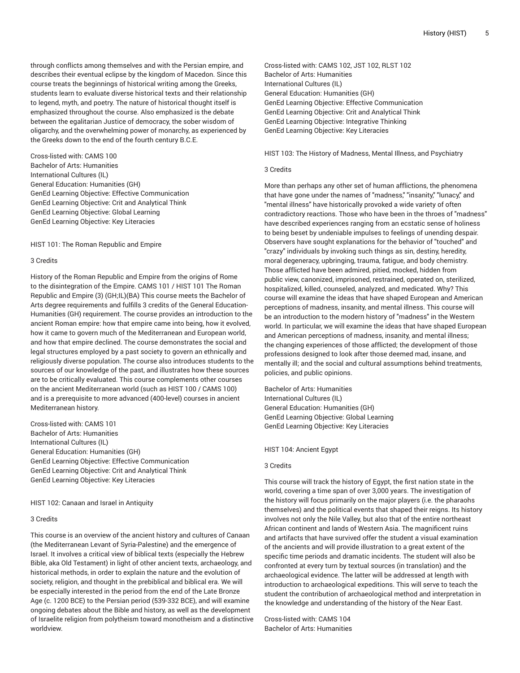through conflicts among themselves and with the Persian empire, and describes their eventual eclipse by the kingdom of Macedon. Since this course treats the beginnings of historical writing among the Greeks, students learn to evaluate diverse historical texts and their relationship to legend, myth, and poetry. The nature of historical thought itself is emphasized throughout the course. Also emphasized is the debate between the egalitarian Justice of democracy, the sober wisdom of oligarchy, and the overwhelming power of monarchy, as experienced by the Greeks down to the end of the fourth century B.C.E.

Cross-listed with: CAMS 100 Bachelor of Arts: Humanities International Cultures (IL) General Education: Humanities (GH) GenEd Learning Objective: Effective Communication GenEd Learning Objective: Crit and Analytical Think GenEd Learning Objective: Global Learning GenEd Learning Objective: Key Literacies

HIST 101: The Roman Republic and Empire

## 3 Credits

History of the Roman Republic and Empire from the origins of Rome to the disintegration of the Empire. CAMS 101 / HIST 101 The Roman Republic and Empire (3) (GH;IL)(BA) This course meets the Bachelor of Arts degree requirements and fulfills 3 credits of the General Education-Humanities (GH) requirement. The course provides an introduction to the ancient Roman empire: how that empire came into being, how it evolved, how it came to govern much of the Mediterranean and European world, and how that empire declined. The course demonstrates the social and legal structures employed by a past society to govern an ethnically and religiously diverse population. The course also introduces students to the sources of our knowledge of the past, and illustrates how these sources are to be critically evaluated. This course complements other courses on the ancient Mediterranean world (such as HIST 100 / CAMS 100) and is a prerequisite to more advanced (400-level) courses in ancient Mediterranean history.

Cross-listed with: CAMS 101 Bachelor of Arts: Humanities International Cultures (IL) General Education: Humanities (GH) GenEd Learning Objective: Effective Communication GenEd Learning Objective: Crit and Analytical Think GenEd Learning Objective: Key Literacies

#### HIST 102: Canaan and Israel in Antiquity

## 3 Credits

This course is an overview of the ancient history and cultures of Canaan (the Mediterranean Levant of Syria-Palestine) and the emergence of Israel. It involves a critical view of biblical texts (especially the Hebrew Bible, aka Old Testament) in light of other ancient texts, archaeology, and historical methods, in order to explain the nature and the evolution of society, religion, and thought in the prebiblical and biblical era. We will be especially interested in the period from the end of the Late Bronze Age (c. 1200 BCE) to the Persian period (539-332 BCE), and will examine ongoing debates about the Bible and history, as well as the development of Israelite religion from polytheism toward monotheism and a distinctive worldview.

Cross-listed with: CAMS 102, JST 102, RLST 102 Bachelor of Arts: Humanities International Cultures (IL) General Education: Humanities (GH) GenEd Learning Objective: Effective Communication GenEd Learning Objective: Crit and Analytical Think GenEd Learning Objective: Integrative Thinking GenEd Learning Objective: Key Literacies

#### HIST 103: The History of Madness, Mental Illness, and Psychiatry

#### 3 Credits

More than perhaps any other set of human afflictions, the phenomena that have gone under the names of "madness," "insanity," "lunacy," and "mental illness" have historically provoked a wide variety of often contradictory reactions. Those who have been in the throes of "madness" have described experiences ranging from an ecstatic sense of holiness to being beset by undeniable impulses to feelings of unending despair. Observers have sought explanations for the behavior of "touched" and "crazy" individuals by invoking such things as sin, destiny, heredity, moral degeneracy, upbringing, trauma, fatigue, and body chemistry. Those afflicted have been admired, pitied, mocked, hidden from public view, canonized, imprisoned, restrained, operated on, sterilized, hospitalized, killed, counseled, analyzed, and medicated. Why? This course will examine the ideas that have shaped European and American perceptions of madness, insanity, and mental illness. This course will be an introduction to the modern history of "madness" in the Western world. In particular, we will examine the ideas that have shaped European and American perceptions of madness, insanity, and mental illness; the changing experiences of those afflicted; the development of those professions designed to look after those deemed mad, insane, and mentally ill; and the social and cultural assumptions behind treatments, policies, and public opinions.

Bachelor of Arts: Humanities International Cultures (IL) General Education: Humanities (GH) GenEd Learning Objective: Global Learning GenEd Learning Objective: Key Literacies

#### HIST 104: Ancient Egypt

## 3 Credits

This course will track the history of Egypt, the first nation state in the world, covering a time span of over 3,000 years. The investigation of the history will focus primarily on the major players (i.e. the pharaohs themselves) and the political events that shaped their reigns. Its history involves not only the Nile Valley, but also that of the entire northeast African continent and lands of Western Asia. The magnificent ruins and artifacts that have survived offer the student a visual examination of the ancients and will provide illustration to a great extent of the specific time periods and dramatic incidents. The student will also be confronted at every turn by textual sources (in translation) and the archaeological evidence. The latter will be addressed at length with introduction to archaeological expeditions. This will serve to teach the student the contribution of archaeological method and interpretation in the knowledge and understanding of the history of the Near East.

Cross-listed with: CAMS 104 Bachelor of Arts: Humanities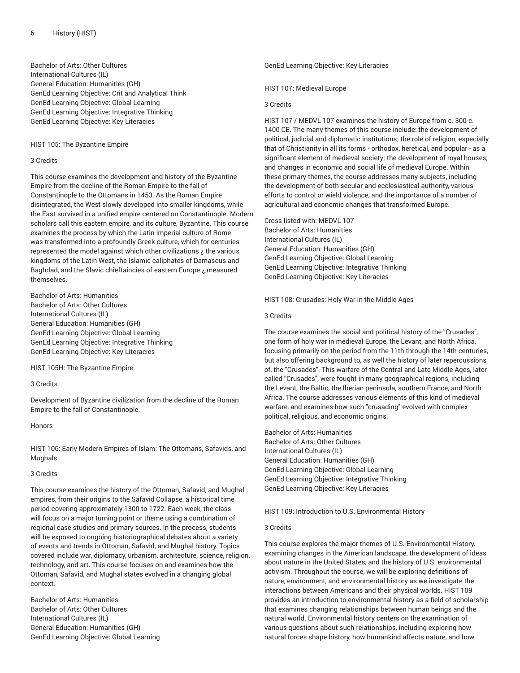Bachelor of Arts: Other Cultures International Cultures (IL) General Education: Humanities (GH) GenEd Learning Objective: Crit and Analytical Think GenEd Learning Objective: Global Learning GenEd Learning Objective: Integrative Thinking GenEd Learning Objective: Key Literacies

# HIST 105: The Byzantine Empire

## 3 Credits

This course examines the development and history of the Byzantine Empire from the decline of the Roman Empire to the fall of Constantinople to the Ottomans in 1453. As the Roman Empire disintegrated, the West slowly developed into smaller kingdoms, while the East survived in a unified empire centered on Constantinople. Modern scholars call this eastern empire, and its culture, Byzantine. This course examines the process by which the Latin imperial culture of Rome was transformed into a profoundly Greek culture, which for centuries represented the model against which other civilizations  $\lambda$  the various kingdoms of the Latin West, the Islamic caliphates of Damascus and Baghdad, and the Slavic chieftaincies of eastern Europe ¿ measured themselves

Bachelor of Arts: Humanities Bachelor of Arts: Other Cultures International Cultures (IL) General Education: Humanities (GH) GenEd Learning Objective: Global Learning GenEd Learning Objective: Integrative Thinking GenEd Learning Objective: Key Literacies

HIST 105H: The Byzantine Empire

# 3 Credits

Development of Byzantine civilization from the decline of the Roman Empire to the fall of Constantinople.

Honors

HIST 106: Early Modern Empires of Islam: The Ottomans, Safavids, and Mughals

## 3 Credits

This course examines the history of the Ottoman, Safavid, and Mughal empires, from their origins to the Safavid Collapse, a historical time period covering approximately 1300 to 1722. Each week, the class will focus on a major turning point or theme using a combination of regional case studies and primary sources. In the process, students will be exposed to ongoing historiographical debates about a variety of events and trends in Ottoman, Safavid, and Mughal history. Topics covered include war, diplomacy, urbanism, architecture, science, religion, technology, and art. This course focuses on and examines how the Ottoman, Safavid, and Mughal states evolved in a changing global context.

Bachelor of Arts: Humanities Bachelor of Arts: Other Cultures International Cultures (IL) General Education: Humanities (GH) GenEd Learning Objective: Global Learning GenEd Learning Objective: Key Literacies

HIST 107: Medieval Europe

## 3 Credits

HIST 107 / MEDVL 107 examines the history of Europe from c. 300-c. 1400 CE. The many themes of this course include: the development of political, judicial and diplomatic institutions; the role of religion, especially that of Christianity in all its forms - orthodox, heretical, and popular - as a significant element of medieval society; the development of royal houses; and changes in economic and social life of medieval Europe. Within these primary themes, the course addresses many subjects, including the development of both secular and ecclesiastical authority, various efforts to control or wield violence, and the importance of a number of agricultural and economic changes that transformed Europe.

Cross-listed with: MEDVL 107 Bachelor of Arts: Humanities International Cultures (IL) General Education: Humanities (GH) GenEd Learning Objective: Global Learning GenEd Learning Objective: Integrative Thinking GenEd Learning Objective: Key Literacies

HIST 108: Crusades: Holy War in the Middle Ages

#### 3 Credits

The course examines the social and political history of the "Crusades", one form of holy war in medieval Europe, the Levant, and North Africa, focusing primarily on the period from the 11th through the 14th centuries, but also offering background to, as well the history of later repercussions of, the "Crusades". This warfare of the Central and Late Middle Ages, later called "Crusades", were fought in many geographical regions, including the Levant, the Baltic, the Iberian peninsula, southern France, and North Africa. The course addresses various elements of this kind of medieval warfare, and examines how such "crusading" evolved with complex political, religious, and economic origins.

Bachelor of Arts: Humanities Bachelor of Arts: Other Cultures International Cultures (IL) General Education: Humanities (GH) GenEd Learning Objective: Global Learning GenEd Learning Objective: Integrative Thinking GenEd Learning Objective: Key Literacies

HIST 109: Introduction to U.S. Environmental History

## 3 Credits

This course explores the major themes of U.S. Environmental History, examining changes in the American landscape, the development of ideas about nature in the United States, and the history of U.S. environmental activism. Throughout the course, we will be exploring definitions of nature, environment, and environmental history as we investigate the interactions between Americans and their physical worlds. HIST 109 provides an introduction to environmental history as a field of scholarship that examines changing relationships between human beings and the natural world. Environmental history centers on the examination of various questions about such relationships, including exploring how natural forces shape history, how humankind affects nature, and how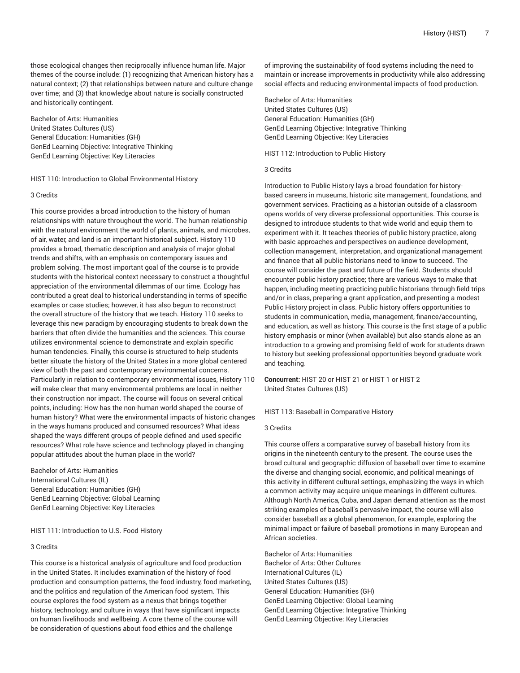those ecological changes then reciprocally influence human life. Major themes of the course include: (1) recognizing that American history has a natural context; (2) that relationships between nature and culture change over time; and (3) that knowledge about nature is socially constructed and historically contingent.

Bachelor of Arts: Humanities United States Cultures (US) General Education: Humanities (GH) GenEd Learning Objective: Integrative Thinking GenEd Learning Objective: Key Literacies

HIST 110: Introduction to Global Environmental History

## 3 Credits

This course provides a broad introduction to the history of human relationships with nature throughout the world. The human relationship with the natural environment the world of plants, animals, and microbes, of air, water, and land is an important historical subject. History 110 provides a broad, thematic description and analysis of major global trends and shifts, with an emphasis on contemporary issues and problem solving. The most important goal of the course is to provide students with the historical context necessary to construct a thoughtful appreciation of the environmental dilemmas of our time. Ecology has contributed a great deal to historical understanding in terms of specific examples or case studies; however, it has also begun to reconstruct the overall structure of the history that we teach. History 110 seeks to leverage this new paradigm by encouraging students to break down the barriers that often divide the humanities and the sciences. This course utilizes environmental science to demonstrate and explain specific human tendencies. Finally, this course is structured to help students better situate the history of the United States in a more global centered view of both the past and contemporary environmental concerns. Particularly in relation to contemporary environmental issues, History 110 will make clear that many environmental problems are local in neither their construction nor impact. The course will focus on several critical points, including: How has the non-human world shaped the course of human history? What were the environmental impacts of historic changes in the ways humans produced and consumed resources? What ideas shaped the ways different groups of people defined and used specific resources? What role have science and technology played in changing popular attitudes about the human place in the world?

Bachelor of Arts: Humanities International Cultures (IL) General Education: Humanities (GH) GenEd Learning Objective: Global Learning GenEd Learning Objective: Key Literacies

HIST 111: Introduction to U.S. Food History

## 3 Credits

This course is a historical analysis of agriculture and food production in the United States. It includes examination of the history of food production and consumption patterns, the food industry, food marketing, and the politics and regulation of the American food system. This course explores the food system as a nexus that brings together history, technology, and culture in ways that have significant impacts on human livelihoods and wellbeing. A core theme of the course will be consideration of questions about food ethics and the challenge

of improving the sustainability of food systems including the need to maintain or increase improvements in productivity while also addressing social effects and reducing environmental impacts of food production.

Bachelor of Arts: Humanities United States Cultures (US) General Education: Humanities (GH) GenEd Learning Objective: Integrative Thinking GenEd Learning Objective: Key Literacies

HIST 112: Introduction to Public History

#### 3 Credits

Introduction to Public History lays a broad foundation for historybased careers in museums, historic site management, foundations, and government services. Practicing as a historian outside of a classroom opens worlds of very diverse professional opportunities. This course is designed to introduce students to that wide world and equip them to experiment with it. It teaches theories of public history practice, along with basic approaches and perspectives on audience development, collection management, interpretation, and organizational management and finance that all public historians need to know to succeed. The course will consider the past and future of the field. Students should encounter public history practice; there are various ways to make that happen, including meeting practicing public historians through field trips and/or in class, preparing a grant application, and presenting a modest Public History project in class. Public history offers opportunities to students in communication, media, management, finance/accounting, and education, as well as history. This course is the first stage of a public history emphasis or minor (when available) but also stands alone as an introduction to a growing and promising field of work for students drawn to history but seeking professional opportunities beyond graduate work and teaching.

**Concurrent:** HIST 20 or HIST 21 or HIST 1 or HIST 2 United States Cultures (US)

HIST 113: Baseball in Comparative History

#### 3 Credits

This course offers a comparative survey of baseball history from its origins in the nineteenth century to the present. The course uses the broad cultural and geographic diffusion of baseball over time to examine the diverse and changing social, economic, and political meanings of this activity in different cultural settings, emphasizing the ways in which a common activity may acquire unique meanings in different cultures. Although North America, Cuba, and Japan demand attention as the most striking examples of baseball's pervasive impact, the course will also consider baseball as a global phenomenon, for example, exploring the minimal impact or failure of baseball promotions in many European and African societies.

Bachelor of Arts: Humanities Bachelor of Arts: Other Cultures International Cultures (IL) United States Cultures (US) General Education: Humanities (GH) GenEd Learning Objective: Global Learning GenEd Learning Objective: Integrative Thinking GenEd Learning Objective: Key Literacies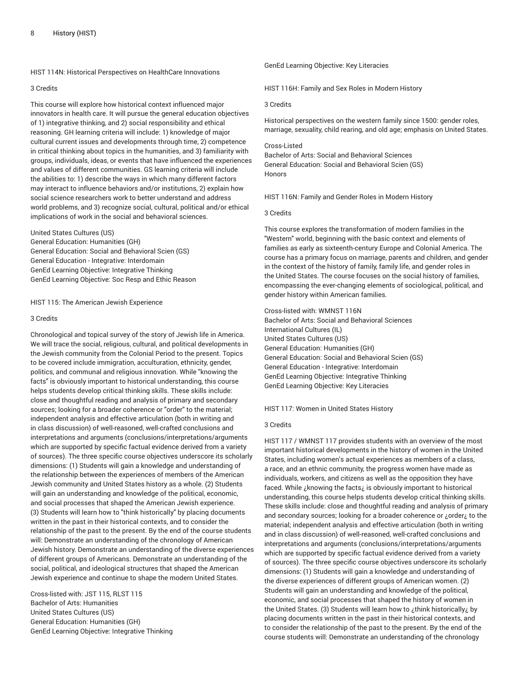HIST 114N: Historical Perspectives on HealthCare Innovations

#### 3 Credits

This course will explore how historical context influenced major innovators in health care. It will pursue the general education objectives of 1) integrative thinking, and 2) social responsibility and ethical reasoning. GH learning criteria will include: 1) knowledge of major cultural current issues and developments through time, 2) competence in critical thinking about topics in the humanities, and 3) familiarity with groups, individuals, ideas, or events that have influenced the experiences and values of different communities. GS learning criteria will include the abilities to: 1) describe the ways in which many different factors may interact to influence behaviors and/or institutions, 2) explain how social science researchers work to better understand and address world problems, and 3) recognize social, cultural, political and/or ethical implications of work in the social and behavioral sciences.

United States Cultures (US)

General Education: Humanities (GH) General Education: Social and Behavioral Scien (GS) General Education - Integrative: Interdomain GenEd Learning Objective: Integrative Thinking GenEd Learning Objective: Soc Resp and Ethic Reason

#### HIST 115: The American Jewish Experience

#### 3 Credits

Chronological and topical survey of the story of Jewish life in America. We will trace the social, religious, cultural, and political developments in the Jewish community from the Colonial Period to the present. Topics to be covered include immigration, acculturation, ethnicity, gender, politics, and communal and religious innovation. While "knowing the facts" is obviously important to historical understanding, this course helps students develop critical thinking skills. These skills include: close and thoughtful reading and analysis of primary and secondary sources; looking for a broader coherence or "order" to the material; independent analysis and effective articulation (both in writing and in class discussion) of well-reasoned, well-crafted conclusions and interpretations and arguments (conclusions/interpretations/arguments which are supported by specific factual evidence derived from a variety of sources). The three specific course objectives underscore its scholarly dimensions: (1) Students will gain a knowledge and understanding of the relationship between the experiences of members of the American Jewish community and United States history as a whole. (2) Students will gain an understanding and knowledge of the political, economic, and social processes that shaped the American Jewish experience. (3) Students will learn how to "think historically" by placing documents written in the past in their historical contexts, and to consider the relationship of the past to the present. By the end of the course students will: Demonstrate an understanding of the chronology of American Jewish history. Demonstrate an understanding of the diverse experiences of different groups of Americans. Demonstrate an understanding of the social, political, and ideological structures that shaped the American Jewish experience and continue to shape the modern United States.

Cross-listed with: JST 115, RLST 115 Bachelor of Arts: Humanities United States Cultures (US) General Education: Humanities (GH) GenEd Learning Objective: Integrative Thinking GenEd Learning Objective: Key Literacies

HIST 116H: Family and Sex Roles in Modern History

#### 3 Credits

Historical perspectives on the western family since 1500: gender roles, marriage, sexuality, child rearing, and old age; emphasis on United States.

## Cross-Listed

Bachelor of Arts: Social and Behavioral Sciences General Education: Social and Behavioral Scien (GS) Honors

HIST 116N: Family and Gender Roles in Modern History

## 3 Credits

This course explores the transformation of modern families in the "Western" world, beginning with the basic context and elements of families as early as sixteenth-century Europe and Colonial America. The course has a primary focus on marriage, parents and children, and gender in the context of the history of family, family life, and gender roles in the United States. The course focuses on the social history of families, encompassing the ever-changing elements of sociological, political, and gender history within American families.

Cross-listed with: WMNST 116N Bachelor of Arts: Social and Behavioral Sciences International Cultures (IL) United States Cultures (US) General Education: Humanities (GH) General Education: Social and Behavioral Scien (GS) General Education - Integrative: Interdomain GenEd Learning Objective: Integrative Thinking GenEd Learning Objective: Key Literacies

HIST 117: Women in United States History

## 3 Credits

HIST 117 / WMNST 117 provides students with an overview of the most important historical developments in the history of women in the United States, including women's actual experiences as members of a class, a race, and an ethnic community, the progress women have made as individuals, workers, and citizens as well as the opposition they have faced. While ¿knowing the facts¿ is obviously important to historical understanding, this course helps students develop critical thinking skills. These skills include: close and thoughtful reading and analysis of primary and secondary sources; looking for a broader coherence or ¿order¿ to the material; independent analysis and effective articulation (both in writing and in class discussion) of well-reasoned, well-crafted conclusions and interpretations and arguments (conclusions/interpretations/arguments which are supported by specific factual evidence derived from a variety of sources). The three specific course objectives underscore its scholarly dimensions: (1) Students will gain a knowledge and understanding of the diverse experiences of different groups of American women. (2) Students will gain an understanding and knowledge of the political, economic, and social processes that shaped the history of women in the United States. (3) Students will learn how to ¿think historically¿ by placing documents written in the past in their historical contexts, and to consider the relationship of the past to the present. By the end of the course students will: Demonstrate an understanding of the chronology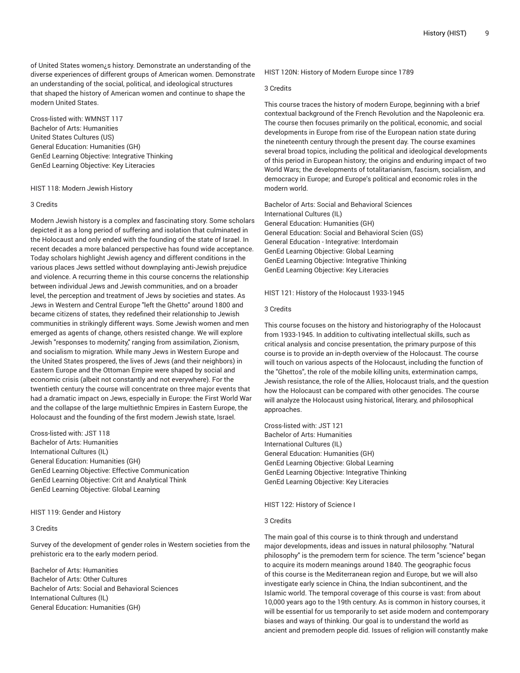of United States women¿s history. Demonstrate an understanding of the diverse experiences of different groups of American women. Demonstrate an understanding of the social, political, and ideological structures that shaped the history of American women and continue to shape the modern United States.

Cross-listed with: WMNST 117 Bachelor of Arts: Humanities United States Cultures (US) General Education: Humanities (GH) GenEd Learning Objective: Integrative Thinking GenEd Learning Objective: Key Literacies

## HIST 118: Modern Jewish History

## 3 Credits

Modern Jewish history is a complex and fascinating story. Some scholars depicted it as a long period of suffering and isolation that culminated in the Holocaust and only ended with the founding of the state of Israel. In recent decades a more balanced perspective has found wide acceptance. Today scholars highlight Jewish agency and different conditions in the various places Jews settled without downplaying anti-Jewish prejudice and violence. A recurring theme in this course concerns the relationship between individual Jews and Jewish communities, and on a broader level, the perception and treatment of Jews by societies and states. As Jews in Western and Central Europe "left the Ghetto" around 1800 and became citizens of states, they redefined their relationship to Jewish communities in strikingly different ways. Some Jewish women and men emerged as agents of change, others resisted change. We will explore Jewish "responses to modernity," ranging from assimilation, Zionism, and socialism to migration. While many Jews in Western Europe and the United States prospered, the lives of Jews (and their neighbors) in Eastern Europe and the Ottoman Empire were shaped by social and economic crisis (albeit not constantly and not everywhere). For the twentieth century the course will concentrate on three major events that had a dramatic impact on Jews, especially in Europe: the First World War and the collapse of the large multiethnic Empires in Eastern Europe, the Holocaust and the founding of the first modern Jewish state, Israel.

Cross-listed with: JST 118 Bachelor of Arts: Humanities International Cultures (IL) General Education: Humanities (GH) GenEd Learning Objective: Effective Communication GenEd Learning Objective: Crit and Analytical Think GenEd Learning Objective: Global Learning

HIST 119: Gender and History

## 3 Credits

Survey of the development of gender roles in Western societies from the prehistoric era to the early modern period.

Bachelor of Arts: Humanities Bachelor of Arts: Other Cultures Bachelor of Arts: Social and Behavioral Sciences International Cultures (IL) General Education: Humanities (GH)

HIST 120N: History of Modern Europe since 1789

## 3 Credits

This course traces the history of modern Europe, beginning with a brief contextual background of the French Revolution and the Napoleonic era. The course then focuses primarily on the political, economic, and social developments in Europe from rise of the European nation state during the nineteenth century through the present day. The course examines several broad topics, including the political and ideological developments of this period in European history; the origins and enduring impact of two World Wars; the developments of totalitarianism, fascism, socialism, and democracy in Europe; and Europe's political and economic roles in the modern world.

Bachelor of Arts: Social and Behavioral Sciences International Cultures (IL) General Education: Humanities (GH) General Education: Social and Behavioral Scien (GS) General Education - Integrative: Interdomain GenEd Learning Objective: Global Learning GenEd Learning Objective: Integrative Thinking GenEd Learning Objective: Key Literacies

HIST 121: History of the Holocaust 1933-1945

#### 3 Credits

This course focuses on the history and historiography of the Holocaust from 1933-1945. In addition to cultivating intellectual skills, such as critical analysis and concise presentation, the primary purpose of this course is to provide an in-depth overview of the Holocaust. The course will touch on various aspects of the Holocaust, including the function of the "Ghettos", the role of the mobile killing units, extermination camps, Jewish resistance, the role of the Allies, Holocaust trials, and the question how the Holocaust can be compared with other genocides. The course will analyze the Holocaust using historical, literary, and philosophical approaches.

Cross-listed with: JST 121 Bachelor of Arts: Humanities International Cultures (IL) General Education: Humanities (GH) GenEd Learning Objective: Global Learning GenEd Learning Objective: Integrative Thinking GenEd Learning Objective: Key Literacies

HIST 122: History of Science I

#### 3 Credits

The main goal of this course is to think through and understand major developments, ideas and issues in natural philosophy. "Natural philosophy" is the premodern term for science. The term "science" began to acquire its modern meanings around 1840. The geographic focus of this course is the Mediterranean region and Europe, but we will also investigate early science in China, the Indian subcontinent, and the Islamic world. The temporal coverage of this course is vast: from about 10,000 years ago to the 19th century. As is common in history courses, it will be essential for us temporarily to set aside modern and contemporary biases and ways of thinking. Our goal is to understand the world as ancient and premodern people did. Issues of religion will constantly make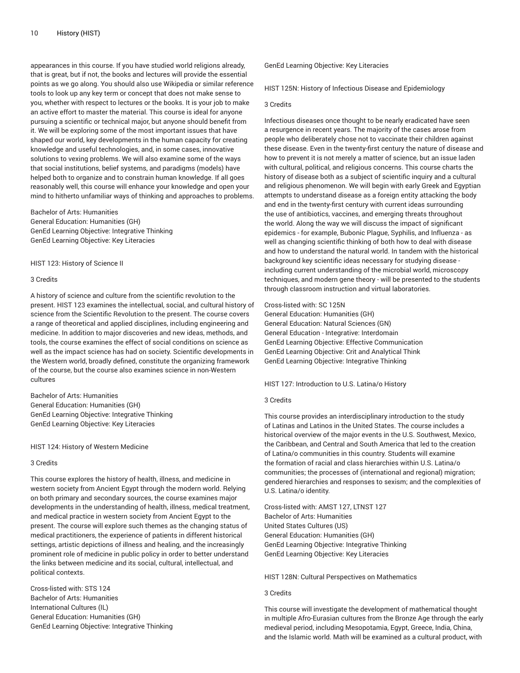appearances in this course. If you have studied world religions already, that is great, but if not, the books and lectures will provide the essential points as we go along. You should also use Wikipedia or similar reference tools to look up any key term or concept that does not make sense to you, whether with respect to lectures or the books. It is your job to make an active effort to master the material. This course is ideal for anyone pursuing a scientific or technical major, but anyone should benefit from it. We will be exploring some of the most important issues that have shaped our world, key developments in the human capacity for creating knowledge and useful technologies, and, in some cases, innovative solutions to vexing problems. We will also examine some of the ways that social institutions, belief systems, and paradigms (models) have helped both to organize and to constrain human knowledge. If all goes reasonably well, this course will enhance your knowledge and open your mind to hitherto unfamiliar ways of thinking and approaches to problems.

Bachelor of Arts: Humanities General Education: Humanities (GH) GenEd Learning Objective: Integrative Thinking GenEd Learning Objective: Key Literacies

HIST 123: History of Science II

## 3 Credits

A history of science and culture from the scientific revolution to the present. HIST 123 examines the intellectual, social, and cultural history of science from the Scientific Revolution to the present. The course covers a range of theoretical and applied disciplines, including engineering and medicine. In addition to major discoveries and new ideas, methods, and tools, the course examines the effect of social conditions on science as well as the impact science has had on society. Scientific developments in the Western world, broadly defined, constitute the organizing framework of the course, but the course also examines science in non-Western cultures

Bachelor of Arts: Humanities General Education: Humanities (GH) GenEd Learning Objective: Integrative Thinking GenEd Learning Objective: Key Literacies

HIST 124: History of Western Medicine

## 3 Credits

This course explores the history of health, illness, and medicine in western society from Ancient Egypt through the modern world. Relying on both primary and secondary sources, the course examines major developments in the understanding of health, illness, medical treatment, and medical practice in western society from Ancient Egypt to the present. The course will explore such themes as the changing status of medical practitioners, the experience of patients in different historical settings, artistic depictions of illness and healing, and the increasingly prominent role of medicine in public policy in order to better understand the links between medicine and its social, cultural, intellectual, and political contexts.

Cross-listed with: STS 124 Bachelor of Arts: Humanities International Cultures (IL) General Education: Humanities (GH) GenEd Learning Objective: Integrative Thinking GenEd Learning Objective: Key Literacies

HIST 125N: History of Infectious Disease and Epidemiology

## 3 Credits

Infectious diseases once thought to be nearly eradicated have seen a resurgence in recent years. The majority of the cases arose from people who deliberately chose not to vaccinate their children against these disease. Even in the twenty-first century the nature of disease and how to prevent it is not merely a matter of science, but an issue laden with cultural, political, and religious concerns. This course charts the history of disease both as a subject of scientific inquiry and a cultural and religious phenomenon. We will begin with early Greek and Egyptian attempts to understand disease as a foreign entity attacking the body and end in the twenty-first century with current ideas surrounding the use of antibiotics, vaccines, and emerging threats throughout the world. Along the way we will discuss the impact of significant epidemics - for example, Bubonic Plague, Syphilis, and Influenza - as well as changing scientific thinking of both how to deal with disease and how to understand the natural world. In tandem with the historical background key scientific ideas necessary for studying disease including current understanding of the microbial world, microscopy techniques, and modern gene theory - will be presented to the students through classroom instruction and virtual laboratories.

Cross-listed with: SC 125N

General Education: Humanities (GH) General Education: Natural Sciences (GN) General Education - Integrative: Interdomain GenEd Learning Objective: Effective Communication GenEd Learning Objective: Crit and Analytical Think GenEd Learning Objective: Integrative Thinking

HIST 127: Introduction to U.S. Latina/o History

# 3 Credits

This course provides an interdisciplinary introduction to the study of Latinas and Latinos in the United States. The course includes a historical overview of the major events in the U.S. Southwest, Mexico, the Caribbean, and Central and South America that led to the creation of Latina/o communities in this country. Students will examine the formation of racial and class hierarchies within U.S. Latina/o communities; the processes of (international and regional) migration; gendered hierarchies and responses to sexism; and the complexities of U.S. Latina/o identity.

Cross-listed with: AMST 127, LTNST 127 Bachelor of Arts: Humanities United States Cultures (US) General Education: Humanities (GH) GenEd Learning Objective: Integrative Thinking GenEd Learning Objective: Key Literacies

HIST 128N: Cultural Perspectives on Mathematics

## 3 Credits

This course will investigate the development of mathematical thought in multiple Afro-Eurasian cultures from the Bronze Age through the early medieval period, including Mesopotamia, Egypt, Greece, India, China, and the Islamic world. Math will be examined as a cultural product, with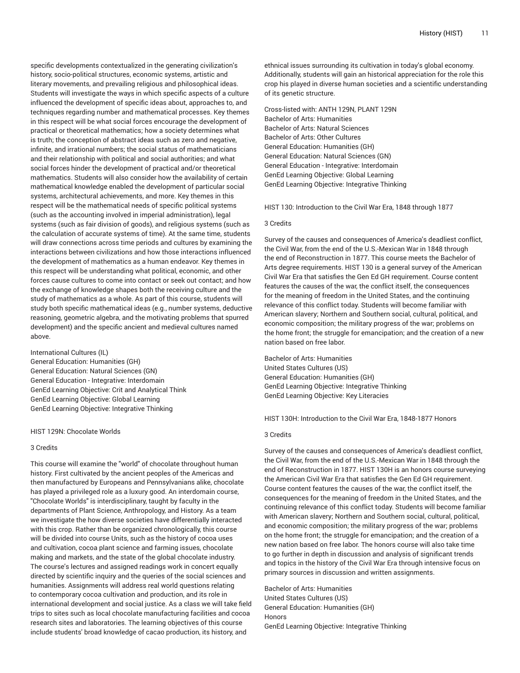specific developments contextualized in the generating civilization's history, socio-political structures, economic systems, artistic and literary movements, and prevailing religious and philosophical ideas. Students will investigate the ways in which specific aspects of a culture influenced the development of specific ideas about, approaches to, and techniques regarding number and mathematical processes. Key themes in this respect will be what social forces encourage the development of practical or theoretical mathematics; how a society determines what is truth; the conception of abstract ideas such as zero and negative, infinite, and irrational numbers; the social status of mathematicians and their relationship with political and social authorities; and what social forces hinder the development of practical and/or theoretical mathematics. Students will also consider how the availability of certain mathematical knowledge enabled the development of particular social systems, architectural achievements, and more. Key themes in this respect will be the mathematical needs of specific political systems (such as the accounting involved in imperial administration), legal systems (such as fair division of goods), and religious systems (such as the calculation of accurate systems of time). At the same time, students will draw connections across time periods and cultures by examining the interactions between civilizations and how those interactions influenced the development of mathematics as a human endeavor. Key themes in this respect will be understanding what political, economic, and other forces cause cultures to come into contact or seek out contact; and how the exchange of knowledge shapes both the receiving culture and the study of mathematics as a whole. As part of this course, students will study both specific mathematical ideas (e.g., number systems, deductive reasoning, geometric algebra, and the motivating problems that spurred development) and the specific ancient and medieval cultures named above.

International Cultures (IL)

General Education: Humanities (GH) General Education: Natural Sciences (GN) General Education - Integrative: Interdomain GenEd Learning Objective: Crit and Analytical Think GenEd Learning Objective: Global Learning GenEd Learning Objective: Integrative Thinking

HIST 129N: Chocolate Worlds

# 3 Credits

This course will examine the "world" of chocolate throughout human history. First cultivated by the ancient peoples of the Americas and then manufactured by Europeans and Pennsylvanians alike, chocolate has played a privileged role as a luxury good. An interdomain course, "Chocolate Worlds" is interdisciplinary, taught by faculty in the departments of Plant Science, Anthropology, and History. As a team we investigate the how diverse societies have differentially interacted with this crop. Rather than be organized chronologically, this course will be divided into course Units, such as the history of cocoa uses and cultivation, cocoa plant science and farming issues, chocolate making and markets, and the state of the global chocolate industry. The course's lectures and assigned readings work in concert equally directed by scientific inquiry and the queries of the social sciences and humanities. Assignments will address real world questions relating to contemporary cocoa cultivation and production, and its role in international development and social justice. As a class we will take field trips to sites such as local chocolate manufacturing facilities and cocoa research sites and laboratories. The learning objectives of this course include students' broad knowledge of cacao production, its history, and

ethnical issues surrounding its cultivation in today's global economy. Additionally, students will gain an historical appreciation for the role this crop his played in diverse human societies and a scientific understanding of its genetic structure.

Cross-listed with: ANTH 129N, PLANT 129N Bachelor of Arts: Humanities Bachelor of Arts: Natural Sciences Bachelor of Arts: Other Cultures General Education: Humanities (GH) General Education: Natural Sciences (GN) General Education - Integrative: Interdomain GenEd Learning Objective: Global Learning GenEd Learning Objective: Integrative Thinking

HIST 130: Introduction to the Civil War Era, 1848 through 1877

# 3 Credits

Survey of the causes and consequences of America's deadliest conflict, the Civil War, from the end of the U.S.-Mexican War in 1848 through the end of Reconstruction in 1877. This course meets the Bachelor of Arts degree requirements. HIST 130 is a general survey of the American Civil War Era that satisfies the Gen Ed GH requirement. Course content features the causes of the war, the conflict itself, the consequences for the meaning of freedom in the United States, and the continuing relevance of this conflict today. Students will become familiar with American slavery; Northern and Southern social, cultural, political, and economic composition; the military progress of the war; problems on the home front; the struggle for emancipation; and the creation of a new nation based on free labor.

Bachelor of Arts: Humanities United States Cultures (US) General Education: Humanities (GH) GenEd Learning Objective: Integrative Thinking GenEd Learning Objective: Key Literacies

HIST 130H: Introduction to the Civil War Era, 1848-1877 Honors

# 3 Credits

Survey of the causes and consequences of America's deadliest conflict, the Civil War, from the end of the U.S.-Mexican War in 1848 through the end of Reconstruction in 1877. HIST 130H is an honors course surveying the American Civil War Era that satisfies the Gen Ed GH requirement. Course content features the causes of the war, the conflict itself, the consequences for the meaning of freedom in the United States, and the continuing relevance of this conflict today. Students will become familiar with American slavery; Northern and Southern social, cultural, political, and economic composition; the military progress of the war; problems on the home front; the struggle for emancipation; and the creation of a new nation based on free labor. The honors course will also take time to go further in depth in discussion and analysis of significant trends and topics in the history of the Civil War Era through intensive focus on primary sources in discussion and written assignments.

Bachelor of Arts: Humanities United States Cultures (US) General Education: Humanities (GH) Honors GenEd Learning Objective: Integrative Thinking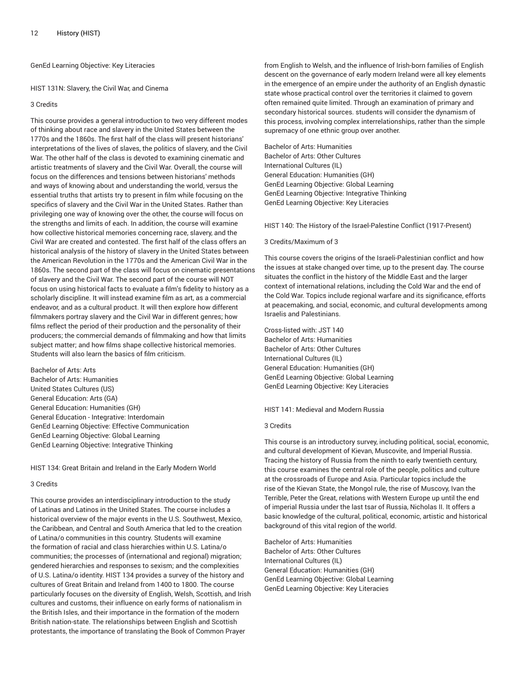GenEd Learning Objective: Key Literacies

HIST 131N: Slavery, the Civil War, and Cinema

## 3 Credits

This course provides a general introduction to two very different modes of thinking about race and slavery in the United States between the 1770s and the 1860s. The first half of the class will present historians' interpretations of the lives of slaves, the politics of slavery, and the Civil War. The other half of the class is devoted to examining cinematic and artistic treatments of slavery and the Civil War. Overall, the course will focus on the differences and tensions between historians' methods and ways of knowing about and understanding the world, versus the essential truths that artists try to present in film while focusing on the specifics of slavery and the Civil War in the United States. Rather than privileging one way of knowing over the other, the course will focus on the strengths and limits of each. In addition, the course will examine how collective historical memories concerning race, slavery, and the Civil War are created and contested. The first half of the class offers an historical analysis of the history of slavery in the United States between the American Revolution in the 1770s and the American Civil War in the 1860s. The second part of the class will focus on cinematic presentations of slavery and the Civil War. The second part of the course will NOT focus on using historical facts to evaluate a film's fidelity to history as a scholarly discipline. It will instead examine film as art, as a commercial endeavor, and as a cultural product. It will then explore how different filmmakers portray slavery and the Civil War in different genres; how films reflect the period of their production and the personality of their producers; the commercial demands of filmmaking and how that limits subject matter; and how films shape collective historical memories. Students will also learn the basics of film criticism.

Bachelor of Arts: Arts Bachelor of Arts: Humanities United States Cultures (US) General Education: Arts (GA) General Education: Humanities (GH) General Education - Integrative: Interdomain GenEd Learning Objective: Effective Communication GenEd Learning Objective: Global Learning GenEd Learning Objective: Integrative Thinking

HIST 134: Great Britain and Ireland in the Early Modern World

## 3 Credits

This course provides an interdisciplinary introduction to the study of Latinas and Latinos in the United States. The course includes a historical overview of the major events in the U.S. Southwest, Mexico, the Caribbean, and Central and South America that led to the creation of Latina/o communities in this country. Students will examine the formation of racial and class hierarchies within U.S. Latina/o communities; the processes of (international and regional) migration; gendered hierarchies and responses to sexism; and the complexities of U.S. Latina/o identity. HIST 134 provides a survey of the history and cultures of Great Britain and Ireland from 1400 to 1800. The course particularly focuses on the diversity of English, Welsh, Scottish, and Irish cultures and customs, their influence on early forms of nationalism in the British Isles, and their importance in the formation of the modern British nation-state. The relationships between English and Scottish protestants, the importance of translating the Book of Common Prayer

from English to Welsh, and the influence of Irish-born families of English descent on the governance of early modern Ireland were all key elements in the emergence of an empire under the authority of an English dynastic state whose practical control over the territories it claimed to govern often remained quite limited. Through an examination of primary and secondary historical sources. students will consider the dynamism of this process, involving complex interrelationships, rather than the simple supremacy of one ethnic group over another.

Bachelor of Arts: Humanities Bachelor of Arts: Other Cultures International Cultures (IL) General Education: Humanities (GH) GenEd Learning Objective: Global Learning GenEd Learning Objective: Integrative Thinking GenEd Learning Objective: Key Literacies

HIST 140: The History of the Israel-Palestine Conflict (1917-Present)

## 3 Credits/Maximum of 3

This course covers the origins of the Israeli-Palestinian conflict and how the issues at stake changed over time, up to the present day. The course situates the conflict in the history of the Middle East and the larger context of international relations, including the Cold War and the end of the Cold War. Topics include regional warfare and its significance, efforts at peacemaking, and social, economic, and cultural developments among Israelis and Palestinians.

Cross-listed with: JST 140 Bachelor of Arts: Humanities Bachelor of Arts: Other Cultures International Cultures (IL) General Education: Humanities (GH) GenEd Learning Objective: Global Learning GenEd Learning Objective: Key Literacies

## HIST 141: Medieval and Modern Russia

#### 3 Credits

This course is an introductory survey, including political, social, economic, and cultural development of Kievan, Muscovite, and Imperial Russia. Tracing the history of Russia from the ninth to early twentieth century, this course examines the central role of the people, politics and culture at the crossroads of Europe and Asia. Particular topics include the rise of the Kievan State, the Mongol rule, the rise of Muscovy, Ivan the Terrible, Peter the Great, relations with Western Europe up until the end of imperial Russia under the last tsar of Russia, Nicholas II. It offers a basic knowledge of the cultural, political, economic, artistic and historical background of this vital region of the world.

Bachelor of Arts: Humanities Bachelor of Arts: Other Cultures International Cultures (IL) General Education: Humanities (GH) GenEd Learning Objective: Global Learning GenEd Learning Objective: Key Literacies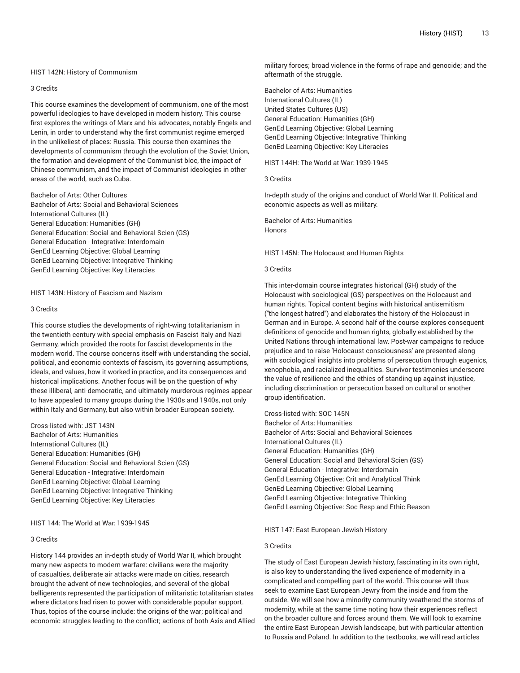### HIST 142N: History of Communism

## 3 Credits

This course examines the development of communism, one of the most powerful ideologies to have developed in modern history. This course first explores the writings of Marx and his advocates, notably Engels and Lenin, in order to understand why the first communist regime emerged in the unlikeliest of places: Russia. This course then examines the developments of communism through the evolution of the Soviet Union, the formation and development of the Communist bloc, the impact of Chinese communism, and the impact of Communist ideologies in other areas of the world, such as Cuba.

Bachelor of Arts: Other Cultures Bachelor of Arts: Social and Behavioral Sciences International Cultures (IL) General Education: Humanities (GH) General Education: Social and Behavioral Scien (GS) General Education - Integrative: Interdomain GenEd Learning Objective: Global Learning GenEd Learning Objective: Integrative Thinking GenEd Learning Objective: Key Literacies

#### HIST 143N: History of Fascism and Nazism

#### 3 Credits

This course studies the developments of right-wing totalitarianism in the twentieth century with special emphasis on Fascist Italy and Nazi Germany, which provided the roots for fascist developments in the modern world. The course concerns itself with understanding the social, political, and economic contexts of fascism, its governing assumptions, ideals, and values, how it worked in practice, and its consequences and historical implications. Another focus will be on the question of why these illiberal, anti-democratic, and ultimately murderous regimes appear to have appealed to many groups during the 1930s and 1940s, not only within Italy and Germany, but also within broader European society.

Cross-listed with: JST 143N Bachelor of Arts: Humanities International Cultures (IL) General Education: Humanities (GH) General Education: Social and Behavioral Scien (GS) General Education - Integrative: Interdomain GenEd Learning Objective: Global Learning GenEd Learning Objective: Integrative Thinking GenEd Learning Objective: Key Literacies

# HIST 144: The World at War: 1939-1945

## 3 Credits

History 144 provides an in-depth study of World War II, which brought many new aspects to modern warfare: civilians were the majority of casualties, deliberate air attacks were made on cities, research brought the advent of new technologies, and several of the global belligerents represented the participation of militaristic totalitarian states where dictators had risen to power with considerable popular support. Thus, topics of the course include: the origins of the war; political and economic struggles leading to the conflict; actions of both Axis and Allied

military forces; broad violence in the forms of rape and genocide; and the aftermath of the struggle.

Bachelor of Arts: Humanities International Cultures (IL) United States Cultures (US) General Education: Humanities (GH) GenEd Learning Objective: Global Learning GenEd Learning Objective: Integrative Thinking GenEd Learning Objective: Key Literacies

HIST 144H: The World at War: 1939-1945

3 Credits

In-depth study of the origins and conduct of World War II. Political and economic aspects as well as military.

Bachelor of Arts: Humanities Honors

HIST 145N: The Holocaust and Human Rights

## 3 Credits

This inter-domain course integrates historical (GH) study of the Holocaust with sociological (GS) perspectives on the Holocaust and human rights. Topical content begins with historical antisemitism ("the longest hatred") and elaborates the history of the Holocaust in German and in Europe. A second half of the course explores consequent definitions of genocide and human rights, globally established by the United Nations through international law. Post-war campaigns to reduce prejudice and to raise 'Holocaust consciousness' are presented along with sociological insights into problems of persecution through eugenics, xenophobia, and racialized inequalities. Survivor testimonies underscore the value of resilience and the ethics of standing up against injustice, including discrimination or persecution based on cultural or another group identification.

Cross-listed with: SOC 145N Bachelor of Arts: Humanities Bachelor of Arts: Social and Behavioral Sciences International Cultures (IL) General Education: Humanities (GH) General Education: Social and Behavioral Scien (GS) General Education - Integrative: Interdomain GenEd Learning Objective: Crit and Analytical Think GenEd Learning Objective: Global Learning GenEd Learning Objective: Integrative Thinking GenEd Learning Objective: Soc Resp and Ethic Reason

#### HIST 147: East European Jewish History

# 3 Credits

The study of East European Jewish history, fascinating in its own right, is also key to understanding the lived experience of modernity in a complicated and compelling part of the world. This course will thus seek to examine East European Jewry from the inside and from the outside. We will see how a minority community weathered the storms of modernity, while at the same time noting how their experiences reflect on the broader culture and forces around them. We will look to examine the entire East European Jewish landscape, but with particular attention to Russia and Poland. In addition to the textbooks, we will read articles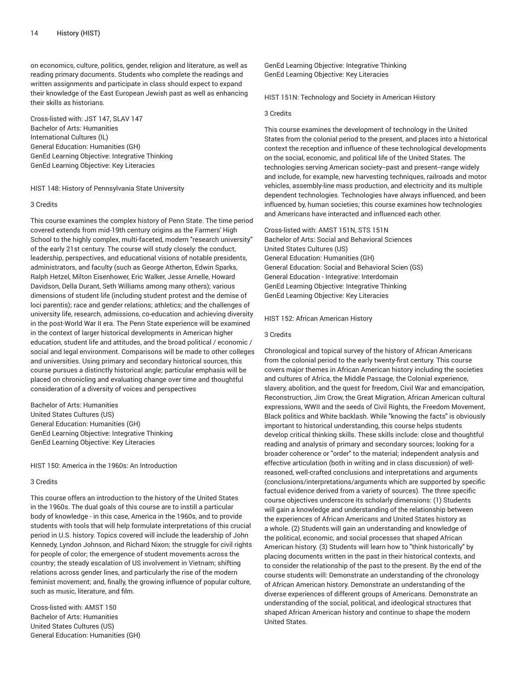on economics, culture, politics, gender, religion and literature, as well as reading primary documents. Students who complete the readings and written assignments and participate in class should expect to expand their knowledge of the East European Jewish past as well as enhancing their skills as historians.

Cross-listed with: JST 147, SLAV 147 Bachelor of Arts: Humanities International Cultures (IL) General Education: Humanities (GH) GenEd Learning Objective: Integrative Thinking GenEd Learning Objective: Key Literacies

#### HIST 148: History of Pennsylvania State University

## 3 Credits

This course examines the complex history of Penn State. The time period covered extends from mid-19th century origins as the Farmers' High School to the highly complex, multi-faceted, modern "research university" of the early 21st century. The course will study closely: the conduct, leadership, perspectives, and educational visions of notable presidents, administrators, and faculty (such as George Atherton, Edwin Sparks, Ralph Hetzel, Milton Eisenhower, Eric Walker, Jesse Arnelle, Howard Davidson, Della Durant, Seth Williams among many others); various dimensions of student life (including student protest and the demise of loci parentis); race and gender relations; athletics; and the challenges of university life, research, admissions, co-education and achieving diversity in the post-World War II era. The Penn State experience will be examined in the context of larger historical developments in American higher education, student life and attitudes, and the broad political / economic / social and legal environment. Comparisons will be made to other colleges and universities. Using primary and secondary historical sources, this course pursues a distinctly historical angle; particular emphasis will be placed on chronicling and evaluating change over time and thoughtful consideration of a diversity of voices and perspectives

Bachelor of Arts: Humanities United States Cultures (US) General Education: Humanities (GH) GenEd Learning Objective: Integrative Thinking GenEd Learning Objective: Key Literacies

HIST 150: America in the 1960s: An Introduction

#### 3 Credits

This course offers an introduction to the history of the United States in the 1960s. The dual goals of this course are to instill a particular body of knowledge - in this case, America in the 1960s, and to provide students with tools that will help formulate interpretations of this crucial period in U.S. history. Topics covered will include the leadership of John Kennedy, Lyndon Johnson, and Richard Nixon; the struggle for civil rights for people of color; the emergence of student movements across the country; the steady escalation of US involvement in Vietnam; shifting relations across gender lines, and particularly the rise of the modern feminist movement; and, finally, the growing influence of popular culture, such as music, literature, and film.

Cross-listed with: AMST 150 Bachelor of Arts: Humanities United States Cultures (US) General Education: Humanities (GH)

GenEd Learning Objective: Integrative Thinking GenEd Learning Objective: Key Literacies

HIST 151N: Technology and Society in American History

## 3 Credits

This course examines the development of technology in the United States from the colonial period to the present, and places into a historical context the reception and influence of these technological developments on the social, economic, and political life of the United States. The technologies serving American society--past and present--range widely and include, for example, new harvesting techniques, railroads and motor vehicles, assembly-line mass production, and electricity and its multiple dependent technologies. Technologies have always influenced, and been influenced by, human societies; this course examines how technologies and Americans have interacted and influenced each other.

#### Cross-listed with: AMST 151N, STS 151N

Bachelor of Arts: Social and Behavioral Sciences United States Cultures (US) General Education: Humanities (GH) General Education: Social and Behavioral Scien (GS) General Education - Integrative: Interdomain GenEd Learning Objective: Integrative Thinking GenEd Learning Objective: Key Literacies

#### HIST 152: African American History

#### 3 Credits

Chronological and topical survey of the history of African Americans from the colonial period to the early twenty-first century. This course covers major themes in African American history including the societies and cultures of Africa, the Middle Passage, the Colonial experience, slavery, abolition, and the quest for freedom, Civil War and emancipation, Reconstruction, Jim Crow, the Great Migration, African American cultural expressions, WWII and the seeds of Civil Rights, the Freedom Movement, Black politics and White backlash. While "knowing the facts" is obviously important to historical understanding, this course helps students develop critical thinking skills. These skills include: close and thoughtful reading and analysis of primary and secondary sources; looking for a broader coherence or "order" to the material; independent analysis and effective articulation (both in writing and in class discussion) of wellreasoned, well-crafted conclusions and interpretations and arguments (conclusions/interpretations/arguments which are supported by specific factual evidence derived from a variety of sources). The three specific course objectives underscore its scholarly dimensions: (1) Students will gain a knowledge and understanding of the relationship between the experiences of African Americans and United States history as a whole. (2) Students will gain an understanding and knowledge of the political, economic, and social processes that shaped African American history. (3) Students will learn how to "think historically" by placing documents written in the past in their historical contexts, and to consider the relationship of the past to the present. By the end of the course students will: Demonstrate an understanding of the chronology of African American history. Demonstrate an understanding of the diverse experiences of different groups of Americans. Demonstrate an understanding of the social, political, and ideological structures that shaped African American history and continue to shape the modern United States.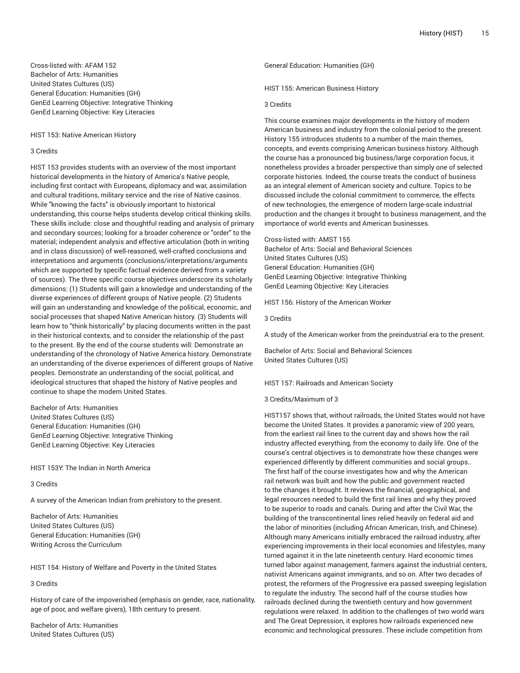Cross-listed with: AFAM 152 Bachelor of Arts: Humanities United States Cultures (US) General Education: Humanities (GH) GenEd Learning Objective: Integrative Thinking GenEd Learning Objective: Key Literacies

HIST 153: Native American History

# 3 Credits

HIST 153 provides students with an overview of the most important historical developments in the history of America's Native people, including first contact with Europeans, diplomacy and war, assimilation and cultural traditions, military service and the rise of Native casinos. While "knowing the facts" is obviously important to historical understanding, this course helps students develop critical thinking skills. These skills include: close and thoughtful reading and analysis of primary and secondary sources; looking for a broader coherence or "order" to the material; independent analysis and effective articulation (both in writing and in class discussion) of well-reasoned, well-crafted conclusions and interpretations and arguments (conclusions/interpretations/arguments which are supported by specific factual evidence derived from a variety of sources). The three specific course objectives underscore its scholarly dimensions: (1) Students will gain a knowledge and understanding of the diverse experiences of different groups of Native people. (2) Students will gain an understanding and knowledge of the political, economic, and social processes that shaped Native American history. (3) Students will learn how to "think historically" by placing documents written in the past in their historical contexts, and to consider the relationship of the past to the present. By the end of the course students will: Demonstrate an understanding of the chronology of Native America history. Demonstrate an understanding of the diverse experiences of different groups of Native peoples. Demonstrate an understanding of the social, political, and ideological structures that shaped the history of Native peoples and continue to shape the modern United States.

Bachelor of Arts: Humanities United States Cultures (US) General Education: Humanities (GH) GenEd Learning Objective: Integrative Thinking GenEd Learning Objective: Key Literacies

HIST 153Y: The Indian in North America

## 3 Credits

A survey of the American Indian from prehistory to the present.

Bachelor of Arts: Humanities United States Cultures (US) General Education: Humanities (GH) Writing Across the Curriculum

HIST 154: History of Welfare and Poverty in the United States

# 3 Credits

History of care of the impoverished (emphasis on gender, race, nationality, age of poor, and welfare givers), 18th century to present.

Bachelor of Arts: Humanities United States Cultures (US)

General Education: Humanities (GH)

HIST 155: American Business History

### 3 Credits

This course examines major developments in the history of modern American business and industry from the colonial period to the present. History 155 introduces students to a number of the main themes, concepts, and events comprising American business history. Although the course has a pronounced big business/large corporation focus, it nonetheless provides a broader perspective than simply one of selected corporate histories. Indeed, the course treats the conduct of business as an integral element of American society and culture. Topics to be discussed include the colonial commitment to commerce, the effects of new technologies, the emergence of modern large-scale industrial production and the changes it brought to business management, and the importance of world events and American businesses.

Cross-listed with: AMST 155 Bachelor of Arts: Social and Behavioral Sciences United States Cultures (US) General Education: Humanities (GH) GenEd Learning Objective: Integrative Thinking GenEd Learning Objective: Key Literacies

HIST 156: History of the American Worker

3 Credits

A study of the American worker from the preindustrial era to the present.

Bachelor of Arts: Social and Behavioral Sciences United States Cultures (US)

HIST 157: Railroads and American Society

3 Credits/Maximum of 3

HIST157 shows that, without railroads, the United States would not have become the United States. It provides a panoramic view of 200 years, from the earliest rail lines to the current day and shows how the rail industry affected everything, from the economy to daily life. One of the course's central objectives is to demonstrate how these changes were experienced differently by different communities and social groups.. The first half of the course investigates how and why the American rail network was built and how the public and government reacted to the changes it brought. It reviews the financial, geographical, and legal resources needed to build the first rail lines and why they proved to be superior to roads and canals. During and after the Civil War, the building of the transcontinental lines relied heavily on federal aid and the labor of minorities (including African American, Irish, and Chinese). Although many Americans initially embraced the railroad industry, after experiencing improvements in their local economies and lifestyles, many turned against it in the late nineteenth century. Hard economic times turned labor against management, farmers against the industrial centers, nativist Americans against immigrants, and so on. After two decades of protest, the reformers of the Progressive era passed sweeping legislation to regulate the industry. The second half of the course studies how railroads declined during the twentieth century and how government regulations were relaxed. In addition to the challenges of two world wars and The Great Depression, it explores how railroads experienced new economic and technological pressures. These include competition from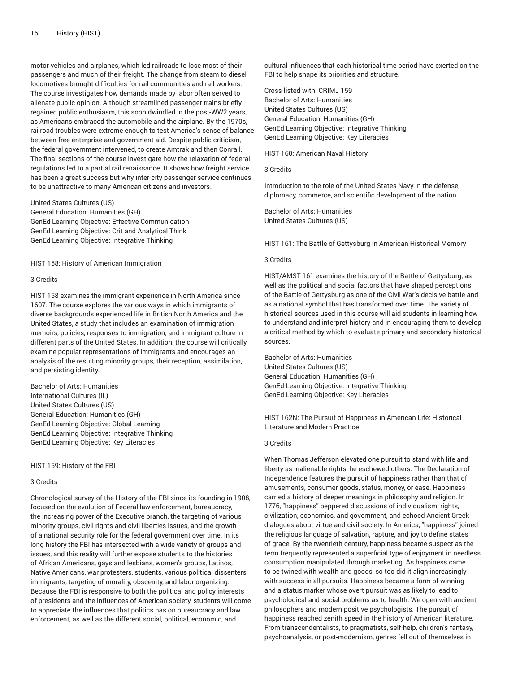motor vehicles and airplanes, which led railroads to lose most of their passengers and much of their freight. The change from steam to diesel locomotives brought difficulties for rail communities and rail workers. The course investigates how demands made by labor often served to alienate public opinion. Although streamlined passenger trains briefly regained public enthusiasm, this soon dwindled in the post-WW2 years, as Americans embraced the automobile and the airplane. By the 1970s, railroad troubles were extreme enough to test America's sense of balance between free enterprise and government aid. Despite public criticism, the federal government intervened, to create Amtrak and then Conrail. The final sections of the course investigate how the relaxation of federal regulations led to a partial rail renaissance. It shows how freight service has been a great success but why inter-city passenger service continues to be unattractive to many American citizens and investors.

United States Cultures (US) General Education: Humanities (GH) GenEd Learning Objective: Effective Communication GenEd Learning Objective: Crit and Analytical Think GenEd Learning Objective: Integrative Thinking

HIST 158: History of American Immigration

## 3 Credits

HIST 158 examines the immigrant experience in North America since 1607. The course explores the various ways in which immigrants of diverse backgrounds experienced life in British North America and the United States, a study that includes an examination of immigration memoirs, policies, responses to immigration, and immigrant culture in different parts of the United States. In addition, the course will critically examine popular representations of immigrants and encourages an analysis of the resulting minority groups, their reception, assimilation, and persisting identity.

Bachelor of Arts: Humanities International Cultures (IL) United States Cultures (US) General Education: Humanities (GH) GenEd Learning Objective: Global Learning GenEd Learning Objective: Integrative Thinking GenEd Learning Objective: Key Literacies

HIST 159: History of the FBI

#### 3 Credits

Chronological survey of the History of the FBI since its founding in 1908, focused on the evolution of Federal law enforcement, bureaucracy, the increasing power of the Executive branch, the targeting of various minority groups, civil rights and civil liberties issues, and the growth of a national security role for the federal government over time. In its long history the FBI has intersected with a wide variety of groups and issues, and this reality will further expose students to the histories of African Americans, gays and lesbians, women's groups, Latinos, Native Americans, war protesters, students, various political dissenters, immigrants, targeting of morality, obscenity, and labor organizing. Because the FBI is responsive to both the political and policy interests of presidents and the influences of American society, students will come to appreciate the influences that politics has on bureaucracy and law enforcement, as well as the different social, political, economic, and

cultural influences that each historical time period have exerted on the FBI to help shape its priorities and structure.

Cross-listed with: CRIMJ 159 Bachelor of Arts: Humanities United States Cultures (US) General Education: Humanities (GH) GenEd Learning Objective: Integrative Thinking GenEd Learning Objective: Key Literacies

HIST 160: American Naval History

3 Credits

Introduction to the role of the United States Navy in the defense, diplomacy, commerce, and scientific development of the nation.

Bachelor of Arts: Humanities United States Cultures (US)

HIST 161: The Battle of Gettysburg in American Historical Memory

## 3 Credits

HIST/AMST 161 examines the history of the Battle of Gettysburg, as well as the political and social factors that have shaped perceptions of the Battle of Gettysburg as one of the Civil War's decisive battle and as a national symbol that has transformed over time. The variety of historical sources used in this course will aid students in learning how to understand and interpret history and in encouraging them to develop a critical method by which to evaluate primary and secondary historical sources.

Bachelor of Arts: Humanities United States Cultures (US) General Education: Humanities (GH) GenEd Learning Objective: Integrative Thinking GenEd Learning Objective: Key Literacies

HIST 162N: The Pursuit of Happiness in American Life: Historical Literature and Modern Practice

# 3 Credits

When Thomas Jefferson elevated one pursuit to stand with life and liberty as inalienable rights, he eschewed others. The Declaration of Independence features the pursuit of happiness rather than that of amusements, consumer goods, status, money, or ease. Happiness carried a history of deeper meanings in philosophy and religion. In 1776, "happiness" peppered discussions of individualism, rights, civilization, economics, and government, and echoed Ancient Greek dialogues about virtue and civil society. In America, "happiness" joined the religious language of salvation, rapture, and joy to define states of grace. By the twentieth century, happiness became suspect as the term frequently represented a superficial type of enjoyment in needless consumption manipulated through marketing. As happiness came to be twined with wealth and goods, so too did it align increasingly with success in all pursuits. Happiness became a form of winning and a status marker whose overt pursuit was as likely to lead to psychological and social problems as to health. We open with ancient philosophers and modern positive psychologists. The pursuit of happiness reached zenith speed in the history of American literature. From transcendentalists, to pragmatists, self-help, children's fantasy, psychoanalysis, or post-modernism, genres fell out of themselves in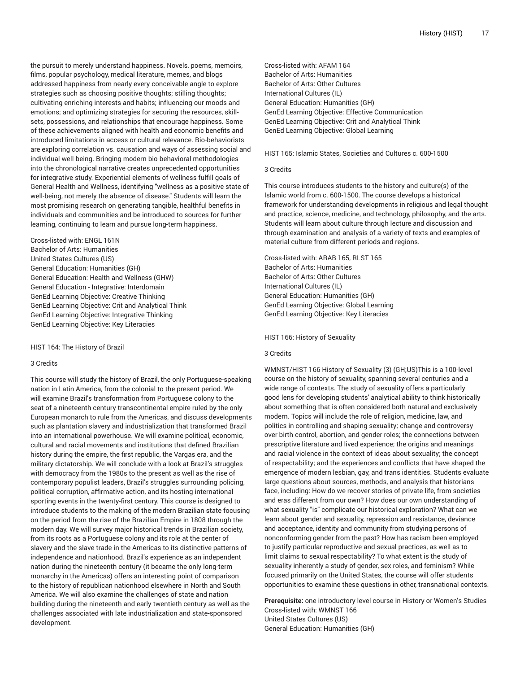the pursuit to merely understand happiness. Novels, poems, memoirs, films, popular psychology, medical literature, memes, and blogs addressed happiness from nearly every conceivable angle to explore strategies such as choosing positive thoughts; stilling thoughts; cultivating enriching interests and habits; influencing our moods and emotions; and optimizing strategies for securing the resources, skillsets, possessions, and relationships that encourage happiness. Some of these achievements aligned with health and economic benefits and introduced limitations in access or cultural relevance. Bio-behaviorists are exploring correlation vs. causation and ways of assessing social and individual well-being. Bringing modern bio-behavioral methodologies into the chronological narrative creates unprecedented opportunities for integrative study. Experiential elements of wellness fulfill goals of General Health and Wellness, identifying "wellness as a positive state of well-being, not merely the absence of disease." Students will learn the most promising research on generating tangible, healthful benefits in individuals and communities and be introduced to sources for further learning, continuing to learn and pursue long-term happiness.

Cross-listed with: ENGL 161N Bachelor of Arts: Humanities United States Cultures (US) General Education: Humanities (GH) General Education: Health and Wellness (GHW) General Education - Integrative: Interdomain GenEd Learning Objective: Creative Thinking GenEd Learning Objective: Crit and Analytical Think GenEd Learning Objective: Integrative Thinking GenEd Learning Objective: Key Literacies

HIST 164: The History of Brazil

# 3 Credits

This course will study the history of Brazil, the only Portuguese-speaking nation in Latin America, from the colonial to the present period. We will examine Brazil's transformation from Portuguese colony to the seat of a nineteenth century transcontinental empire ruled by the only European monarch to rule from the Americas, and discuss developments such as plantation slavery and industrialization that transformed Brazil into an international powerhouse. We will examine political, economic, cultural and racial movements and institutions that defined Brazilian history during the empire, the first republic, the Vargas era, and the military dictatorship. We will conclude with a look at Brazil's struggles with democracy from the 1980s to the present as well as the rise of contemporary populist leaders, Brazil's struggles surrounding policing, political corruption, affirmative action, and its hosting international sporting events in the twenty-first century. This course is designed to introduce students to the making of the modern Brazilian state focusing on the period from the rise of the Brazilian Empire in 1808 through the modern day. We will survey major historical trends in Brazilian society, from its roots as a Portuguese colony and its role at the center of slavery and the slave trade in the Americas to its distinctive patterns of independence and nationhood. Brazil's experience as an independent nation during the nineteenth century (it became the only long-term monarchy in the Americas) offers an interesting point of comparison to the history of republican nationhood elsewhere in North and South America. We will also examine the challenges of state and nation building during the nineteenth and early twentieth century as well as the challenges associated with late industrialization and state-sponsored development.

Cross-listed with: AFAM 164 Bachelor of Arts: Humanities Bachelor of Arts: Other Cultures International Cultures (IL) General Education: Humanities (GH) GenEd Learning Objective: Effective Communication GenEd Learning Objective: Crit and Analytical Think GenEd Learning Objective: Global Learning

HIST 165: Islamic States, Societies and Cultures c. 600-1500

#### 3 Credits

This course introduces students to the history and culture(s) of the Islamic world from c. 600-1500. The course develops a historical framework for understanding developments in religious and legal thought and practice, science, medicine, and technology, philosophy, and the arts. Students will learn about culture through lecture and discussion and through examination and analysis of a variety of texts and examples of material culture from different periods and regions.

Cross-listed with: ARAB 165, RLST 165 Bachelor of Arts: Humanities Bachelor of Arts: Other Cultures International Cultures (IL) General Education: Humanities (GH) GenEd Learning Objective: Global Learning GenEd Learning Objective: Key Literacies

HIST 166: History of Sexuality

#### 3 Credits

WMNST/HIST 166 History of Sexuality (3) (GH;US)This is a 100-level course on the history of sexuality, spanning several centuries and a wide range of contexts. The study of sexuality offers a particularly good lens for developing students' analytical ability to think historically about something that is often considered both natural and exclusively modern. Topics will include the role of religion, medicine, law, and politics in controlling and shaping sexuality; change and controversy over birth control, abortion, and gender roles; the connections between prescriptive literature and lived experience; the origins and meanings and racial violence in the context of ideas about sexuality; the concept of respectability; and the experiences and conflicts that have shaped the emergence of modern lesbian, gay, and trans identities. Students evaluate large questions about sources, methods, and analysis that historians face, including: How do we recover stories of private life, from societies and eras different from our own? How does our own understanding of what sexuality "is" complicate our historical exploration? What can we learn about gender and sexuality, repression and resistance, deviance and acceptance, identity and community from studying persons of nonconforming gender from the past? How has racism been employed to justify particular reproductive and sexual practices, as well as to limit claims to sexual respectability? To what extent is the study of sexuality inherently a study of gender, sex roles, and feminism? While focused primarily on the United States, the course will offer students opportunities to examine these questions in other, transnational contexts.

**Prerequisite:** one introductory level course in History or Women's Studies Cross-listed with: WMNST 166 United States Cultures (US) General Education: Humanities (GH)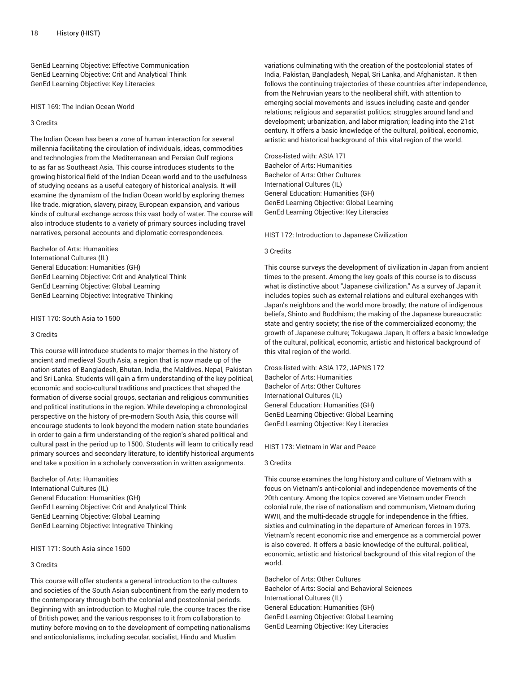GenEd Learning Objective: Effective Communication GenEd Learning Objective: Crit and Analytical Think GenEd Learning Objective: Key Literacies

HIST 169: The Indian Ocean World

## 3 Credits

The Indian Ocean has been a zone of human interaction for several millennia facilitating the circulation of individuals, ideas, commodities and technologies from the Mediterranean and Persian Gulf regions to as far as Southeast Asia. This course introduces students to the growing historical field of the Indian Ocean world and to the usefulness of studying oceans as a useful category of historical analysis. It will examine the dynamism of the Indian Ocean world by exploring themes like trade, migration, slavery, piracy, European expansion, and various kinds of cultural exchange across this vast body of water. The course will also introduce students to a variety of primary sources including travel narratives, personal accounts and diplomatic correspondences.

Bachelor of Arts: Humanities International Cultures (IL) General Education: Humanities (GH) GenEd Learning Objective: Crit and Analytical Think GenEd Learning Objective: Global Learning GenEd Learning Objective: Integrative Thinking

HIST 170: South Asia to 1500

## 3 Credits

This course will introduce students to major themes in the history of ancient and medieval South Asia, a region that is now made up of the nation-states of Bangladesh, Bhutan, India, the Maldives, Nepal, Pakistan and Sri Lanka. Students will gain a firm understanding of the key political, economic and socio-cultural traditions and practices that shaped the formation of diverse social groups, sectarian and religious communities and political institutions in the region. While developing a chronological perspective on the history of pre-modern South Asia, this course will encourage students to look beyond the modern nation-state boundaries in order to gain a firm understanding of the region's shared political and cultural past in the period up to 1500. Students will learn to critically read primary sources and secondary literature, to identify historical arguments and take a position in a scholarly conversation in written assignments.

Bachelor of Arts: Humanities International Cultures (IL) General Education: Humanities (GH) GenEd Learning Objective: Crit and Analytical Think GenEd Learning Objective: Global Learning GenEd Learning Objective: Integrative Thinking

HIST 171: South Asia since 1500

# 3 Credits

This course will offer students a general introduction to the cultures and societies of the South Asian subcontinent from the early modern to the contemporary through both the colonial and postcolonial periods. Beginning with an introduction to Mughal rule, the course traces the rise of British power, and the various responses to it from collaboration to mutiny before moving on to the development of competing nationalisms and anticolonialisms, including secular, socialist, Hindu and Muslim

variations culminating with the creation of the postcolonial states of India, Pakistan, Bangladesh, Nepal, Sri Lanka, and Afghanistan. It then follows the continuing trajectories of these countries after independence, from the Nehruvian years to the neoliberal shift, with attention to emerging social movements and issues including caste and gender relations; religious and separatist politics; struggles around land and development; urbanization, and labor migration; leading into the 21st century. It offers a basic knowledge of the cultural, political, economic, artistic and historical background of this vital region of the world.

Cross-listed with: ASIA 171 Bachelor of Arts: Humanities Bachelor of Arts: Other Cultures International Cultures (IL) General Education: Humanities (GH) GenEd Learning Objective: Global Learning GenEd Learning Objective: Key Literacies

HIST 172: Introduction to Japanese Civilization

# 3 Credits

This course surveys the development of civilization in Japan from ancient times to the present. Among the key goals of this course is to discuss what is distinctive about "Japanese civilization." As a survey of Japan it includes topics such as external relations and cultural exchanges with Japan's neighbors and the world more broadly; the nature of indigenous beliefs, Shinto and Buddhism; the making of the Japanese bureaucratic state and gentry society; the rise of the commercialized economy; the growth of Japanese culture; Tokugawa Japan, It offers a basic knowledge of the cultural, political, economic, artistic and historical background of this vital region of the world.

Cross-listed with: ASIA 172, JAPNS 172 Bachelor of Arts: Humanities Bachelor of Arts: Other Cultures International Cultures (IL) General Education: Humanities (GH) GenEd Learning Objective: Global Learning GenEd Learning Objective: Key Literacies

HIST 173: Vietnam in War and Peace

# 3 Credits

This course examines the long history and culture of Vietnam with a focus on Vietnam's anti-colonial and independence movements of the 20th century. Among the topics covered are Vietnam under French colonial rule, the rise of nationalism and communism, Vietnam during WWII, and the multi-decade struggle for independence in the fifties, sixties and culminating in the departure of American forces in 1973. Vietnam's recent economic rise and emergence as a commercial power is also covered. It offers a basic knowledge of the cultural, political, economic, artistic and historical background of this vital region of the world.

Bachelor of Arts: Other Cultures Bachelor of Arts: Social and Behavioral Sciences International Cultures (IL) General Education: Humanities (GH) GenEd Learning Objective: Global Learning GenEd Learning Objective: Key Literacies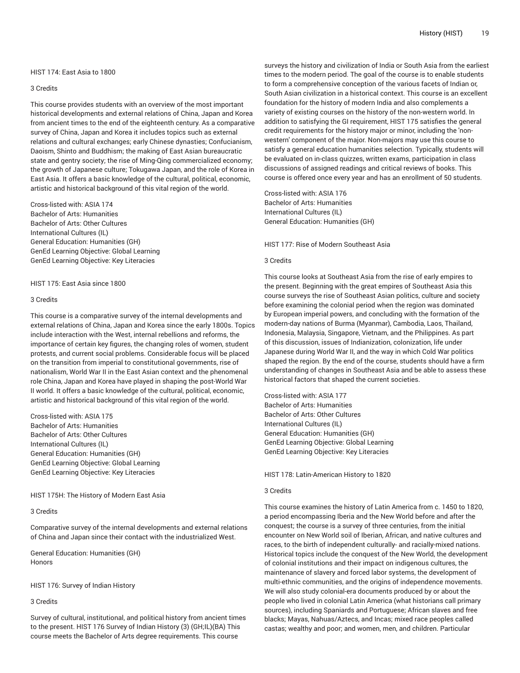#### HIST 174: East Asia to 1800

## 3 Credits

This course provides students with an overview of the most important historical developments and external relations of China, Japan and Korea from ancient times to the end of the eighteenth century. As a comparative survey of China, Japan and Korea it includes topics such as external relations and cultural exchanges; early Chinese dynasties; Confucianism, Daoism, Shinto and Buddhism; the making of East Asian bureaucratic state and gentry society; the rise of Ming-Qing commercialized economy; the growth of Japanese culture; Tokugawa Japan, and the role of Korea in East Asia. It offers a basic knowledge of the cultural, political, economic, artistic and historical background of this vital region of the world.

Cross-listed with: ASIA 174 Bachelor of Arts: Humanities Bachelor of Arts: Other Cultures International Cultures (IL) General Education: Humanities (GH) GenEd Learning Objective: Global Learning GenEd Learning Objective: Key Literacies

#### HIST 175: East Asia since 1800

## 3 Credits

This course is a comparative survey of the internal developments and external relations of China, Japan and Korea since the early 1800s. Topics include interaction with the West, internal rebellions and reforms, the importance of certain key figures, the changing roles of women, student protests, and current social problems. Considerable focus will be placed on the transition from imperial to constitutional governments, rise of nationalism, World War II in the East Asian context and the phenomenal role China, Japan and Korea have played in shaping the post-World War II world. It offers a basic knowledge of the cultural, political, economic, artistic and historical background of this vital region of the world.

Cross-listed with: ASIA 175 Bachelor of Arts: Humanities Bachelor of Arts: Other Cultures International Cultures (IL) General Education: Humanities (GH) GenEd Learning Objective: Global Learning GenEd Learning Objective: Key Literacies

## HIST 175H: The History of Modern East Asia

# 3 Credits

Comparative survey of the internal developments and external relations of China and Japan since their contact with the industrialized West.

General Education: Humanities (GH) Honors

HIST 176: Survey of Indian History

3 Credits

Survey of cultural, institutional, and political history from ancient times to the present. HIST 176 Survey of Indian History (3) (GH;IL)(BA) This course meets the Bachelor of Arts degree requirements. This course

surveys the history and civilization of India or South Asia from the earliest times to the modern period. The goal of the course is to enable students to form a comprehensive conception of the various facets of Indian or, South Asian civilization in a historical context. This course is an excellent foundation for the history of modern India and also complements a variety of existing courses on the history of the non-western world. In addition to satisfying the GI requirement, HIST 175 satisfies the general credit requirements for the history major or minor, including the 'nonwestern' component of the major. Non-majors may use this course to satisfy a general education humanities selection. Typically, students will be evaluated on in-class quizzes, written exams, participation in class discussions of assigned readings and critical reviews of books. This course is offered once every year and has an enrollment of 50 students.

Cross-listed with: ASIA 176 Bachelor of Arts: Humanities International Cultures (IL) General Education: Humanities (GH)

HIST 177: Rise of Modern Southeast Asia

## 3 Credits

This course looks at Southeast Asia from the rise of early empires to the present. Beginning with the great empires of Southeast Asia this course surveys the rise of Southeast Asian politics, culture and society before examining the colonial period when the region was dominated by European imperial powers, and concluding with the formation of the modern-day nations of Burma (Myanmar), Cambodia, Laos, Thailand, Indonesia, Malaysia, Singapore, Vietnam, and the Philippines. As part of this discussion, issues of Indianization, colonization, life under Japanese during World War II, and the way in which Cold War politics shaped the region. By the end of the course, students should have a firm understanding of changes in Southeast Asia and be able to assess these historical factors that shaped the current societies.

Cross-listed with: ASIA 177 Bachelor of Arts: Humanities Bachelor of Arts: Other Cultures International Cultures (IL) General Education: Humanities (GH) GenEd Learning Objective: Global Learning GenEd Learning Objective: Key Literacies

HIST 178: Latin-American History to 1820

## 3 Credits

This course examines the history of Latin America from c. 1450 to 1820, a period encompassing Iberia and the New World before and after the conquest; the course is a survey of three centuries, from the initial encounter on New World soil of Iberian, African, and native cultures and races, to the birth of independent culturally- and racially-mixed nations. Historical topics include the conquest of the New World, the development of colonial institutions and their impact on indigenous cultures, the maintenance of slavery and forced labor systems, the development of multi-ethnic communities, and the origins of independence movements. We will also study colonial-era documents produced by or about the people who lived in colonial Latin America (what historians call primary sources), including Spaniards and Portuguese; African slaves and free blacks; Mayas, Nahuas/Aztecs, and Incas; mixed race peoples called castas; wealthy and poor; and women, men, and children. Particular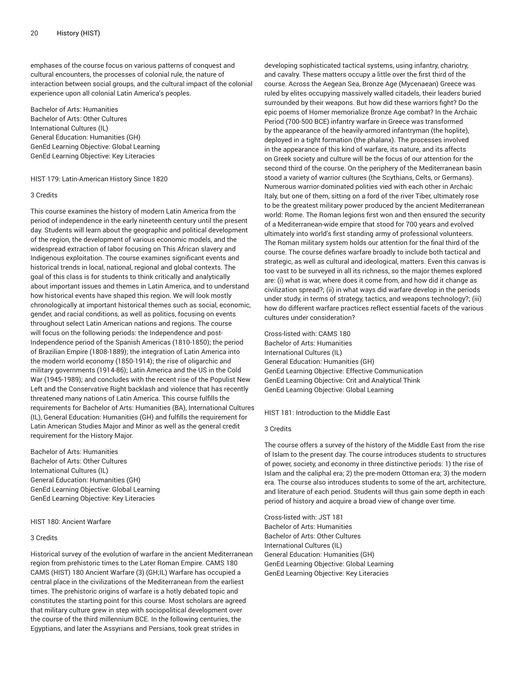emphases of the course focus on various patterns of conquest and cultural encounters, the processes of colonial rule, the nature of interaction between social groups, and the cultural impact of the colonial experience upon all colonial Latin America's peoples.

Bachelor of Arts: Humanities Bachelor of Arts: Other Cultures International Cultures (IL) General Education: Humanities (GH) GenEd Learning Objective: Global Learning GenEd Learning Objective: Key Literacies

HIST 179: Latin-American History Since 1820

## 3 Credits

This course examines the history of modern Latin America from the period of independence in the early nineteenth century until the present day. Students will learn about the geographic and political development of the region, the development of various economic models, and the widespread extraction of labor focusing on This African slavery and Indigenous exploitation. The course examines significant events and historical trends in local, national, regional and global contexts. The goal of this class is for students to think critically and analytically about important issues and themes in Latin America, and to understand how historical events have shaped this region. We will look mostly chronologically at important historical themes such as social, economic, gender, and racial conditions, as well as politics, focusing on events throughout select Latin American nations and regions. The course will focus on the following periods: the Independence and post-Independence period of the Spanish Americas (1810-1850); the period of Brazilian Empire (1808-1889); the integration of Latin America into the modern world economy (1850-1914); the rise of oligarchic and military governments (1914-86); Latin America and the US in the Cold War (1945-1989); and concludes with the recent rise of the Populist New Left and the Conservative Right backlash and violence that has recently threatened many nations of Latin America. This course fulfills the requirements for Bachelor of Arts: Humanities (BA), International Cultures (IL), General Education: Humanities (GH) and fulfills the requirement for Latin American Studies Major and Minor as well as the general credit requirement for the History Major.

Bachelor of Arts: Humanities Bachelor of Arts: Other Cultures International Cultures (IL) General Education: Humanities (GH) GenEd Learning Objective: Global Learning GenEd Learning Objective: Key Literacies

## HIST 180: Ancient Warfare

#### 3 Credits

Historical survey of the evolution of warfare in the ancient Mediterranean region from prehistoric times to the Later Roman Empire. CAMS 180 CAMS (HIST) 180 Ancient Warfare (3) (GH;IL) Warfare has occupied a central place in the civilizations of the Mediterranean from the earliest times. The prehistoric origins of warfare is a hotly debated topic and constitutes the starting point for this course. Most scholars are agreed that military culture grew in step with sociopolitical development over the course of the third millennium BCE. In the following centuries, the Egyptians, and later the Assyrians and Persians, took great strides in

developing sophisticated tactical systems, using infantry, chariotry, and cavalry. These matters occupy a little over the first third of the course. Across the Aegean Sea, Bronze Age (Mycenaean) Greece was ruled by elites occupying massively walled citadels, their leaders buried surrounded by their weapons. But how did these warriors fight? Do the epic poems of Homer memorialize Bronze Age combat? In the Archaic Period (700-500 BCE) infantry warfare in Greece was transformed by the appearance of the heavily-armored infantryman (the hoplite), deployed in a tight formation (the phalanx). The processes involved in the appearance of this kind of warfare, its nature, and its affects on Greek society and culture will be the focus of our attention for the second third of the course. On the periphery of the Mediterranean basin stood a variety of warrior cultures (the Scythians, Celts, or Germans). Numerous warrior-dominated polities vied with each other in Archaic Italy, but one of them, sitting on a ford of the river Tiber, ultimately rose to be the greatest military power produced by the ancient Mediterranean world: Rome. The Roman legions first won and then ensured the security of a Mediterranean-wide empire that stood for 700 years and evolved ultimately into world's first standing army of professional volunteers. The Roman military system holds our attention for the final third of the course. The course defines warfare broadly to include both tactical and strategic, as well as cultural and ideological, matters. Even this canvas is too vast to be surveyed in all its richness, so the major themes explored are: (i) what is war, where does it come from, and how did it change as civilization spread?; (ii) in what ways did warfare develop in the periods under study, in terms of strategy, tactics, and weapons technology?; (iii) how do different warfare practices reflect essential facets of the various cultures under consideration?

Cross-listed with: CAMS 180 Bachelor of Arts: Humanities International Cultures (IL) General Education: Humanities (GH) GenEd Learning Objective: Effective Communication GenEd Learning Objective: Crit and Analytical Think GenEd Learning Objective: Global Learning

HIST 181: Introduction to the Middle East

## 3 Credits

The course offers a survey of the history of the Middle East from the rise of Islam to the present day. The course introduces students to structures of power, society, and economy in three distinctive periods: 1) the rise of Islam and the caliphal era; 2) the pre-modern Ottoman era; 3) the modern era. The course also introduces students to some of the art, architecture, and literature of each period. Students will thus gain some depth in each period of history and acquire a broad view of change over time.

Cross-listed with: JST 181 Bachelor of Arts: Humanities Bachelor of Arts: Other Cultures International Cultures (IL) General Education: Humanities (GH) GenEd Learning Objective: Global Learning GenEd Learning Objective: Key Literacies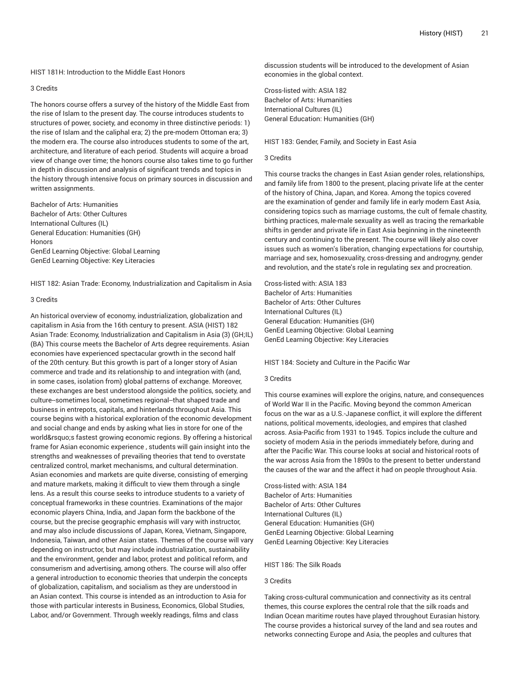#### HIST 181H: Introduction to the Middle East Honors

## 3 Credits

The honors course offers a survey of the history of the Middle East from the rise of Islam to the present day. The course introduces students to structures of power, society, and economy in three distinctive periods: 1) the rise of Islam and the caliphal era; 2) the pre-modern Ottoman era; 3) the modern era. The course also introduces students to some of the art, architecture, and literature of each period. Students will acquire a broad view of change over time; the honors course also takes time to go further in depth in discussion and analysis of significant trends and topics in the history through intensive focus on primary sources in discussion and written assignments.

Bachelor of Arts: Humanities Bachelor of Arts: Other Cultures International Cultures (IL) General Education: Humanities (GH) **Honors** GenEd Learning Objective: Global Learning GenEd Learning Objective: Key Literacies

HIST 182: Asian Trade: Economy, Industrialization and Capitalism in Asia

## 3 Credits

An historical overview of economy, industrialization, globalization and capitalism in Asia from the 16th century to present. ASIA (HIST) 182 Asian Trade: Economy, Industrialization and Capitalism in Asia (3) (GH;IL) (BA) This course meets the Bachelor of Arts degree requirements. Asian economies have experienced spectacular growth in the second half of the 20th century. But this growth is part of a longer story of Asian commerce and trade and its relationship to and integration with (and, in some cases, isolation from) global patterns of exchange. Moreover, these exchanges are best understood alongside the politics, society, and culture--sometimes local, sometimes regional--that shaped trade and business in entrepots, capitals, and hinterlands throughout Asia. This course begins with a historical exploration of the economic development and social change and ends by asking what lies in store for one of the world' sfastest growing economic regions. By offering a historical frame for Asian economic experience , students will gain insight into the strengths and weaknesses of prevailing theories that tend to overstate centralized control, market mechanisms, and cultural determination. Asian economies and markets are quite diverse, consisting of emerging and mature markets, making it difficult to view them through a single lens. As a result this course seeks to introduce students to a variety of conceptual frameworks in these countries. Examinations of the major economic players China, India, and Japan form the backbone of the course, but the precise geographic emphasis will vary with instructor, and may also include discussions of Japan, Korea, Vietnam, Singapore, Indonesia, Taiwan, and other Asian states. Themes of the course will vary depending on instructor, but may include industrialization, sustainability and the environment, gender and labor, protest and political reform, and consumerism and advertising, among others. The course will also offer a general introduction to economic theories that underpin the concepts of globalization, capitalism, and socialism as they are understood in an Asian context. This course is intended as an introduction to Asia for those with particular interests in Business, Economics, Global Studies, Labor, and/or Government. Through weekly readings, films and class

discussion students will be introduced to the development of Asian economies in the global context.

Cross-listed with: ASIA 182 Bachelor of Arts: Humanities International Cultures (IL) General Education: Humanities (GH)

#### HIST 183: Gender, Family, and Society in East Asia

#### 3 Credits

This course tracks the changes in East Asian gender roles, relationships, and family life from 1800 to the present, placing private life at the center of the history of China, Japan, and Korea. Among the topics covered are the examination of gender and family life in early modern East Asia, considering topics such as marriage customs, the cult of female chastity, birthing practices, male-male sexuality as well as tracing the remarkable shifts in gender and private life in East Asia beginning in the nineteenth century and continuing to the present. The course will likely also cover issues such as women's liberation, changing expectations for courtship, marriage and sex, homosexuality, cross-dressing and androgyny, gender and revolution, and the state's role in regulating sex and procreation.

Cross-listed with: ASIA 183 Bachelor of Arts: Humanities Bachelor of Arts: Other Cultures International Cultures (IL) General Education: Humanities (GH) GenEd Learning Objective: Global Learning GenEd Learning Objective: Key Literacies

#### HIST 184: Society and Culture in the Pacific War

## 3 Credits

This course examines will explore the origins, nature, and consequences of World War II in the Pacific. Moving beyond the common American focus on the war as a U.S.-Japanese conflict, it will explore the different nations, political movements, ideologies, and empires that clashed across. Asia-Pacific from 1931 to 1945. Topics include the culture and society of modern Asia in the periods immediately before, during and after the Pacific War. This course looks at social and historical roots of the war across Asia from the 1890s to the present to better understand the causes of the war and the affect it had on people throughout Asia.

Cross-listed with: ASIA 184 Bachelor of Arts: Humanities Bachelor of Arts: Other Cultures International Cultures (IL) General Education: Humanities (GH) GenEd Learning Objective: Global Learning GenEd Learning Objective: Key Literacies

#### HIST 186: The Silk Roads

#### 3 Credits

Taking cross-cultural communication and connectivity as its central themes, this course explores the central role that the silk roads and Indian Ocean maritime routes have played throughout Eurasian history. The course provides a historical survey of the land and sea routes and networks connecting Europe and Asia, the peoples and cultures that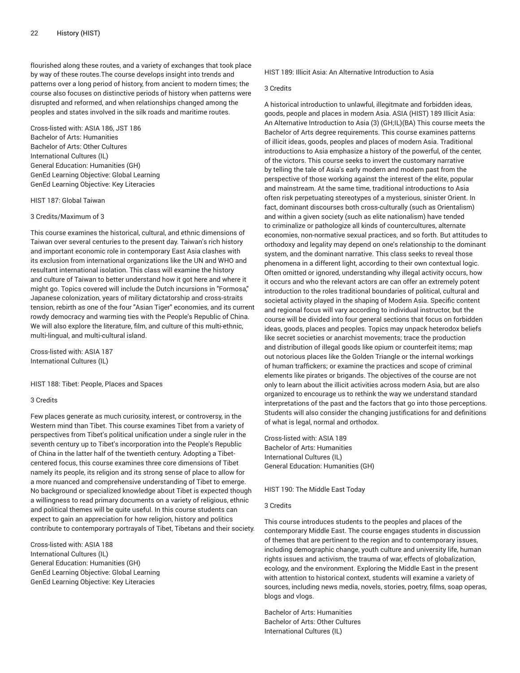flourished along these routes, and a variety of exchanges that took place by way of these routes.The course develops insight into trends and patterns over a long period of history, from ancient to modern times; the course also focuses on distinctive periods of history when patterns were disrupted and reformed, and when relationships changed among the peoples and states involved in the silk roads and maritime routes.

Cross-listed with: ASIA 186, JST 186 Bachelor of Arts: Humanities Bachelor of Arts: Other Cultures International Cultures (IL) General Education: Humanities (GH) GenEd Learning Objective: Global Learning GenEd Learning Objective: Key Literacies

HIST 187: Global Taiwan

# 3 Credits/Maximum of 3

This course examines the historical, cultural, and ethnic dimensions of Taiwan over several centuries to the present day. Taiwan's rich history and important economic role in contemporary East Asia clashes with its exclusion from international organizations like the UN and WHO and resultant international isolation. This class will examine the history and culture of Taiwan to better understand how it got here and where it might go. Topics covered will include the Dutch incursions in "Formosa," Japanese colonization, years of military dictatorship and cross-straits tension, rebirth as one of the four "Asian Tiger" economies, and its current rowdy democracy and warming ties with the People's Republic of China. We will also explore the literature, film, and culture of this multi-ethnic, multi-lingual, and multi-cultural island.

Cross-listed with: ASIA 187 International Cultures (IL)

HIST 188: Tibet: People, Places and Spaces

## 3 Credits

Few places generate as much curiosity, interest, or controversy, in the Western mind than Tibet. This course examines Tibet from a variety of perspectives from Tibet's political unification under a single ruler in the seventh century up to Tibet's incorporation into the People's Republic of China in the latter half of the twentieth century. Adopting a Tibetcentered focus, this course examines three core dimensions of Tibet namely its people, its religion and its strong sense of place to allow for a more nuanced and comprehensive understanding of Tibet to emerge. No background or specialized knowledge about Tibet is expected though a willingness to read primary documents on a variety of religious, ethnic and political themes will be quite useful. In this course students can expect to gain an appreciation for how religion, history and politics contribute to contemporary portrayals of Tibet, Tibetans and their society.

Cross-listed with: ASIA 188 International Cultures (IL) General Education: Humanities (GH) GenEd Learning Objective: Global Learning GenEd Learning Objective: Key Literacies

HIST 189: Illicit Asia: An Alternative Introduction to Asia

## 3 Credits

A historical introduction to unlawful, illegitmate and forbidden ideas, goods, people and places in modern Asia. ASIA (HIST) 189 Illicit Asia: An Alternative Introduction to Asia (3) (GH;IL)(BA) This course meets the Bachelor of Arts degree requirements. This course examines patterns of illicit ideas, goods, peoples and places of modern Asia. Traditional introductions to Asia emphasize a history of the powerful, of the center, of the victors. This course seeks to invert the customary narrative by telling the tale of Asia's early modern and modern past from the perspective of those working against the interest of the elite, popular and mainstream. At the same time, traditional introductions to Asia often risk perpetuating stereotypes of a mysterious, sinister Orient. In fact, dominant discourses both cross-culturally (such as Orientalism) and within a given society (such as elite nationalism) have tended to criminalize or pathologize all kinds of countercultures, alternate economies, non-normative sexual practices, and so forth. But attitudes to orthodoxy and legality may depend on one's relationship to the dominant system, and the dominant narrative. This class seeks to reveal those phenomena in a different light, according to their own contextual logic. Often omitted or ignored, understanding why illegal activity occurs, how it occurs and who the relevant actors are can offer an extremely potent introduction to the roles traditional boundaries of political, cultural and societal activity played in the shaping of Modern Asia. Specific content and regional focus will vary according to individual instructor, but the course will be divided into four general sections that focus on forbidden ideas, goods, places and peoples. Topics may unpack heterodox beliefs like secret societies or anarchist movements; trace the production and distribution of illegal goods like opium or counterfeit items; map out notorious places like the Golden Triangle or the internal workings of human traffickers; or examine the practices and scope of criminal elements like pirates or brigands. The objectives of the course are not only to learn about the illicit activities across modern Asia, but are also organized to encourage us to rethink the way we understand standard interpretations of the past and the factors that go into those perceptions. Students will also consider the changing justifications for and definitions of what is legal, normal and orthodox.

Cross-listed with: ASIA 189 Bachelor of Arts: Humanities International Cultures (IL) General Education: Humanities (GH)

HIST 190: The Middle East Today

## 3 Credits

This course introduces students to the peoples and places of the contemporary Middle East. The course engages students in discussion of themes that are pertinent to the region and to contemporary issues, including demographic change, youth culture and university life, human rights issues and activism, the trauma of war, effects of globalization, ecology, and the environment. Exploring the Middle East in the present with attention to historical context, students will examine a variety of sources, including news media, novels, stories, poetry, films, soap operas, blogs and vlogs.

Bachelor of Arts: Humanities Bachelor of Arts: Other Cultures International Cultures (IL)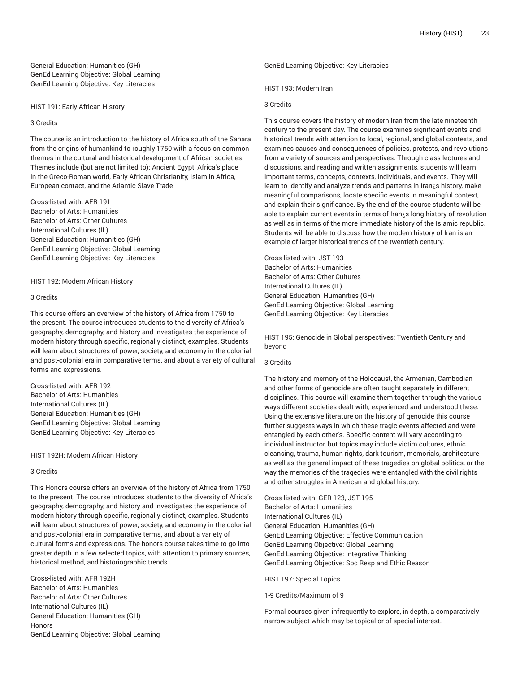General Education: Humanities (GH) GenEd Learning Objective: Global Learning GenEd Learning Objective: Key Literacies

HIST 191: Early African History

#### 3 Credits

The course is an introduction to the history of Africa south of the Sahara from the origins of humankind to roughly 1750 with a focus on common themes in the cultural and historical development of African societies. Themes include (but are not limited to): Ancient Egypt, Africa's place in the Greco-Roman world, Early African Christianity, Islam in Africa, European contact, and the Atlantic Slave Trade

Cross-listed with: AFR 191 Bachelor of Arts: Humanities Bachelor of Arts: Other Cultures International Cultures (IL) General Education: Humanities (GH) GenEd Learning Objective: Global Learning GenEd Learning Objective: Key Literacies

## HIST 192: Modern African History

## 3 Credits

This course offers an overview of the history of Africa from 1750 to the present. The course introduces students to the diversity of Africa's geography, demography, and history and investigates the experience of modern history through specific, regionally distinct, examples. Students will learn about structures of power, society, and economy in the colonial and post-colonial era in comparative terms, and about a variety of cultural forms and expressions.

Cross-listed with: AFR 192 Bachelor of Arts: Humanities International Cultures (IL) General Education: Humanities (GH) GenEd Learning Objective: Global Learning GenEd Learning Objective: Key Literacies

HIST 192H: Modern African History

# 3 Credits

This Honors course offers an overview of the history of Africa from 1750 to the present. The course introduces students to the diversity of Africa's geography, demography, and history and investigates the experience of modern history through specific, regionally distinct, examples. Students will learn about structures of power, society, and economy in the colonial and post-colonial era in comparative terms, and about a variety of cultural forms and expressions. The honors course takes time to go into greater depth in a few selected topics, with attention to primary sources, historical method, and historiographic trends.

Cross-listed with: AFR 192H Bachelor of Arts: Humanities Bachelor of Arts: Other Cultures International Cultures (IL) General Education: Humanities (GH) Honors GenEd Learning Objective: Global Learning GenEd Learning Objective: Key Literacies

HIST 193: Modern Iran

## 3 Credits

This course covers the history of modern Iran from the late nineteenth century to the present day. The course examines significant events and historical trends with attention to local, regional, and global contexts, and examines causes and consequences of policies, protests, and revolutions from a variety of sources and perspectives. Through class lectures and discussions, and reading and written assignments, students will learn important terms, concepts, contexts, individuals, and events. They will learn to identify and analyze trends and patterns in Iran¿s history, make meaningful comparisons, locate specific events in meaningful context, and explain their significance. By the end of the course students will be able to explain current events in terms of Iran¿s long history of revolution as well as in terms of the more immediate history of the Islamic republic. Students will be able to discuss how the modern history of Iran is an example of larger historical trends of the twentieth century.

Cross-listed with: JST 193 Bachelor of Arts: Humanities Bachelor of Arts: Other Cultures International Cultures (IL) General Education: Humanities (GH) GenEd Learning Objective: Global Learning GenEd Learning Objective: Key Literacies

HIST 195: Genocide in Global perspectives: Twentieth Century and beyond

#### 3 Credits

The history and memory of the Holocaust, the Armenian, Cambodian and other forms of genocide are often taught separately in different disciplines. This course will examine them together through the various ways different societies dealt with, experienced and understood these. Using the extensive literature on the history of genocide this course further suggests ways in which these tragic events affected and were entangled by each other's. Specific content will vary according to individual instructor, but topics may include victim cultures, ethnic cleansing, trauma, human rights, dark tourism, memorials, architecture as well as the general impact of these tragedies on global politics, or the way the memories of the tragedies were entangled with the civil rights and other struggles in American and global history.

Cross-listed with: GER 123, JST 195 Bachelor of Arts: Humanities International Cultures (IL) General Education: Humanities (GH) GenEd Learning Objective: Effective Communication GenEd Learning Objective: Global Learning GenEd Learning Objective: Integrative Thinking GenEd Learning Objective: Soc Resp and Ethic Reason

HIST 197: Special Topics

1-9 Credits/Maximum of 9

Formal courses given infrequently to explore, in depth, a comparatively narrow subject which may be topical or of special interest.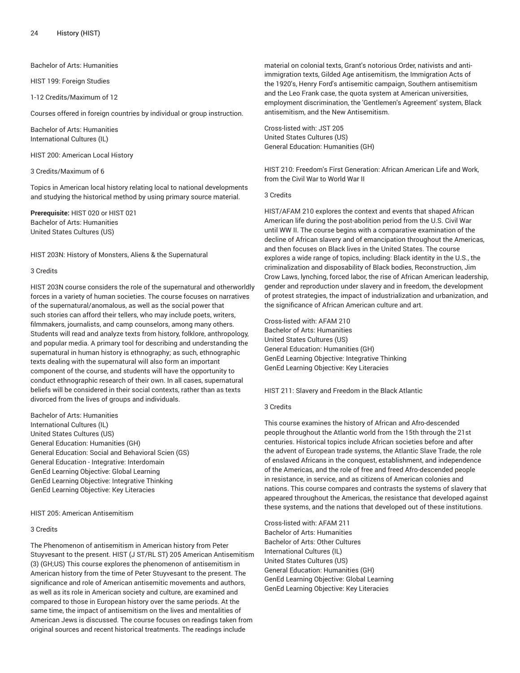Bachelor of Arts: Humanities

HIST 199: Foreign Studies

1-12 Credits/Maximum of 12

Courses offered in foreign countries by individual or group instruction.

Bachelor of Arts: Humanities International Cultures (IL)

HIST 200: American Local History

3 Credits/Maximum of 6

Topics in American local history relating local to national developments and studying the historical method by using primary source material.

**Prerequisite:** HIST 020 or HIST 021 Bachelor of Arts: Humanities United States Cultures (US)

HIST 203N: History of Monsters, Aliens & the Supernatural

#### 3 Credits

HIST 203N course considers the role of the supernatural and otherworldly forces in a variety of human societies. The course focuses on narratives of the supernatural/anomalous, as well as the social power that such stories can afford their tellers, who may include poets, writers, filmmakers, journalists, and camp counselors, among many others. Students will read and analyze texts from history, folklore, anthropology, and popular media. A primary tool for describing and understanding the supernatural in human history is ethnography; as such, ethnographic texts dealing with the supernatural will also form an important component of the course, and students will have the opportunity to conduct ethnographic research of their own. In all cases, supernatural beliefs will be considered in their social contexts, rather than as texts divorced from the lives of groups and individuals.

Bachelor of Arts: Humanities International Cultures (IL) United States Cultures (US) General Education: Humanities (GH) General Education: Social and Behavioral Scien (GS) General Education - Integrative: Interdomain GenEd Learning Objective: Global Learning GenEd Learning Objective: Integrative Thinking GenEd Learning Objective: Key Literacies

HIST 205: American Antisemitism

## 3 Credits

The Phenomenon of antisemitism in American history from Peter Stuyvesant to the present. HIST (J ST/RL ST) 205 American Antisemitism (3) (GH;US) This course explores the phenomenon of antisemitism in American history from the time of Peter Stuyvesant to the present. The significance and role of American antisemitic movements and authors, as well as its role in American society and culture, are examined and compared to those in European history over the same periods. At the same time, the impact of antisemitism on the lives and mentalities of American Jews is discussed. The course focuses on readings taken from original sources and recent historical treatments. The readings include

material on colonial texts, Grant's notorious Order, nativists and antiimmigration texts, Gilded Age antisemitism, the Immigration Acts of the 1920's, Henry Ford's antisemitic campaign, Southern antisemitism and the Leo Frank case, the quota system at American universities, employment discrimination, the 'Gentlemen's Agreement' system, Black antisemitism, and the New Antisemitism.

Cross-listed with: JST 205 United States Cultures (US) General Education: Humanities (GH)

HIST 210: Freedom's First Generation: African American Life and Work, from the Civil War to World War II

3 Credits

HIST/AFAM 210 explores the context and events that shaped African American life during the post-abolition period from the U.S. Civil War until WW II. The course begins with a comparative examination of the decline of African slavery and of emancipation throughout the Americas, and then focuses on Black lives in the United States. The course explores a wide range of topics, including: Black identity in the U.S., the criminalization and disposability of Black bodies, Reconstruction, Jim Crow Laws, lynching, forced labor, the rise of African American leadership, gender and reproduction under slavery and in freedom, the development of protest strategies, the impact of industrialization and urbanization, and the significance of African American culture and art.

Cross-listed with: AFAM 210 Bachelor of Arts: Humanities United States Cultures (US) General Education: Humanities (GH) GenEd Learning Objective: Integrative Thinking GenEd Learning Objective: Key Literacies

HIST 211: Slavery and Freedom in the Black Atlantic

# 3 Credits

This course examines the history of African and Afro-descended people throughout the Atlantic world from the 15th through the 21st centuries. Historical topics include African societies before and after the advent of European trade systems, the Atlantic Slave Trade, the role of enslaved Africans in the conquest, establishment, and independence of the Americas, and the role of free and freed Afro-descended people in resistance, in service, and as citizens of American colonies and nations. This course compares and contrasts the systems of slavery that appeared throughout the Americas, the resistance that developed against these systems, and the nations that developed out of these institutions.

Cross-listed with: AFAM 211 Bachelor of Arts: Humanities Bachelor of Arts: Other Cultures International Cultures (IL) United States Cultures (US) General Education: Humanities (GH) GenEd Learning Objective: Global Learning GenEd Learning Objective: Key Literacies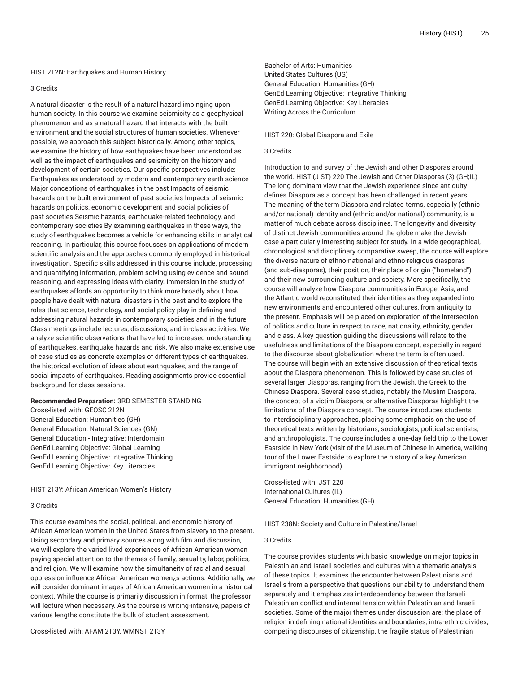#### HIST 212N: Earthquakes and Human History

#### 3 Credits

A natural disaster is the result of a natural hazard impinging upon human society. In this course we examine seismicity as a geophysical phenomenon and as a natural hazard that interacts with the built environment and the social structures of human societies. Whenever possible, we approach this subject historically. Among other topics, we examine the history of how earthquakes have been understood as well as the impact of earthquakes and seismicity on the history and development of certain societies. Our specific perspectives include: Earthquakes as understood by modern and contemporary earth science Major conceptions of earthquakes in the past Impacts of seismic hazards on the built environment of past societies Impacts of seismic hazards on politics, economic development and social policies of past societies Seismic hazards, earthquake-related technology, and contemporary societies By examining earthquakes in these ways, the study of earthquakes becomes a vehicle for enhancing skills in analytical reasoning. In particular, this course focusses on applications of modern scientific analysis and the approaches commonly employed in historical investigation. Specific skills addressed in this course include, processing and quantifying information, problem solving using evidence and sound reasoning, and expressing ideas with clarity. Immersion in the study of earthquakes affords an opportunity to think more broadly about how people have dealt with natural disasters in the past and to explore the roles that science, technology, and social policy play in defining and addressing natural hazards in contemporary societies and in the future. Class meetings include lectures, discussions, and in-class activities. We analyze scientific observations that have led to increased understanding of earthquakes, earthquake hazards and risk. We also make extensive use of case studies as concrete examples of different types of earthquakes, the historical evolution of ideas about earthquakes, and the range of social impacts of earthquakes. Reading assignments provide essential background for class sessions.

## **Recommended Preparation:** 3RD SEMESTER STANDING

Cross-listed with: GEOSC 212N General Education: Humanities (GH) General Education: Natural Sciences (GN) General Education - Integrative: Interdomain GenEd Learning Objective: Global Learning GenEd Learning Objective: Integrative Thinking GenEd Learning Objective: Key Literacies

# HIST 213Y: African American Women's History

# 3 Credits

This course examines the social, political, and economic history of African American women in the United States from slavery to the present. Using secondary and primary sources along with film and discussion, we will explore the varied lived experiences of African American women paying special attention to the themes of family, sexuality, labor, politics, and religion. We will examine how the simultaneity of racial and sexual oppression influence African American women¿s actions. Additionally, we will consider dominant images of African American women in a historical context. While the course is primarily discussion in format, the professor will lecture when necessary. As the course is writing-intensive, papers of various lengths constitute the bulk of student assessment.

Cross-listed with: AFAM 213Y, WMNST 213Y

Bachelor of Arts: Humanities United States Cultures (US) General Education: Humanities (GH) GenEd Learning Objective: Integrative Thinking GenEd Learning Objective: Key Literacies Writing Across the Curriculum

# HIST 220: Global Diaspora and Exile

# 3 Credits

Introduction to and survey of the Jewish and other Diasporas around the world. HIST (J ST) 220 The Jewish and Other Diasporas (3) (GH;IL) The long dominant view that the Jewish experience since antiquity defines Diaspora as a concept has been challenged in recent years. The meaning of the term Diaspora and related terms, especially (ethnic and/or national) identity and (ethnic and/or national) community, is a matter of much debate across disciplines. The longevity and diversity of distinct Jewish communities around the globe make the Jewish case a particularly interesting subject for study. In a wide geographical, chronological and disciplinary comparative sweep, the course will explore the diverse nature of ethno-national and ethno-religious diasporas (and sub-diasporas), their position, their place of origin ("homeland") and their new surrounding culture and society. More specifically, the course will analyze how Diaspora communities in Europe, Asia, and the Atlantic world reconstituted their identities as they expanded into new environments and encountered other cultures, from antiquity to the present. Emphasis will be placed on exploration of the intersection of politics and culture in respect to race, nationality, ethnicity, gender and class. A key question guiding the discussions will relate to the usefulness and limitations of the Diaspora concept, especially in regard to the discourse about globalization where the term is often used. The course will begin with an extensive discussion of theoretical texts about the Diaspora phenomenon. This is followed by case studies of several larger Diasporas, ranging from the Jewish, the Greek to the Chinese Diaspora. Several case studies, notably the Muslim Diaspora, the concept of a victim Diaspora, or alternative Diasporas highlight the limitations of the Diaspora concept. The course introduces students to interdisciplinary approaches, placing some emphasis on the use of theoretical texts written by historians, sociologists, political scientists, and anthropologists. The course includes a one-day field trip to the Lower Eastside in New York (visit of the Museum of Chinese in America, walking tour of the Lower Eastside to explore the history of a key American immigrant neighborhood).

Cross-listed with: JST 220 International Cultures (IL) General Education: Humanities (GH)

HIST 238N: Society and Culture in Palestine/Israel

#### 3 Credits

The course provides students with basic knowledge on major topics in Palestinian and Israeli societies and cultures with a thematic analysis of these topics. It examines the encounter between Palestinians and Israelis from a perspective that questions our ability to understand them separately and it emphasizes interdependency between the Israeli-Palestinian conflict and internal tension within Palestinian and Israeli societies. Some of the major themes under discussion are: the place of religion in defining national identities and boundaries, intra-ethnic divides, competing discourses of citizenship, the fragile status of Palestinian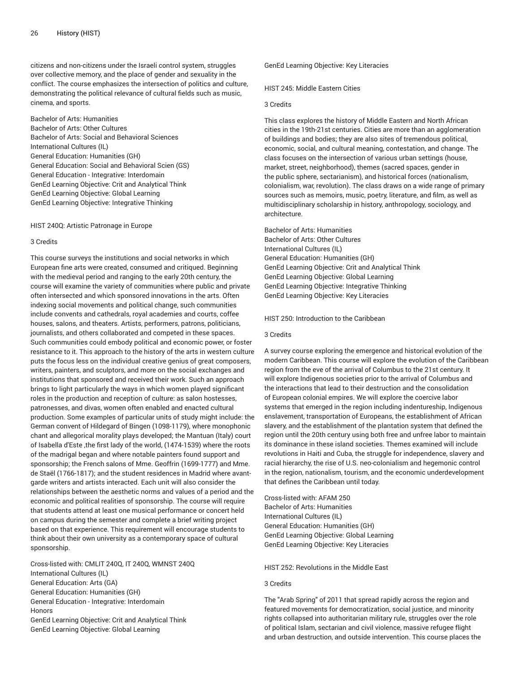citizens and non-citizens under the Israeli control system, struggles over collective memory, and the place of gender and sexuality in the conflict. The course emphasizes the intersection of politics and culture, demonstrating the political relevance of cultural fields such as music, cinema, and sports.

Bachelor of Arts: Humanities Bachelor of Arts: Other Cultures Bachelor of Arts: Social and Behavioral Sciences International Cultures (IL) General Education: Humanities (GH) General Education: Social and Behavioral Scien (GS) General Education - Integrative: Interdomain GenEd Learning Objective: Crit and Analytical Think GenEd Learning Objective: Global Learning GenEd Learning Objective: Integrative Thinking

HIST 240Q: Artistic Patronage in Europe

#### 3 Credits

This course surveys the institutions and social networks in which European fine arts were created, consumed and critiqued. Beginning with the medieval period and ranging to the early 20th century, the course will examine the variety of communities where public and private often intersected and which sponsored innovations in the arts. Often indexing social movements and political change, such communities include convents and cathedrals, royal academies and courts, coffee houses, salons, and theaters. Artists, performers, patrons, politicians, journalists, and others collaborated and competed in these spaces. Such communities could embody political and economic power, or foster resistance to it. This approach to the history of the arts in western culture puts the focus less on the individual creative genius of great composers, writers, painters, and sculptors, and more on the social exchanges and institutions that sponsored and received their work. Such an approach brings to light particularly the ways in which women played significant roles in the production and reception of culture: as salon hostesses, patronesses, and divas, women often enabled and enacted cultural production. Some examples of particular units of study might include: the German convent of Hildegard of Bingen (1098-1179), where monophonic chant and allegorical morality plays developed; the Mantuan (Italy) court of Isabella d'Este ,the first lady of the world, (1474-1539) where the roots of the madrigal began and where notable painters found support and sponsorship; the French salons of Mme. Geoffrin (1699-1777) and Mme. de Staël (1766-1817); and the student residences in Madrid where avantgarde writers and artists interacted. Each unit will also consider the relationships between the aesthetic norms and values of a period and the economic and political realities of sponsorship. The course will require that students attend at least one musical performance or concert held on campus during the semester and complete a brief writing project based on that experience. This requirement will encourage students to think about their own university as a contemporary space of cultural sponsorship.

Cross-listed with: CMLIT 240Q, IT 240Q, WMNST 240Q International Cultures (IL) General Education: Arts (GA) General Education: Humanities (GH) General Education - Integrative: Interdomain Honors GenEd Learning Objective: Crit and Analytical Think GenEd Learning Objective: Global Learning

GenEd Learning Objective: Key Literacies

HIST 245: Middle Eastern Cities

#### 3 Credits

This class explores the history of Middle Eastern and North African cities in the 19th-21st centuries. Cities are more than an agglomeration of buildings and bodies; they are also sites of tremendous political, economic, social, and cultural meaning, contestation, and change. The class focuses on the intersection of various urban settings (house, market, street, neighborhood), themes (sacred spaces, gender in the public sphere, sectarianism), and historical forces (nationalism, colonialism, war, revolution). The class draws on a wide range of primary sources such as memoirs, music, poetry, literature, and film, as well as multidisciplinary scholarship in history, anthropology, sociology, and architecture.

Bachelor of Arts: Humanities Bachelor of Arts: Other Cultures International Cultures (IL) General Education: Humanities (GH) GenEd Learning Objective: Crit and Analytical Think GenEd Learning Objective: Global Learning GenEd Learning Objective: Integrative Thinking GenEd Learning Objective: Key Literacies

HIST 250: Introduction to the Caribbean

## 3 Credits

A survey course exploring the emergence and historical evolution of the modern Caribbean. This course will explore the evolution of the Caribbean region from the eve of the arrival of Columbus to the 21st century. It will explore Indigenous societies prior to the arrival of Columbus and the interactions that lead to their destruction and the consolidation of European colonial empires. We will explore the coercive labor systems that emerged in the region including indentureship, Indigenous enslavement, transportation of Europeans, the establishment of African slavery, and the establishment of the plantation system that defined the region until the 20th century using both free and unfree labor to maintain its dominance in these island societies. Themes examined will include revolutions in Haiti and Cuba, the struggle for independence, slavery and racial hierarchy, the rise of U.S. neo-colonialism and hegemonic control in the region, nationalism, tourism, and the economic underdevelopment that defines the Caribbean until today.

Cross-listed with: AFAM 250 Bachelor of Arts: Humanities International Cultures (IL) General Education: Humanities (GH) GenEd Learning Objective: Global Learning GenEd Learning Objective: Key Literacies

HIST 252: Revolutions in the Middle East

## 3 Credits

The "Arab Spring" of 2011 that spread rapidly across the region and featured movements for democratization, social justice, and minority rights collapsed into authoritarian military rule, struggles over the role of political Islam, sectarian and civil violence, massive refugee flight and urban destruction, and outside intervention. This course places the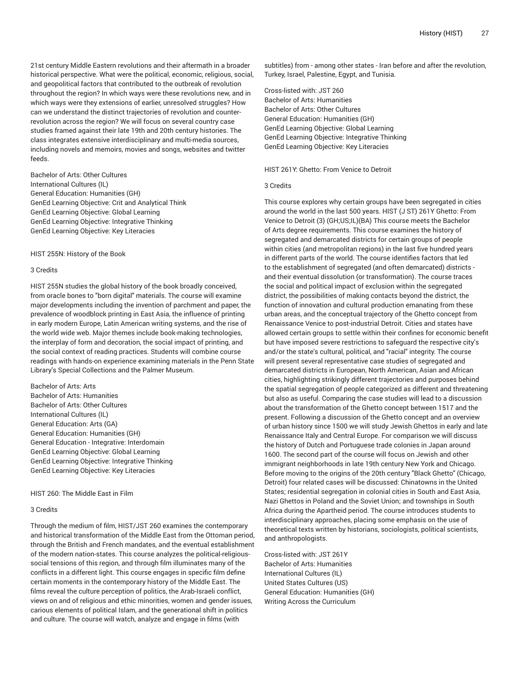21st century Middle Eastern revolutions and their aftermath in a broader historical perspective. What were the political, economic, religious, social, and geopolitical factors that contributed to the outbreak of revolution throughout the region? In which ways were these revolutions new, and in which ways were they extensions of earlier, unresolved struggles? How can we understand the distinct trajectories of revolution and counterrevolution across the region? We will focus on several country case studies framed against their late 19th and 20th century histories. The class integrates extensive interdisciplinary and multi-media sources, including novels and memoirs, movies and songs, websites and twitter feeds.

Bachelor of Arts: Other Cultures International Cultures (IL) General Education: Humanities (GH) GenEd Learning Objective: Crit and Analytical Think GenEd Learning Objective: Global Learning GenEd Learning Objective: Integrative Thinking GenEd Learning Objective: Key Literacies

HIST 255N: History of the Book

#### 3 Credits

HIST 255N studies the global history of the book broadly conceived, from oracle bones to "born digital" materials. The course will examine major developments including the invention of parchment and paper, the prevalence of woodblock printing in East Asia, the influence of printing in early modern Europe, Latin American writing systems, and the rise of the world wide web. Major themes include book-making technologies, the interplay of form and decoration, the social impact of printing, and the social context of reading practices. Students will combine course readings with hands-on experience examining materials in the Penn State Library's Special Collections and the Palmer Museum.

Bachelor of Arts: Arts Bachelor of Arts: Humanities Bachelor of Arts: Other Cultures International Cultures (IL) General Education: Arts (GA) General Education: Humanities (GH) General Education - Integrative: Interdomain GenEd Learning Objective: Global Learning GenEd Learning Objective: Integrative Thinking GenEd Learning Objective: Key Literacies

#### HIST 260: The Middle East in Film

# 3 Credits

Through the medium of film, HIST/JST 260 examines the contemporary and historical transformation of the Middle East from the Ottoman period, through the British and French mandates, and the eventual establishment of the modern nation-states. This course analyzes the political-religioussocial tensions of this region, and through film illuminates many of the conflicts in a different light. This course engages in specific film define certain moments in the contemporary history of the Middle East. The films reveal the culture perception of politics, the Arab-Israeli conflict, views on and of religious and ethic minorities, women and gender issues, carious elements of political Islam, and the generational shift in politics and culture. The course will watch, analyze and engage in films (with

subtitles) from - among other states - Iran before and after the revolution, Turkey, Israel, Palestine, Egypt, and Tunisia.

Cross-listed with: JST 260 Bachelor of Arts: Humanities Bachelor of Arts: Other Cultures General Education: Humanities (GH) GenEd Learning Objective: Global Learning GenEd Learning Objective: Integrative Thinking GenEd Learning Objective: Key Literacies

HIST 261Y: Ghetto: From Venice to Detroit

3 Credits

This course explores why certain groups have been segregated in cities around the world in the last 500 years. HIST (J ST) 261Y Ghetto: From Venice to Detroit (3) (GH;US;IL)(BA) This course meets the Bachelor of Arts degree requirements. This course examines the history of segregated and demarcated districts for certain groups of people within cities (and metropolitan regions) in the last five hundred years in different parts of the world. The course identifies factors that led to the establishment of segregated (and often demarcated) districts and their eventual dissolution (or transformation). The course traces the social and political impact of exclusion within the segregated district, the possibilities of making contacts beyond the district, the function of innovation and cultural production emanating from these urban areas, and the conceptual trajectory of the Ghetto concept from Renaissance Venice to post-industrial Detroit. Cities and states have allowed certain groups to settle within their confines for economic benefit but have imposed severe restrictions to safeguard the respective city's and/or the state's cultural, political, and "racial" integrity. The course will present several representative case studies of segregated and demarcated districts in European, North American, Asian and African cities, highlighting strikingly different trajectories and purposes behind the spatial segregation of people categorized as different and threatening but also as useful. Comparing the case studies will lead to a discussion about the transformation of the Ghetto concept between 1517 and the present. Following a discussion of the Ghetto concept and an overview of urban history since 1500 we will study Jewish Ghettos in early and late Renaissance Italy and Central Europe. For comparison we will discuss the history of Dutch and Portuguese trade colonies in Japan around 1600. The second part of the course will focus on Jewish and other immigrant neighborhoods in late 19th century New York and Chicago. Before moving to the origins of the 20th century "Black Ghetto" (Chicago, Detroit) four related cases will be discussed: Chinatowns in the United States; residential segregation in colonial cities in South and East Asia, Nazi Ghettos in Poland and the Soviet Union; and townships in South Africa during the Apartheid period. The course introduces students to interdisciplinary approaches, placing some emphasis on the use of theoretical texts written by historians, sociologists, political scientists, and anthropologists.

Cross-listed with: JST 261Y Bachelor of Arts: Humanities International Cultures (IL) United States Cultures (US) General Education: Humanities (GH) Writing Across the Curriculum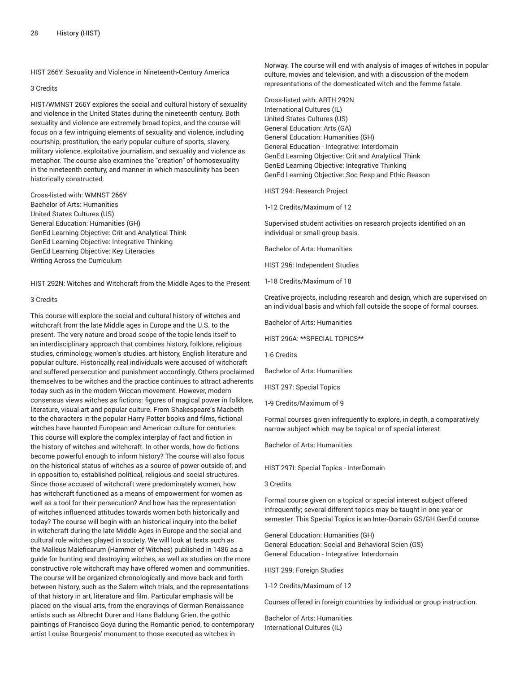HIST 266Y: Sexuality and Violence in Nineteenth-Century America

#### 3 Credits

HIST/WMNST 266Y explores the social and cultural history of sexuality and violence in the United States during the nineteenth century. Both sexuality and violence are extremely broad topics, and the course will focus on a few intriguing elements of sexuality and violence, including courtship, prostitution, the early popular culture of sports, slavery, military violence, exploitative journalism, and sexuality and violence as metaphor. The course also examines the "creation" of homosexuality in the nineteenth century, and manner in which masculinity has been historically constructed.

Cross-listed with: WMNST 266Y Bachelor of Arts: Humanities United States Cultures (US) General Education: Humanities (GH) GenEd Learning Objective: Crit and Analytical Think GenEd Learning Objective: Integrative Thinking GenEd Learning Objective: Key Literacies Writing Across the Curriculum

HIST 292N: Witches and Witchcraft from the Middle Ages to the Present

## 3 Credits

This course will explore the social and cultural history of witches and witchcraft from the late Middle ages in Europe and the U.S. to the present. The very nature and broad scope of the topic lends itself to an interdisciplinary approach that combines history, folklore, religious studies, criminology, women's studies, art history, English literature and popular culture. Historically, real individuals were accused of witchcraft and suffered persecution and punishment accordingly. Others proclaimed themselves to be witches and the practice continues to attract adherents today such as in the modern Wiccan movement. However, modern consensus views witches as fictions: figures of magical power in folklore, literature, visual art and popular culture. From Shakespeare's Macbeth to the characters in the popular Harry Potter books and films, fictional witches have haunted European and American culture for centuries. This course will explore the complex interplay of fact and fiction in the history of witches and witchcraft. In other words, how do fictions become powerful enough to inform history? The course will also focus on the historical status of witches as a source of power outside of, and in opposition to, established political, religious and social structures. Since those accused of witchcraft were predominately women, how has witchcraft functioned as a means of empowerment for women as well as a tool for their persecution? And how has the representation of witches influenced attitudes towards women both historically and today? The course will begin with an historical inquiry into the belief in witchcraft during the late Middle Ages in Europe and the social and cultural role witches played in society. We will look at texts such as the Malleus Maleficarum (Hammer of Witches) published in 1486 as a guide for hunting and destroying witches, as well as studies on the more constructive role witchcraft may have offered women and communities. The course will be organized chronologically and move back and forth between history, such as the Salem witch trials, and the representations of that history in art, literature and film. Particular emphasis will be placed on the visual arts, from the engravings of German Renaissance artists such as Albrecht Durer and Hans Baldung Grien, the gothic paintings of Francisco Goya during the Romantic period, to contemporary artist Louise Bourgeois' monument to those executed as witches in

Norway. The course will end with analysis of images of witches in popular culture, movies and television, and with a discussion of the modern representations of the domesticated witch and the femme fatale.

Cross-listed with: ARTH 292N International Cultures (IL) United States Cultures (US) General Education: Arts (GA) General Education: Humanities (GH) General Education - Integrative: Interdomain GenEd Learning Objective: Crit and Analytical Think GenEd Learning Objective: Integrative Thinking GenEd Learning Objective: Soc Resp and Ethic Reason

HIST 294: Research Project

1-12 Credits/Maximum of 12

Supervised student activities on research projects identified on an individual or small-group basis.

Bachelor of Arts: Humanities

HIST 296: Independent Studies

1-18 Credits/Maximum of 18

Creative projects, including research and design, which are supervised on an individual basis and which fall outside the scope of formal courses.

Bachelor of Arts: Humanities

HIST 296A: \*\*SPECIAL TOPICS\*\*

1-6 Credits

Bachelor of Arts: Humanities

HIST 297: Special Topics

1-9 Credits/Maximum of 9

Formal courses given infrequently to explore, in depth, a comparatively narrow subject which may be topical or of special interest.

Bachelor of Arts: Humanities

HIST 297I: Special Topics - InterDomain

#### 3 Credits

Formal course given on a topical or special interest subject offered infrequently; several different topics may be taught in one year or semester. This Special Topics is an Inter-Domain GS/GH GenEd course

General Education: Humanities (GH) General Education: Social and Behavioral Scien (GS) General Education - Integrative: Interdomain

HIST 299: Foreign Studies

1-12 Credits/Maximum of 12

Courses offered in foreign countries by individual or group instruction.

Bachelor of Arts: Humanities International Cultures (IL)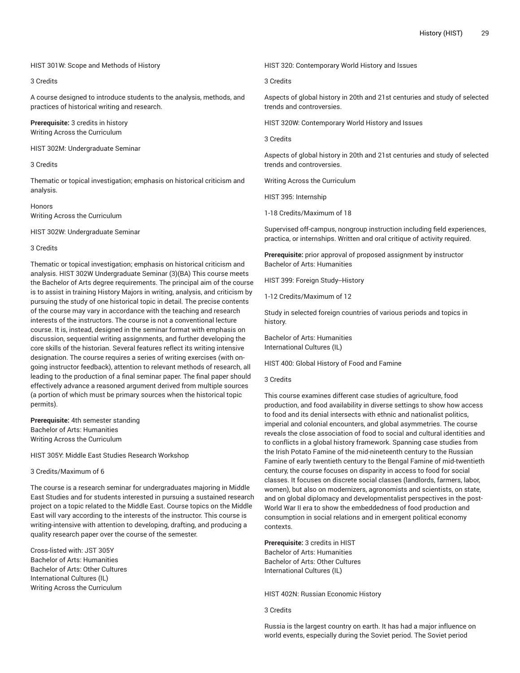## HIST 301W: Scope and Methods of History

# 3 Credits

A course designed to introduce students to the analysis, methods, and practices of historical writing and research.

**Prerequisite:** 3 credits in history Writing Across the Curriculum

HIST 302M: Undergraduate Seminar

# 3 Credits

Thematic or topical investigation; emphasis on historical criticism and analysis.

Honors Writing Across the Curriculum

HIST 302W: Undergraduate Seminar

#### 3 Credits

Thematic or topical investigation; emphasis on historical criticism and analysis. HIST 302W Undergraduate Seminar (3)(BA) This course meets the Bachelor of Arts degree requirements. The principal aim of the course is to assist in training History Majors in writing, analysis, and criticism by pursuing the study of one historical topic in detail. The precise contents of the course may vary in accordance with the teaching and research interests of the instructors. The course is not a conventional lecture course. It is, instead, designed in the seminar format with emphasis on discussion, sequential writing assignments, and further developing the core skills of the historian. Several features reflect its writing intensive designation. The course requires a series of writing exercises (with ongoing instructor feedback), attention to relevant methods of research, all leading to the production of a final seminar paper. The final paper should effectively advance a reasoned argument derived from multiple sources (a portion of which must be primary sources when the historical topic permits).

**Prerequisite:** 4th semester standing Bachelor of Arts: Humanities Writing Across the Curriculum

HIST 305Y: Middle East Studies Research Workshop

# 3 Credits/Maximum of 6

The course is a research seminar for undergraduates majoring in Middle East Studies and for students interested in pursuing a sustained research project on a topic related to the Middle East. Course topics on the Middle East will vary according to the interests of the instructor. This course is writing-intensive with attention to developing, drafting, and producing a quality research paper over the course of the semester.

Cross-listed with: JST 305Y Bachelor of Arts: Humanities Bachelor of Arts: Other Cultures International Cultures (IL) Writing Across the Curriculum

HIST 320: Contemporary World History and Issues

3 Credits

Aspects of global history in 20th and 21st centuries and study of selected trends and controversies.

HIST 320W: Contemporary World History and Issues

3 Credits

Aspects of global history in 20th and 21st centuries and study of selected trends and controversies.

Writing Across the Curriculum

HIST 395: Internship

1-18 Credits/Maximum of 18

Supervised off-campus, nongroup instruction including field experiences, practica, or internships. Written and oral critique of activity required.

**Prerequisite:** prior approval of proposed assignment by instructor Bachelor of Arts: Humanities

HIST 399: Foreign Study--History

1-12 Credits/Maximum of 12

Study in selected foreign countries of various periods and topics in history.

Bachelor of Arts: Humanities International Cultures (IL)

HIST 400: Global History of Food and Famine

## 3 Credits

This course examines different case studies of agriculture, food production, and food availability in diverse settings to show how access to food and its denial intersects with ethnic and nationalist politics, imperial and colonial encounters, and global asymmetries. The course reveals the close association of food to social and cultural identities and to conflicts in a global history framework. Spanning case studies from the Irish Potato Famine of the mid-nineteenth century to the Russian Famine of early twentieth century to the Bengal Famine of mid-twentieth century, the course focuses on disparity in access to food for social classes. It focuses on discrete social classes (landlords, farmers, labor, women), but also on modernizers, agronomists and scientists, on state, and on global diplomacy and developmentalist perspectives in the post-World War II era to show the embeddedness of food production and consumption in social relations and in emergent political economy contexts.

**Prerequisite:** 3 credits in HIST Bachelor of Arts: Humanities Bachelor of Arts: Other Cultures International Cultures (IL)

HIST 402N: Russian Economic History

#### 3 Credits

Russia is the largest country on earth. It has had a major influence on world events, especially during the Soviet period. The Soviet period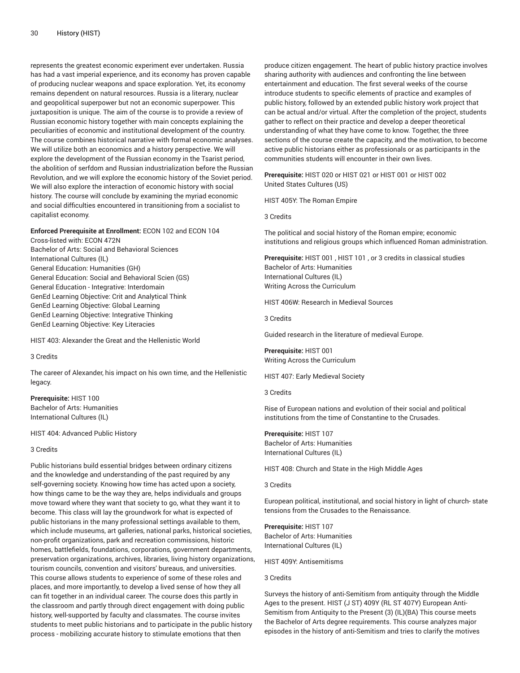represents the greatest economic experiment ever undertaken. Russia has had a vast imperial experience, and its economy has proven capable of producing nuclear weapons and space exploration. Yet, its economy remains dependent on natural resources. Russia is a literary, nuclear and geopolitical superpower but not an economic superpower. This juxtaposition is unique. The aim of the course is to provide a review of Russian economic history together with main concepts explaining the peculiarities of economic and institutional development of the country. The course combines historical narrative with formal economic analyses. We will utilize both an economics and a history perspective. We will explore the development of the Russian economy in the Tsarist period, the abolition of serfdom and Russian industrialization before the Russian Revolution, and we will explore the economic history of the Soviet period. We will also explore the interaction of economic history with social history. The course will conclude by examining the myriad economic and social difficulties encountered in transitioning from a socialist to capitalist economy.

#### **Enforced Prerequisite at Enrollment:** ECON 102 and ECON 104

Cross-listed with: ECON 472N Bachelor of Arts: Social and Behavioral Sciences International Cultures (IL) General Education: Humanities (GH) General Education: Social and Behavioral Scien (GS) General Education - Integrative: Interdomain GenEd Learning Objective: Crit and Analytical Think GenEd Learning Objective: Global Learning GenEd Learning Objective: Integrative Thinking GenEd Learning Objective: Key Literacies

HIST 403: Alexander the Great and the Hellenistic World

#### 3 Credits

The career of Alexander, his impact on his own time, and the Hellenistic legacy.

**Prerequisite:** HIST 100 Bachelor of Arts: Humanities International Cultures (IL)

# HIST 404: Advanced Public History

3 Credits

Public historians build essential bridges between ordinary citizens and the knowledge and understanding of the past required by any self-governing society. Knowing how time has acted upon a society, how things came to be the way they are, helps individuals and groups move toward where they want that society to go, what they want it to become. This class will lay the groundwork for what is expected of public historians in the many professional settings available to them, which include museums, art galleries, national parks, historical societies, non-profit organizations, park and recreation commissions, historic homes, battlefields, foundations, corporations, government departments, preservation organizations, archives, libraries, living history organizations, tourism councils, convention and visitors' bureaus, and universities. This course allows students to experience of some of these roles and places, and more importantly, to develop a lived sense of how they all can fit together in an individual career. The course does this partly in the classroom and partly through direct engagement with doing public history, well-supported by faculty and classmates. The course invites students to meet public historians and to participate in the public history process - mobilizing accurate history to stimulate emotions that then

produce citizen engagement. The heart of public history practice involves sharing authority with audiences and confronting the line between entertainment and education. The first several weeks of the course introduce students to specific elements of practice and examples of public history, followed by an extended public history work project that can be actual and/or virtual. After the completion of the project, students gather to reflect on their practice and develop a deeper theoretical understanding of what they have come to know. Together, the three sections of the course create the capacity, and the motivation, to become active public historians either as professionals or as participants in the communities students will encounter in their own lives.

**Prerequisite:** HIST 020 or HIST 021 or HIST 001 or HIST 002 United States Cultures (US)

HIST 405Y: The Roman Empire

3 Credits

The political and social history of the Roman empire; economic institutions and religious groups which influenced Roman administration.

**Prerequisite:** HIST 001 , HIST 101 , or 3 credits in classical studies Bachelor of Arts: Humanities International Cultures (IL) Writing Across the Curriculum

HIST 406W: Research in Medieval Sources

3 Credits

Guided research in the literature of medieval Europe.

**Prerequisite:** HIST 001 Writing Across the Curriculum

HIST 407: Early Medieval Society

3 Credits

Rise of European nations and evolution of their social and political institutions from the time of Constantine to the Crusades.

**Prerequisite:** HIST 107 Bachelor of Arts: Humanities International Cultures (IL)

HIST 408: Church and State in the High Middle Ages

3 Credits

European political, institutional, and social history in light of church- state tensions from the Crusades to the Renaissance.

**Prerequisite:** HIST 107 Bachelor of Arts: Humanities International Cultures (IL)

HIST 409Y: Antisemitisms

3 Credits

Surveys the history of anti-Semitism from antiquity through the Middle Ages to the present. HIST (J ST) 409Y (RL ST 407Y) European Anti-Semitism from Antiquity to the Present (3) (IL)(BA) This course meets the Bachelor of Arts degree requirements. This course analyzes major episodes in the history of anti-Semitism and tries to clarify the motives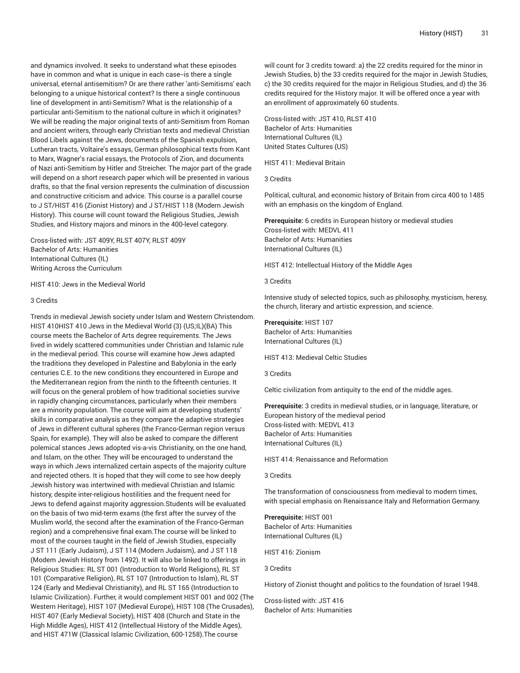and dynamics involved. It seeks to understand what these episodes have in common and what is unique in each case--is there a single universal, eternal antisemitism? Or are there rather 'anti-Semitisms' each belonging to a unique historical context? Is there a single continuous line of development in anti-Semitism? What is the relationship of a particular anti-Semitism to the national culture in which it originates? We will be reading the major original texts of anti-Semitism from Roman and ancient writers, through early Christian texts and medieval Christian Blood Libels against the Jews, documents of the Spanish expulsion, Lutheran tracts, Voltaire's essays, German philosophical texts from Kant to Marx, Wagner's racial essays, the Protocols of Zion, and documents of Nazi anti-Semitism by Hitler and Streicher. The major part of the grade will depend on a short research paper which will be presented in various drafts, so that the final version represents the culmination of discussion and constructive criticism and advice. This course is a parallel course to J ST/HIST 416 (Zionist History) and J ST/HIST 118 (Modern Jewish History). This course will count toward the Religious Studies, Jewish Studies, and History majors and minors in the 400-level category.

Cross-listed with: JST 409Y, RLST 407Y, RLST 409Y Bachelor of Arts: Humanities International Cultures (IL) Writing Across the Curriculum

#### HIST 410: Jews in the Medieval World

#### 3 Credits

Trends in medieval Jewish society under Islam and Western Christendom. HIST 410HIST 410 Jews in the Medieval World (3) (US;IL)(BA) This course meets the Bachelor of Arts degree requirements. The Jews lived in widely scattered communities under Christian and Islamic rule in the medieval period. This course will examine how Jews adapted the traditions they developed in Palestine and Babylonia in the early centuries C.E. to the new conditions they encountered in Europe and the Mediterranean region from the ninth to the fifteenth centuries. It will focus on the general problem of how traditional societies survive in rapidly changing circumstances, particularly when their members are a minority population. The course will aim at developing students' skills in comparative analysis as they compare the adaptive strategies of Jews in different cultural spheres (the Franco-German region versus Spain, for example). They will also be asked to compare the different polemical stances Jews adopted vis-a-vis Christianity, on the one hand, and Islam, on the other. They will be encouraged to understand the ways in which Jews internalized certain aspects of the majority culture and rejected others. It is hoped that they will come to see how deeply Jewish history was intertwined with medieval Christian and Islamic history, despite inter-religious hostilities and the frequent need for Jews to defend against majority aggression.Students will be evaluated on the basis of two mid-term exams (the first after the survey of the Muslim world, the second after the examination of the Franco-German region) and a comprehensive final exam.The course will be linked to most of the courses taught in the field of Jewish Studies, especially J ST 111 (Early Judaism), J ST 114 (Modern Judaism), and J ST 118 (Modem Jewish History from 1492). It will also be linked to offerings in Religious Studies: RL ST 001 (Introduction to World Religions), RL ST 101 (Comparative Religion), RL ST 107 (Introduction to Islam), RL ST 124 (Early and Medieval Christianity), and RL ST 165 (Introduction to Islamic Civilization). Further, it would complement HIST 001 and 002 (The Western Heritage), HIST 107 (Medieval Europe), HIST 108 (The Crusades), HIST 407 (Early Medieval Society), HIST 408 (Church and State in the High Middle Ages), HIST 412 (Intellectual History of the Middle Ages), and HIST 471W (Classical Islamic Civilization, 600-1258).The course

will count for 3 credits toward: a) the 22 credits required for the minor in Jewish Studies, b) the 33 credits required for the major in Jewish Studies, c) the 30 credits required for the major in Religious Studies, and d) the 36 credits required for the History major. It will be offered once a year with an enrollment of approximately 60 students.

Cross-listed with: JST 410, RLST 410 Bachelor of Arts: Humanities International Cultures (IL) United States Cultures (US)

HIST 411: Medieval Britain

3 Credits

Political, cultural, and economic history of Britain from circa 400 to 1485 with an emphasis on the kingdom of England.

**Prerequisite:** 6 credits in European history or medieval studies Cross-listed with: MEDVL 411 Bachelor of Arts: Humanities International Cultures (IL)

HIST 412: Intellectual History of the Middle Ages

3 Credits

Intensive study of selected topics, such as philosophy, mysticism, heresy, the church, literary and artistic expression, and science.

**Prerequisite:** HIST 107 Bachelor of Arts: Humanities

International Cultures (IL)

HIST 413: Medieval Celtic Studies

3 Credits

Celtic civilization from antiquity to the end of the middle ages.

**Prerequisite:** 3 credits in medieval studies, or in language, literature, or European history of the medieval period Cross-listed with: MEDVL 413 Bachelor of Arts: Humanities International Cultures (IL)

HIST 414: Renaissance and Reformation

3 Credits

The transformation of consciousness from medieval to modern times, with special emphasis on Renaissance Italy and Reformation Germany.

**Prerequisite:** HIST 001 Bachelor of Arts: Humanities International Cultures (IL)

HIST 416: Zionism

3 Credits

History of Zionist thought and politics to the foundation of Israel 1948.

Cross-listed with: JST 416 Bachelor of Arts: Humanities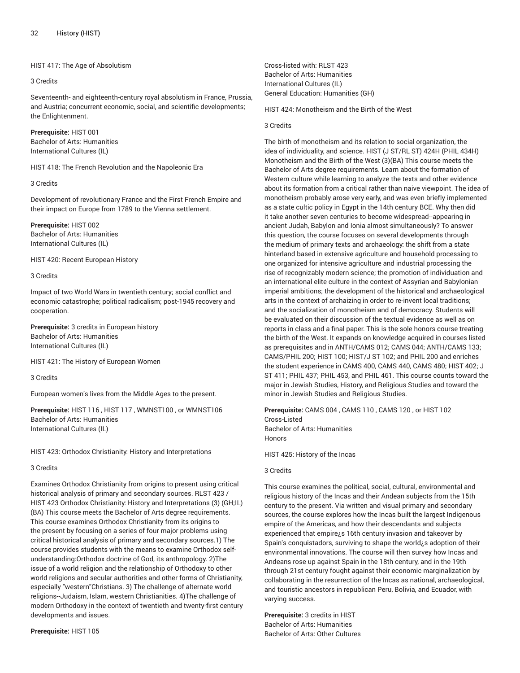# HIST 417: The Age of Absolutism

## 3 Credits

Seventeenth- and eighteenth-century royal absolutism in France, Prussia, and Austria; concurrent economic, social, and scientific developments; the Enlightenment.

**Prerequisite:** HIST 001 Bachelor of Arts: Humanities International Cultures (IL)

HIST 418: The French Revolution and the Napoleonic Era

# 3 Credits

Development of revolutionary France and the First French Empire and their impact on Europe from 1789 to the Vienna settlement.

**Prerequisite:** HIST 002 Bachelor of Arts: Humanities International Cultures (IL)

HIST 420: Recent European History

# 3 Credits

Impact of two World Wars in twentieth century; social conflict and economic catastrophe; political radicalism; post-1945 recovery and cooperation.

**Prerequisite:** 3 credits in European history Bachelor of Arts: Humanities International Cultures (IL)

HIST 421: The History of European Women

3 Credits

European women's lives from the Middle Ages to the present.

**Prerequisite:** HIST 116 , HIST 117 , WMNST100 , or WMNST106 Bachelor of Arts: Humanities International Cultures (IL)

HIST 423: Orthodox Christianity: History and Interpretations

3 Credits

Examines Orthodox Christianity from origins to present using critical historical analysis of primary and secondary sources. RLST 423 / HIST 423 Orthodox Christianity: History and Interpretations (3) (GH;IL) (BA) This course meets the Bachelor of Arts degree requirements. This course examines Orthodox Christianity from its origins to the present by focusing on a series of four major problems using critical historical analysis of primary and secondary sources.1) The course provides students with the means to examine Orthodox selfunderstanding:Orthodox doctrine of God, its anthropology. 2)The issue of a world religion and the relationship of Orthodoxy to other world religions and secular authorities and other forms of Christianity, especially "western"Christians. 3) The challenge of alternate world religions--Judaism, Islam, western Christianities. 4)The challenge of modern Orthodoxy in the context of twentieth and twenty-first century developments and issues.

**Prerequisite:** HIST 105

Cross-listed with: RLST 423 Bachelor of Arts: Humanities International Cultures (IL) General Education: Humanities (GH)

HIST 424: Monotheism and the Birth of the West

## 3 Credits

The birth of monotheism and its relation to social organization, the idea of individuality, and science. HIST (J ST/RL ST) 424H (PHIL 434H) Monotheism and the Birth of the West (3)(BA) This course meets the Bachelor of Arts degree requirements. Learn about the formation of Western culture while learning to analyze the texts and other evidence about its formation from a critical rather than naive viewpoint. The idea of monotheism probably arose very early, and was even briefly implemented as a state cultic policy in Egypt in the 14th century BCE. Why then did it take another seven centuries to become widespread--appearing in ancient Judah, Babylon and Ionia almost simultaneously? To answer this question, the course focuses on several developments through the medium of primary texts and archaeology: the shift from a state hinterland based in extensive agriculture and household processing to one organized for intensive agriculture and industrial processing the rise of recognizably modern science; the promotion of individuation and an international elite culture in the context of Assyrian and Babylonian imperial ambitions; the development of the historical and archaeological arts in the context of archaizing in order to re-invent local traditions; and the socialization of monotheism and of democracy. Students will be evaluated on their discussion of the textual evidence as well as on reports in class and a final paper. This is the sole honors course treating the birth of the West. It expands on knowledge acquired in courses listed as prerequisites and in ANTH/CAMS 012; CAMS 044; ANTH/CAMS 133; CAMS/PHIL 200; HIST 100; HIST/J ST 102; and PHIL 200 and enriches the student experience in CAMS 400, CAMS 440, CAMS 480; HIST 402; J ST 411; PHIL 437; PHIL 453, and PHIL 461. This course counts toward the major in Jewish Studies, History, and Religious Studies and toward the minor in Jewish Studies and Religious Studies.

**Prerequisite:** CAMS 004 , CAMS 110 , CAMS 120 , or HIST 102 Cross-Listed Bachelor of Arts: Humanities Honors

HIST 425: History of the Incas

# 3 Credits

This course examines the political, social, cultural, environmental and religious history of the Incas and their Andean subjects from the 15th century to the present. Via written and visual primary and secondary sources, the course explores how the Incas built the largest Indigenous empire of the Americas, and how their descendants and subjects experienced that empire¿s 16th century invasion and takeover by Spain's conquistadors, surviving to shape the world¿s adoption of their environmental innovations. The course will then survey how Incas and Andeans rose up against Spain in the 18th century, and in the 19th through 21st century fought against their economic marginalization by collaborating in the resurrection of the Incas as national, archaeological, and touristic ancestors in republican Peru, Bolivia, and Ecuador, with varying success.

**Prerequisite:** 3 credits in HIST Bachelor of Arts: Humanities Bachelor of Arts: Other Cultures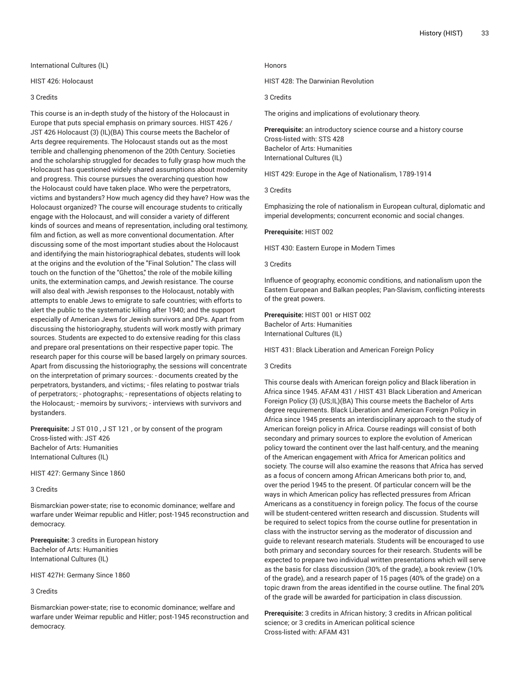International Cultures (IL)

# HIST 426: Holocaust

# 3 Credits

This course is an in-depth study of the history of the Holocaust in Europe that puts special emphasis on primary sources. HIST 426 / JST 426 Holocaust (3) (IL)(BA) This course meets the Bachelor of Arts degree requirements. The Holocaust stands out as the most terrible and challenging phenomenon of the 20th Century. Societies and the scholarship struggled for decades to fully grasp how much the Holocaust has questioned widely shared assumptions about modernity and progress. This course pursues the overarching question how the Holocaust could have taken place. Who were the perpetrators, victims and bystanders? How much agency did they have? How was the Holocaust organized? The course will encourage students to critically engage with the Holocaust, and will consider a variety of different kinds of sources and means of representation, including oral testimony, film and fiction, as well as more conventional documentation. After discussing some of the most important studies about the Holocaust and identifying the main historiographical debates, students will look at the origins and the evolution of the "Final Solution." The class will touch on the function of the "Ghettos," the role of the mobile killing units, the extermination camps, and Jewish resistance. The course will also deal with Jewish responses to the Holocaust, notably with attempts to enable Jews to emigrate to safe countries; with efforts to alert the public to the systematic killing after 1940; and the support especially of American Jews for Jewish survivors and DPs. Apart from discussing the historiography, students will work mostly with primary sources. Students are expected to do extensive reading for this class and prepare oral presentations on their respective paper topic. The research paper for this course will be based largely on primary sources. Apart from discussing the historiography, the sessions will concentrate on the interpretation of primary sources: - documents created by the perpetrators, bystanders, and victims; - files relating to postwar trials of perpetrators; - photographs; - representations of objects relating to the Holocaust; - memoirs by survivors; - interviews with survivors and bystanders.

**Prerequisite:** J ST 010 , J ST 121 , or by consent of the program Cross-listed with: JST 426 Bachelor of Arts: Humanities International Cultures (IL)

HIST 427: Germany Since 1860

3 Credits

Bismarckian power-state; rise to economic dominance; welfare and warfare under Weimar republic and Hitler; post-1945 reconstruction and democracy.

**Prerequisite:** 3 credits in European history Bachelor of Arts: Humanities International Cultures (IL)

HIST 427H: Germany Since 1860

## 3 Credits

Bismarckian power-state; rise to economic dominance; welfare and warfare under Weimar republic and Hitler; post-1945 reconstruction and democracy.

## Honors

HIST 428: The Darwinian Revolution

3 Credits

The origins and implications of evolutionary theory.

**Prerequisite:** an introductory science course and a history course Cross-listed with: STS 428 Bachelor of Arts: Humanities International Cultures (IL)

HIST 429: Europe in the Age of Nationalism, 1789-1914

3 Credits

Emphasizing the role of nationalism in European cultural, diplomatic and imperial developments; concurrent economic and social changes.

**Prerequisite:** HIST 002

HIST 430: Eastern Europe in Modern Times

3 Credits

Influence of geography, economic conditions, and nationalism upon the Eastern European and Balkan peoples; Pan-Slavism, conflicting interests of the great powers.

**Prerequisite:** HIST 001 or HIST 002 Bachelor of Arts: Humanities International Cultures (IL)

HIST 431: Black Liberation and American Foreign Policy

#### 3 Credits

This course deals with American foreign policy and Black liberation in Africa since 1945. AFAM 431 / HIST 431 Black Liberation and American Foreign Policy (3) (US;IL)(BA) This course meets the Bachelor of Arts degree requirements. Black Liberation and American Foreign Policy in Africa since 1945 presents an interdisciplinary approach to the study of American foreign policy in Africa. Course readings will consist of both secondary and primary sources to explore the evolution of American policy toward the continent over the last half-century, and the meaning of the American engagement with Africa for American politics and society. The course will also examine the reasons that Africa has served as a focus of concern among African Americans both prior to, and, over the period 1945 to the present. Of particular concern will be the ways in which American policy has reflected pressures from African Americans as a constituency in foreign policy. The focus of the course will be student-centered written research and discussion. Students will be required to select topics from the course outline for presentation in class with the instructor serving as the moderator of discussion and guide to relevant research materials. Students will be encouraged to use both primary and secondary sources for their research. Students will be expected to prepare two individual written presentations which will serve as the basis for class discussion (30% of the grade), a book review (10% of the grade), and a research paper of 15 pages (40% of the grade) on a topic drawn from the areas identified in the course outline. The final 20% of the grade will be awarded for participation in class discussion.

**Prerequisite:** 3 credits in African history; 3 credits in African political science; or 3 credits in American political science Cross-listed with: AFAM 431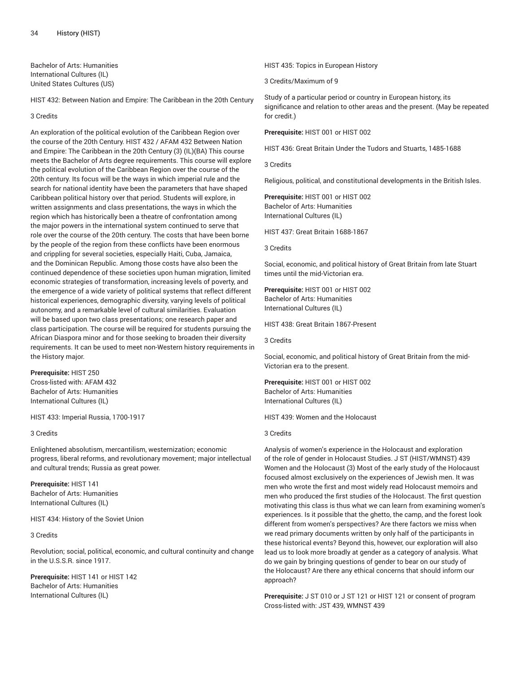Bachelor of Arts: Humanities International Cultures (IL) United States Cultures (US)

HIST 432: Between Nation and Empire: The Caribbean in the 20th Century

3 Credits

An exploration of the political evolution of the Caribbean Region over the course of the 20th Century. HIST 432 / AFAM 432 Between Nation and Empire: The Caribbean in the 20th Century (3) (IL)(BA) This course meets the Bachelor of Arts degree requirements. This course will explore the political evolution of the Caribbean Region over the course of the 20th century. Its focus will be the ways in which imperial rule and the search for national identity have been the parameters that have shaped Caribbean political history over that period. Students will explore, in written assignments and class presentations, the ways in which the region which has historically been a theatre of confrontation among the major powers in the international system continued to serve that role over the course of the 20th century. The costs that have been borne by the people of the region from these conflicts have been enormous and crippling for several societies, especially Haiti, Cuba, Jamaica, and the Dominican Republic. Among those costs have also been the continued dependence of these societies upon human migration, limited economic strategies of transformation, increasing levels of poverty, and the emergence of a wide variety of political systems that reflect different historical experiences, demographic diversity, varying levels of political autonomy, and a remarkable level of cultural similarities. Evaluation will be based upon two class presentations; one research paper and class participation. The course will be required for students pursuing the African Diaspora minor and for those seeking to broaden their diversity requirements. It can be used to meet non-Western history requirements in the History major.

**Prerequisite:** HIST 250 Cross-listed with: AFAM 432 Bachelor of Arts: Humanities International Cultures (IL)

HIST 433: Imperial Russia, 1700-1917

3 Credits

Enlightened absolutism, mercantilism, westernization; economic progress, liberal reforms, and revolutionary movement; major intellectual and cultural trends; Russia as great power.

**Prerequisite:** HIST 141 Bachelor of Arts: Humanities International Cultures (IL)

HIST 434: History of the Soviet Union

#### 3 Credits

Revolution; social, political, economic, and cultural continuity and change in the U.S.S.R. since 1917.

**Prerequisite:** HIST 141 or HIST 142 Bachelor of Arts: Humanities International Cultures (IL)

HIST 435: Topics in European History

3 Credits/Maximum of 9

Study of a particular period or country in European history, its significance and relation to other areas and the present. (May be repeated for credit.)

**Prerequisite:** HIST 001 or HIST 002

HIST 436: Great Britain Under the Tudors and Stuarts, 1485-1688

3 Credits

Religious, political, and constitutional developments in the British Isles.

**Prerequisite:** HIST 001 or HIST 002 Bachelor of Arts: Humanities International Cultures (IL)

HIST 437: Great Britain 1688-1867

3 Credits

Social, economic, and political history of Great Britain from late Stuart times until the mid-Victorian era.

**Prerequisite:** HIST 001 or HIST 002 Bachelor of Arts: Humanities International Cultures (IL)

HIST 438: Great Britain 1867-Present

3 Credits

Social, economic, and political history of Great Britain from the mid-Victorian era to the present.

**Prerequisite:** HIST 001 or HIST 002 Bachelor of Arts: Humanities International Cultures (IL)

HIST 439: Women and the Holocaust

# 3 Credits

Analysis of women's experience in the Holocaust and exploration of the role of gender in Holocaust Studies. J ST (HIST/WMNST) 439 Women and the Holocaust (3) Most of the early study of the Holocaust focused almost exclusively on the experiences of Jewish men. It was men who wrote the first and most widely read Holocaust memoirs and men who produced the first studies of the Holocaust. The first question motivating this class is thus what we can learn from examining women's experiences. Is it possible that the ghetto, the camp, and the forest look different from women's perspectives? Are there factors we miss when we read primary documents written by only half of the participants in these historical events? Beyond this, however, our exploration will also lead us to look more broadly at gender as a category of analysis. What do we gain by bringing questions of gender to bear on our study of the Holocaust? Are there any ethical concerns that should inform our approach?

**Prerequisite:** J ST 010 or J ST 121 or HIST 121 or consent of program Cross-listed with: JST 439, WMNST 439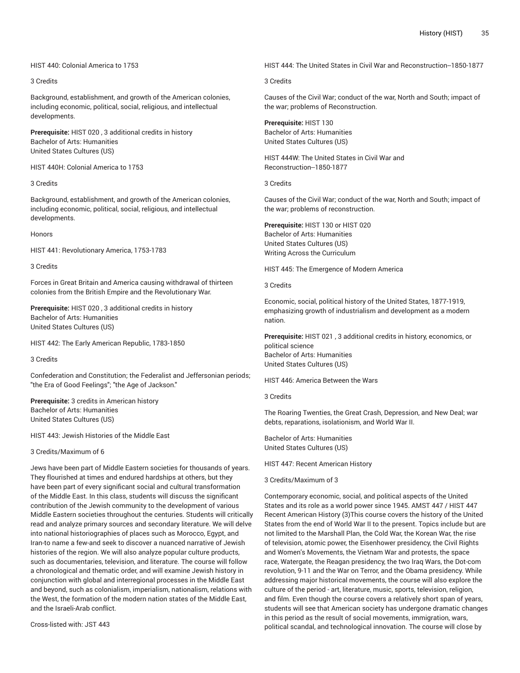# HIST 440: Colonial America to 1753

## 3 Credits

Background, establishment, and growth of the American colonies, including economic, political, social, religious, and intellectual developments.

**Prerequisite:** HIST 020 , 3 additional credits in history Bachelor of Arts: Humanities United States Cultures (US)

HIST 440H: Colonial America to 1753

## 3 Credits

Background, establishment, and growth of the American colonies, including economic, political, social, religious, and intellectual developments.

#### Honors

HIST 441: Revolutionary America, 1753-1783

## 3 Credits

Forces in Great Britain and America causing withdrawal of thirteen colonies from the British Empire and the Revolutionary War.

**Prerequisite:** HIST 020 , 3 additional credits in history Bachelor of Arts: Humanities United States Cultures (US)

HIST 442: The Early American Republic, 1783-1850

3 Credits

Confederation and Constitution; the Federalist and Jeffersonian periods; "the Era of Good Feelings"; "the Age of Jackson."

**Prerequisite:** 3 credits in American history Bachelor of Arts: Humanities United States Cultures (US)

HIST 443: Jewish Histories of the Middle East

3 Credits/Maximum of 6

Jews have been part of Middle Eastern societies for thousands of years. They flourished at times and endured hardships at others, but they have been part of every significant social and cultural transformation of the Middle East. In this class, students will discuss the significant contribution of the Jewish community to the development of various Middle Eastern societies throughout the centuries. Students will critically read and analyze primary sources and secondary literature. We will delve into national historiographies of places such as Morocco, Egypt, and Iran-to name a few-and seek to discover a nuanced narrative of Jewish histories of the region. We will also analyze popular culture products, such as documentaries, television, and literature. The course will follow a chronological and thematic order, and will examine Jewish history in conjunction with global and interregional processes in the Middle East and beyond, such as colonialism, imperialism, nationalism, relations with the West, the formation of the modern nation states of the Middle East, and the Israeli-Arab conflict.

Cross-listed with: JST 443

HIST 444: The United States in Civil War and Reconstruction--1850-1877

### 3 Credits

Causes of the Civil War; conduct of the war, North and South; impact of the war; problems of Reconstruction.

**Prerequisite:** HIST 130 Bachelor of Arts: Humanities United States Cultures (US)

HIST 444W: The United States in Civil War and Reconstruction--1850-1877

3 Credits

Causes of the Civil War; conduct of the war, North and South; impact of the war; problems of reconstruction.

**Prerequisite:** HIST 130 or HIST 020 Bachelor of Arts: Humanities United States Cultures (US) Writing Across the Curriculum

HIST 445: The Emergence of Modern America

3 Credits

Economic, social, political history of the United States, 1877-1919, emphasizing growth of industrialism and development as a modern nation.

**Prerequisite:** HIST 021 , 3 additional credits in history, economics, or political science Bachelor of Arts: Humanities United States Cultures (US)

HIST 446: America Between the Wars

3 Credits

The Roaring Twenties, the Great Crash, Depression, and New Deal; war debts, reparations, isolationism, and World War II.

Bachelor of Arts: Humanities United States Cultures (US)

HIST 447: Recent American History

3 Credits/Maximum of 3

Contemporary economic, social, and political aspects of the United States and its role as a world power since 1945. AMST 447 / HIST 447 Recent American History (3)This course covers the history of the United States from the end of World War II to the present. Topics include but are not limited to the Marshall Plan, the Cold War, the Korean War, the rise of television, atomic power, the Eisenhower presidency, the Civil Rights and Women's Movements, the Vietnam War and protests, the space race, Watergate, the Reagan presidency, the two Iraq Wars, the Dot-com revolution, 9-11 and the War on Terror, and the Obama presidency. While addressing major historical movements, the course will also explore the culture of the period - art, literature, music, sports, television, religion, and film. Even though the course covers a relatively short span of years, students will see that American society has undergone dramatic changes in this period as the result of social movements, immigration, wars, political scandal, and technological innovation. The course will close by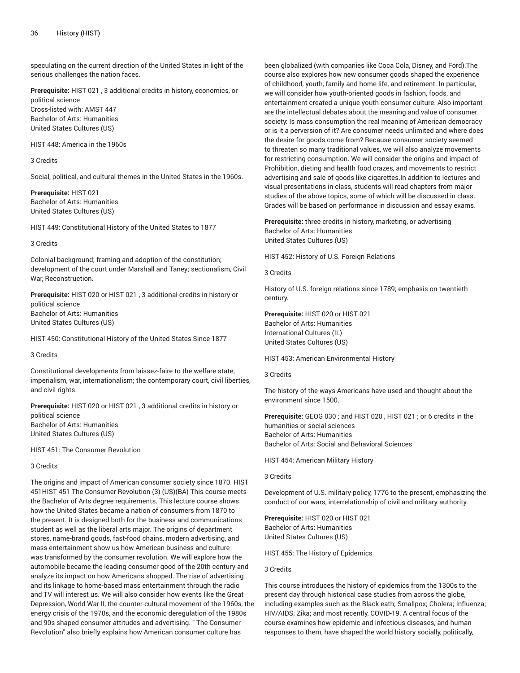speculating on the current direction of the United States in light of the serious challenges the nation faces.

**Prerequisite:** HIST 021 , 3 additional credits in history, economics, or political science Cross-listed with: AMST 447 Bachelor of Arts: Humanities United States Cultures (US)

HIST 448: America in the 1960s

#### 3 Credits

Social, political, and cultural themes in the United States in the 1960s.

**Prerequisite:** HIST 021 Bachelor of Arts: Humanities United States Cultures (US)

HIST 449: Constitutional History of the United States to 1877

# 3 Credits

Colonial background; framing and adoption of the constitution; development of the court under Marshall and Taney; sectionalism, Civil War, Reconstruction.

**Prerequisite:** HIST 020 or HIST 021 , 3 additional credits in history or political science Bachelor of Arts: Humanities United States Cultures (US)

HIST 450: Constitutional History of the United States Since 1877

3 Credits

Constitutional developments from laissez-faire to the welfare state; imperialism, war, internationalism; the contemporary court, civil liberties, and civil rights.

**Prerequisite:** HIST 020 or HIST 021 , 3 additional credits in history or political science Bachelor of Arts: Humanities United States Cultures (US)

HIST 451: The Consumer Revolution

3 Credits

The origins and impact of American consumer society since 1870. HIST 451HIST 451 The Consumer Revolution (3) (US)(BA) This course meets the Bachelor of Arts degree requirements. This lecture course shows how the United States became a nation of consumers from 1870 to the present. It is designed both for the business and communications student as well as the liberal arts major. The origins of department stores, name-brand goods, fast-food chains, modern advertising, and mass entertainment show us how American business and culture was transformed by the consumer revolution. We will explore how the automobile became the leading consumer good of the 20th century and analyze its impact on how Americans shopped. The rise of advertising and its linkage to home-based mass entertainment through the radio and TV will interest us. We will also consider how events like the Great Depression, World War II, the counter-cultural movement of the 1960s, the energy crisis of the 1970s, and the economic deregulation of the 1980s and 90s shaped consumer attitudes and advertising. " The Consumer Revolution" also briefly explains how American consumer culture has

been globalized (with companies like Coca Cola, Disney, and Ford).The course also explores how new consumer goods shaped the experience of childhood, youth, family and home life, and retirement. In particular, we will consider how youth-oriented goods in fashion, foods, and entertainment created a unique youth consumer culture. Also important are the intellectual debates about the meaning and value of consumer society: Is mass consumption the real meaning of American democracy or is it a perversion of it? Are consumer needs unlimited and where does the desire for goods come from? Because consumer society seemed to threaten so many traditional values, we will also analyze movements for restricting consumption. We will consider the origins and impact of Prohibition, dieting and health food crazes, and movements to restrict advertising and sale of goods like cigarettes.In addition to lectures and visual presentations in class, students will read chapters from major studies of the above topics, some of which will be discussed in class. Grades will be based on performance in discussion and essay exams.

**Prerequisite:** three credits in history, marketing, or advertising Bachelor of Arts: Humanities United States Cultures (US)

HIST 452: History of U.S. Foreign Relations

3 Credits

History of U.S. foreign relations since 1789; emphasis on twentieth century.

**Prerequisite:** HIST 020 or HIST 021 Bachelor of Arts: Humanities International Cultures (IL) United States Cultures (US)

HIST 453: American Environmental History

3 Credits

The history of the ways Americans have used and thought about the environment since 1500.

**Prerequisite:** GEOG 030 ; and HIST 020 , HIST 021 ; or 6 credits in the humanities or social sciences Bachelor of Arts: Humanities Bachelor of Arts: Social and Behavioral Sciences

HIST 454: American Military History

3 Credits

Development of U.S. military policy, 1776 to the present, emphasizing the conduct of our wars, interrelationship of civil and military authority.

**Prerequisite:** HIST 020 or HIST 021 Bachelor of Arts: Humanities United States Cultures (US)

HIST 455: The History of Epidemics

## 3 Credits

This course introduces the history of epidemics from the 1300s to the present day through historical case studies from across the globe, including examples such as the Black eath; Smallpox; Cholera; Influenza; HIV/AIDS; Zika; and most recently, COVID-19. A central focus of the course examines how epidemic and infectious diseases, and human responses to them, have shaped the world history socially, politically,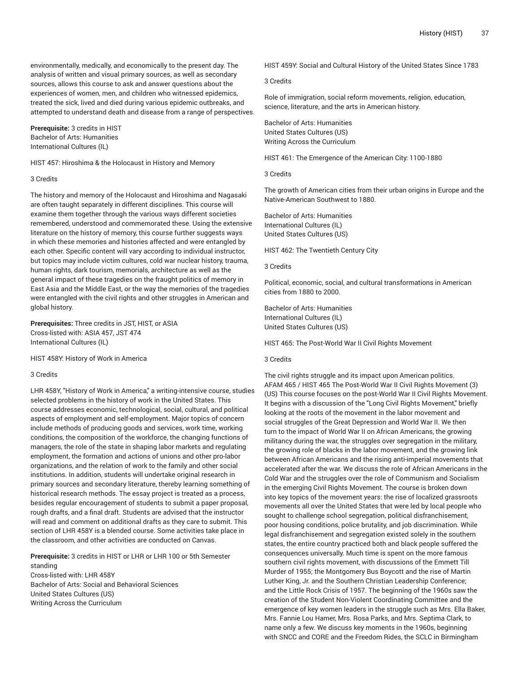environmentally, medically, and economically to the present day. The analysis of written and visual primary sources, as well as secondary sources, allows this course to ask and answer questions about the experiences of women, men, and children who witnessed epidemics, treated the sick, lived and died during various epidemic outbreaks, and attempted to understand death and disease from a range of perspectives.

**Prerequisite:** 3 credits in HIST Bachelor of Arts: Humanities International Cultures (IL)

HIST 457: Hiroshima & the Holocaust in History and Memory

#### 3 Credits

The history and memory of the Holocaust and Hiroshima and Nagasaki are often taught separately in different disciplines. This course will examine them together through the various ways different societies remembered, understood and commemorated these. Using the extensive literature on the history of memory, this course further suggests ways in which these memories and histories affected and were entangled by each other. Specific content will vary according to individual instructor, but topics may include victim cultures, cold war nuclear history, trauma, human rights, dark tourism, memorials, architecture as well as the general impact of these tragedies on the fraught politics of memory in East Asia and the Middle East, or the way the memories of the tragedies were entangled with the civil rights and other struggles in American and global history.

**Prerequisites:** Three credits in JST, HIST, or ASIA Cross-listed with: ASIA 457, JST 474 International Cultures (IL)

HIST 458Y: History of Work in America

#### 3 Credits

LHR 458Y, "History of Work in America," a writing-intensive course, studies selected problems in the history of work in the United States. This course addresses economic, technological, social, cultural, and political aspects of employment and self-employment. Major topics of concern include methods of producing goods and services, work time, working conditions, the composition of the workforce, the changing functions of managers, the role of the state in shaping labor markets and regulating employment, the formation and actions of unions and other pro-labor organizations, and the relation of work to the family and other social institutions. In addition, students will undertake original research in primary sources and secondary literature, thereby learning something of historical research methods. The essay project is treated as a process, besides regular encouragement of students to submit a paper proposal, rough drafts, and a final draft. Students are advised that the instructor will read and comment on additional drafts as they care to submit. This section of LHR 458Y is a blended course. Some activities take place in the classroom, and other activities are conducted on Canvas.

**Prerequisite:** 3 credits in HIST or LHR or LHR 100 or 5th Semester standing

Cross-listed with: LHR 458Y Bachelor of Arts: Social and Behavioral Sciences United States Cultures (US) Writing Across the Curriculum

HIST 459Y: Social and Cultural History of the United States Since 1783

3 Credits

Role of immigration, social reform movements, religion, education, science, literature, and the arts in American history.

Bachelor of Arts: Humanities United States Cultures (US) Writing Across the Curriculum

HIST 461: The Emergence of the American City: 1100-1880

3 Credits

The growth of American cities from their urban origins in Europe and the Native-American Southwest to 1880.

Bachelor of Arts: Humanities International Cultures (IL) United States Cultures (US)

HIST 462: The Twentieth Century City

3 Credits

Political, economic, social, and cultural transformations in American cities from 1880 to 2000.

Bachelor of Arts: Humanities International Cultures (IL) United States Cultures (US)

HIST 465: The Post-World War II Civil Rights Movement

## 3 Credits

The civil rights struggle and its impact upon American politics. AFAM 465 / HIST 465 The Post-World War II Civil Rights Movement (3) (US) This course focuses on the post-World War II Civil Rights Movement. It begins with a discussion of the "Long Civil Rights Movement," briefly looking at the roots of the movement in the labor movement and social struggles of the Great Depression and World War II. We then turn to the impact of World War II on African Americans, the growing militancy during the war, the struggles over segregation in the military, the growing role of blacks in the labor movement, and the growing link between African Americans and the rising anti-imperial movements that accelerated after the war. We discuss the role of African Americans in the Cold War and the struggles over the role of Communism and Socialism in the emerging Civil Rights Movement. The course is broken down into key topics of the movement years: the rise of localized grassroots movements all over the United States that were led by local people who sought to challenge school segregation, political disfranchisement, poor housing conditions, police brutality, and job discrimination. While legal disfranchisement and segregation existed solely in the southern states, the entire country practiced both and black people suffered the consequences universally. Much time is spent on the more famous southern civil rights movement, with discussions of the Emmett Till Murder of 1955; the Montgomery Bus Boycott and the rise of Martin Luther King, Jr. and the Southern Christian Leadership Conference; and the Little Rock Crisis of 1957. The beginning of the 1960s saw the creation of the Student Non-Violent Coordinating Committee and the emergence of key women leaders in the struggle such as Mrs. Ella Baker, Mrs. Fannie Lou Hamer, Mrs. Rosa Parks, and Mrs. Septima Clark, to name only a few. We discuss key moments in the 1960s, beginning with SNCC and CORE and the Freedom Rides, the SCLC in Birmingham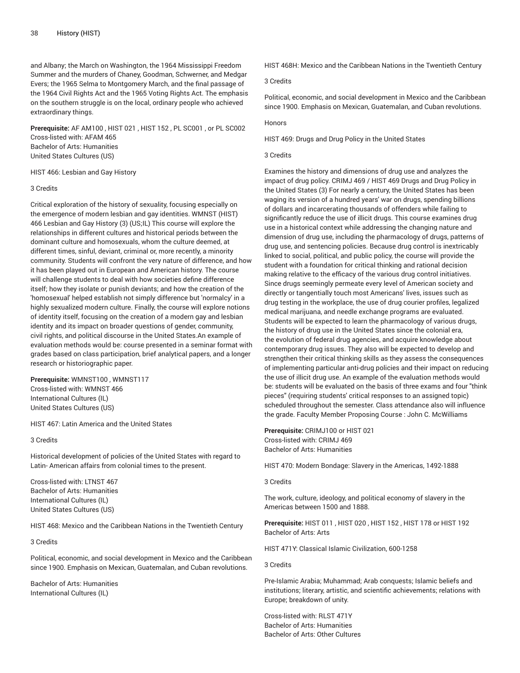and Albany; the March on Washington, the 1964 Mississippi Freedom Summer and the murders of Chaney, Goodman, Schwerner, and Medgar Evers; the 1965 Selma to Montgomery March, and the final passage of the 1964 Civil Rights Act and the 1965 Voting Rights Act. The emphasis on the southern struggle is on the local, ordinary people who achieved extraordinary things.

**Prerequisite:** AF AM100 , HIST 021 , HIST 152 , PL SC001 , or PL SC002 Cross-listed with: AFAM 465 Bachelor of Arts: Humanities United States Cultures (US)

HIST 466: Lesbian and Gay History

#### 3 Credits

Critical exploration of the history of sexuality, focusing especially on the emergence of modern lesbian and gay identities. WMNST (HIST) 466 Lesbian and Gay History (3) (US;IL) This course will explore the relationships in different cultures and historical periods between the dominant culture and homosexuals, whom the culture deemed, at different times, sinful, deviant, criminal or, more recently, a minority community. Students will confront the very nature of difference, and how it has been played out in European and American history. The course will challenge students to deal with how societies define difference itself; how they isolate or punish deviants; and how the creation of the 'homosexual' helped establish not simply difference but 'normalcy' in a highly sexualized modern culture. Finally, the course will explore notions of identity itself, focusing on the creation of a modern gay and lesbian identity and its impact on broader questions of gender, community, civil rights, and political discourse in the United States.An example of evaluation methods would be: course presented in a seminar format with grades based on class participation, brief analytical papers, and a longer research or historiographic paper.

**Prerequisite:** WMNST100 , WMNST117 Cross-listed with: WMNST 466 International Cultures (IL) United States Cultures (US)

HIST 467: Latin America and the United States

3 Credits

Historical development of policies of the United States with regard to Latin- American affairs from colonial times to the present.

Cross-listed with: LTNST 467 Bachelor of Arts: Humanities International Cultures (IL) United States Cultures (US)

HIST 468: Mexico and the Caribbean Nations in the Twentieth Century

3 Credits

Political, economic, and social development in Mexico and the Caribbean since 1900. Emphasis on Mexican, Guatemalan, and Cuban revolutions.

Bachelor of Arts: Humanities International Cultures (IL)

HIST 468H: Mexico and the Caribbean Nations in the Twentieth Century

## 3 Credits

Political, economic, and social development in Mexico and the Caribbean since 1900. Emphasis on Mexican, Guatemalan, and Cuban revolutions.

#### Honors

HIST 469: Drugs and Drug Policy in the United States

#### 3 Credits

Examines the history and dimensions of drug use and analyzes the impact of drug policy. CRIMJ 469 / HIST 469 Drugs and Drug Policy in the United States (3) For nearly a century, the United States has been waging its version of a hundred years' war on drugs, spending billions of dollars and incarcerating thousands of offenders while failing to significantly reduce the use of illicit drugs. This course examines drug use in a historical context while addressing the changing nature and dimension of drug use, including the pharmacology of drugs, patterns of drug use, and sentencing policies. Because drug control is inextricably linked to social, political, and public policy, the course will provide the student with a foundation for critical thinking and rational decision making relative to the efficacy of the various drug control initiatives. Since drugs seemingly permeate every level of American society and directly or tangentially touch most Americans' lives, issues such as drug testing in the workplace, the use of drug courier profiles, legalized medical marijuana, and needle exchange programs are evaluated. Students will be expected to learn the pharmacology of various drugs, the history of drug use in the United States since the colonial era, the evolution of federal drug agencies, and acquire knowledge about contemporary drug issues. They also will be expected to develop and strengthen their critical thinking skills as they assess the consequences of implementing particular anti-drug policies and their impact on reducing the use of illicit drug use. An example of the evaluation methods would be: students will be evaluated on the basis of three exams and four "think pieces" (requiring students' critical responses to an assigned topic) scheduled throughout the semester. Class attendance also will influence the grade. Faculty Member Proposing Course : John C. McWilliams

**Prerequisite:** CRIMJ100 or HIST 021 Cross-listed with: CRIMJ 469 Bachelor of Arts: Humanities

HIST 470: Modern Bondage: Slavery in the Americas, 1492-1888

3 Credits

The work, culture, ideology, and political economy of slavery in the Americas between 1500 and 1888.

**Prerequisite:** HIST 011 , HIST 020 , HIST 152 , HIST 178 or HIST 192 Bachelor of Arts: Arts

HIST 471Y: Classical Islamic Civilization, 600-1258

3 Credits

Pre-Islamic Arabia; Muhammad; Arab conquests; Islamic beliefs and institutions; literary, artistic, and scientific achievements; relations with Europe; breakdown of unity.

Cross-listed with: RLST 471Y Bachelor of Arts: Humanities Bachelor of Arts: Other Cultures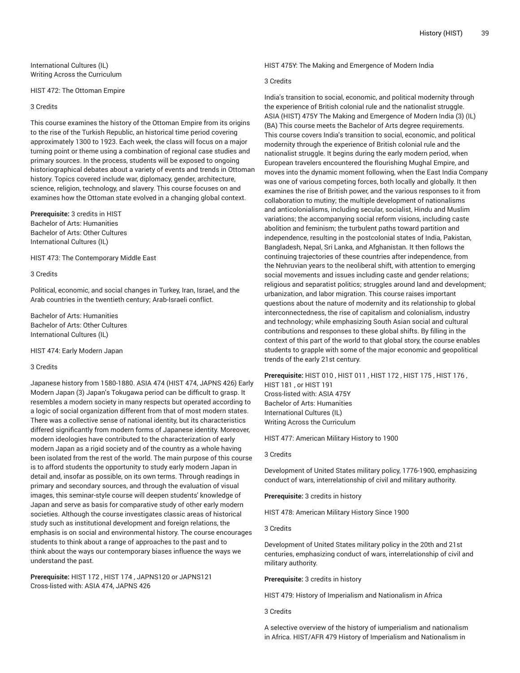International Cultures (IL) Writing Across the Curriculum

HIST 472: The Ottoman Empire

#### 3 Credits

This course examines the history of the Ottoman Empire from its origins to the rise of the Turkish Republic, an historical time period covering approximately 1300 to 1923. Each week, the class will focus on a major turning point or theme using a combination of regional case studies and primary sources. In the process, students will be exposed to ongoing historiographical debates about a variety of events and trends in Ottoman history. Topics covered include war, diplomacy, gender, architecture, science, religion, technology, and slavery. This course focuses on and examines how the Ottoman state evolved in a changing global context.

**Prerequisite:** 3 credits in HIST Bachelor of Arts: Humanities Bachelor of Arts: Other Cultures International Cultures (IL)

HIST 473: The Contemporary Middle East

#### 3 Credits

Political, economic, and social changes in Turkey, Iran, Israel, and the Arab countries in the twentieth century; Arab-Israeli conflict.

Bachelor of Arts: Humanities Bachelor of Arts: Other Cultures International Cultures (IL)

HIST 474: Early Modern Japan

## 3 Credits

Japanese history from 1580-1880. ASIA 474 (HIST 474, JAPNS 426) Early Modern Japan (3) Japan's Tokugawa period can be difficult to grasp. It resembles a modern society in many respects but operated according to a logic of social organization different from that of most modern states. There was a collective sense of national identity, but its characteristics differed significantly from modern forms of Japanese identity. Moreover, modern ideologies have contributed to the characterization of early modern Japan as a rigid society and of the country as a whole having been isolated from the rest of the world. The main purpose of this course is to afford students the opportunity to study early modern Japan in detail and, insofar as possible, on its own terms. Through readings in primary and secondary sources, and through the evaluation of visual images, this seminar-style course will deepen students' knowledge of Japan and serve as basis for comparative study of other early modern societies. Although the course investigates classic areas of historical study such as institutional development and foreign relations, the emphasis is on social and environmental history. The course encourages students to think about a range of approaches to the past and to think about the ways our contemporary biases influence the ways we understand the past.

**Prerequisite:** HIST 172 , HIST 174 , JAPNS120 or JAPNS121 Cross-listed with: ASIA 474, JAPNS 426

HIST 475Y: The Making and Emergence of Modern India

# 3 Credits

India's transition to social, economic, and political modernity through the experience of British colonial rule and the nationalist struggle. ASIA (HIST) 475Y The Making and Emergence of Modern India (3) (IL) (BA) This course meets the Bachelor of Arts degree requirements. This course covers India's transition to social, economic, and political modernity through the experience of British colonial rule and the nationalist struggle. It begins during the early modern period, when European travelers encountered the flourishing Mughal Empire, and moves into the dynamic moment following, when the East India Company was one of various competing forces, both locally and globally. It then examines the rise of British power, and the various responses to it from collaboration to mutiny; the multiple development of nationalisms and anticolonialisms, including secular, socialist, Hindu and Muslim variations; the accompanying social reform visions, including caste abolition and feminism; the turbulent paths toward partition and independence, resulting in the postcolonial states of India, Pakistan, Bangladesh, Nepal, Sri Lanka, and Afghanistan. It then follows the continuing trajectories of these countries after independence, from the Nehruvian years to the neoliberal shift, with attention to emerging social movements and issues including caste and gender relations; religious and separatist politics; struggles around land and development; urbanization, and labor migration. This course raises important questions about the nature of modernity and its relationship to global interconnectedness, the rise of capitalism and colonialism, industry and technology; while emphasizing South Asian social and cultural contributions and responses to these global shifts. By filling in the context of this part of the world to that global story, the course enables students to grapple with some of the major economic and geopolitical trends of the early 21st century.

**Prerequisite:** HIST 010 , HIST 011 , HIST 172 , HIST 175 , HIST 176 , HIST 181 , or HIST 191 Cross-listed with: ASIA 475Y Bachelor of Arts: Humanities International Cultures (IL) Writing Across the Curriculum

HIST 477: American Military History to 1900

#### 3 Credits

Development of United States military policy, 1776-1900, emphasizing conduct of wars, interrelationship of civil and military authority.

**Prerequisite:** 3 credits in history

HIST 478: American Military History Since 1900

## 3 Credits

Development of United States military policy in the 20th and 21st centuries, emphasizing conduct of wars, interrelationship of civil and military authority.

**Prerequisite:** 3 credits in history

HIST 479: History of Imperialism and Nationalism in Africa

3 Credits

A selective overview of the history of iumperialism and nationalism in Africa. HIST/AFR 479 History of Imperialism and Nationalism in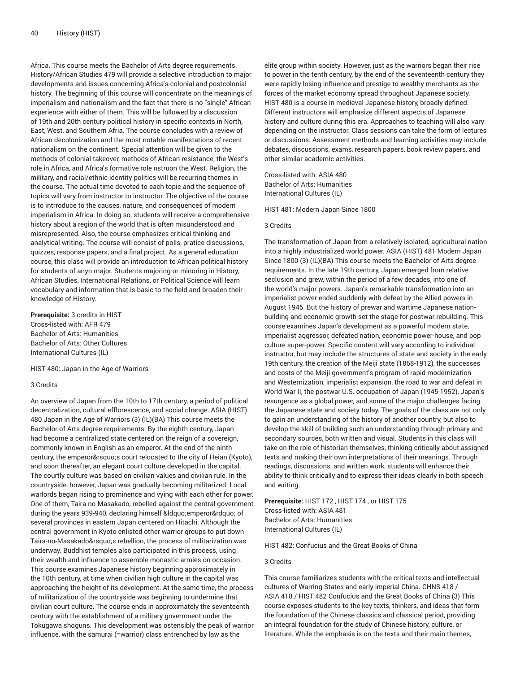Africa. This course meets the Bachelor of Arts degree requirements. History/African Studies 479 will provide a selective introduction to major developments and issues concerning Africa's colonial and postcolonial history. The beginning of this course will concentrate on the meanings of imperialism and nationalism and the fact that there is no "single" African experience with either of them. This will be followed by a discussion of 19th and 20th century political history in specific contexts in North, East, West, and Southern Afria. The course concludes with a review of African decolonization and the most notable manifestations of recent nationalism on the continent. Special attention will be given to the methods of colonial takeover, methods of African resistance, the West's role in Africa, and Africa's formative role nstruon the West. Religion, the military, and racial/ethnic identity politics will be recurring themes in the course. The actual time devoted to each topic and the sequence of topics will vary from instructor to instructor. The objective of the course is to intrroduce to the causes, nature, and consequences of modern imperialism in Africa. In doing so, students will receive a comprehensive history about a region of the world that is often misunderstood and misrepresented. Also, the course emphasizes critical thinking and analytical writing. The course will consist of polls, pratice discussions, quizzes, response papers, and a final project. As a general education course, this class will provide an introduction to African political history for students of anyn major. Students majoring or minoring in History, African Studies, International Relations, or Political Science will learn vocabulary and information that is basic to the field and broaden their knowledge of History.

**Prerequisite:** 3 credits in HIST Cross-listed with: AFR 479 Bachelor of Arts: Humanities Bachelor of Arts: Other Cultures International Cultures (IL)

HIST 480: Japan in the Age of Warriors

## 3 Credits

An overview of Japan from the 10th to 17th century, a period of political decentralization, cultural efflorescence, and social change. ASIA (HIST) 480 Japan in the Age of Warriors (3) (IL)(BA) This course meets the Bachelor of Arts degree requirements. By the eighth century, Japan had become a centralized state centered on the reign of a sovereign, commonly known in English as an emperor. At the end of the ninth century, the emperor's court relocated to the city of Heian (Kyoto), and soon thereafter, an elegant court culture developed in the capital. The courtly culture was based on civilian values and civilian rule. In the countryside, however, Japan was gradually becoming militarized. Local warlords began rising to prominence and vying with each other for power. One of them, Taira-no-Masakado, rebelled against the central government during the years 939-940, declaring himself " emperor" of several provinces in eastern Japan centered on Hitachi. Although the central government in Kyoto enlisted other warrior groups to put down Taira-no-Masakado's rebellion, the process of militarization was underway. Buddhist temples also participated in this process, using their wealth and influence to assemble monastic armies on occasion. This course examines Japanese history beginning approximately in the 10th century, at time when civilian high culture in the capital was approaching the height of its development. At the same time, the process of militarization of the countryside was beginning to undermine that civilian court culture. The course ends in approximately the seventeenth century with the establishment of a military government under the Tokugawa shoguns. This development was ostensibly the peak of warrior influence, with the samurai (=warrior) class entrenched by law as the

elite group within society. However, just as the warriors began their rise to power in the tenth century, by the end of the seventeenth century they were rapidly losing influence and prestige to wealthy merchants as the forces of the market economy spread throughout Japanese society. HIST 480 is a course in medieval Japanese history, broadly defined. Different instructors will emphasize different aspects of Japanese history and culture during this era. Approaches to teaching will also vary depending on the instructor. Class sessions can take the form of lectures or discussions. Assessment methods and learning activities may include debates, discussions, exams, research papers, book review papers, and other similar academic activities.

Cross-listed with: ASIA 480 Bachelor of Arts: Humanities International Cultures (IL)

HIST 481: Modern Japan Since 1800

#### 3 Credits

The transformation of Japan from a relatively isolated, agricultural nation into a highly industrialized world power. ASIA (HIST) 481 Modern Japan Since 1800 (3) (IL)(BA) This course meets the Bachelor of Arts degree requirements. In the late 19th century, Japan emerged from relative seclusion and grew, within the period of a few decades, into one of the world's major powers. Japan's remarkable transformation into an imperialist power ended suddenly with defeat by the Allied powers in August 1945. But the history of prewar and wartime Japanese nationbuilding and economic growth set the stage for postwar rebuilding. This course examines Japan's development as a powerful modern state, imperialist aggressor, defeated nation, economic power-house, and pop culture super-power. Specific content will vary according to individual instructor, but may include the structures of state and society in the early 19th century, the creation of the Meiji state (1868-1912), the successes and costs of the Meiji government's program of rapid modernization and Westernization, imperialist expansion, the road to war and defeat in World War II, the postwar U.S. occupation of Japan (1945-1952), Japan's resurgence as a global power, and some of the major challenges facing the Japanese state and society today. The goals of the class are not only to gain an understanding of the history of another country, but also to develop the skill of building such an understanding through primary and secondary sources, both written and visual. Students in this class will take on the role of historian themselves, thinking critically about assigned texts and making their own interpretations of their meanings. Through readings, discussions, and written work, students will enhance their ability to think critically and to express their ideas clearly in both speech and writing.

**Prerequisite:** HIST 172 , HIST 174 , or HIST 175 Cross-listed with: ASIA 481 Bachelor of Arts: Humanities International Cultures (IL)

HIST 482: Confucius and the Great Books of China

# 3 Credits

This course familiarizes students with the critical texts and intellectual cultures of Warring States and early imperial China. CHNS 418 / ASIA 418 / HIST 482 Confucius and the Great Books of China (3) This course exposes students to the key texts, thinkers, and ideas that form the foundation of the Chinese classics and classical period, providing an integral foundation for the study of Chinese history, culture, or literature. While the emphasis is on the texts and their main themes,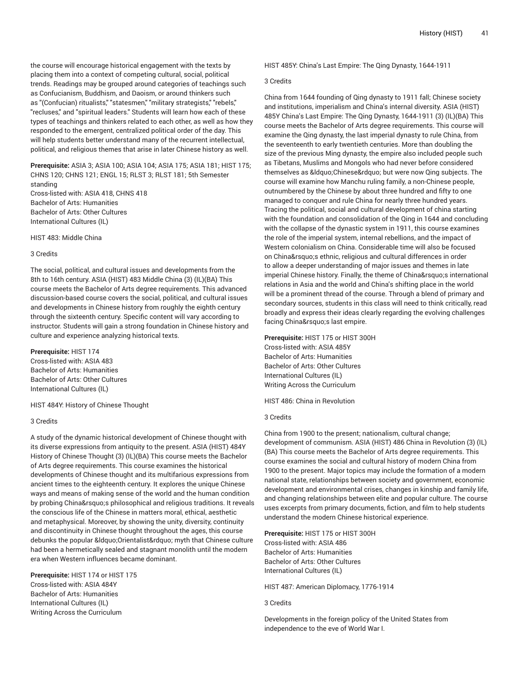the course will encourage historical engagement with the texts by placing them into a context of competing cultural, social, political trends. Readings may be grouped around categories of teachings such as Confucianism, Buddhism, and Daoism, or around thinkers such as "(Confucian) ritualists," "statesmen," "military strategists," "rebels," "recluses," and "spiritual leaders." Students will learn how each of these types of teachings and thinkers related to each other, as well as how they responded to the emergent, centralized political order of the day. This will help students better understand many of the recurrent intellectual, political, and religious themes that arise in later Chinese history as well.

**Prerequisite:** ASIA 3; ASIA 100; ASIA 104; ASIA 175; ASIA 181; HIST 175; CHNS 120; CHNS 121; ENGL 15; RLST 3; RLST 181; 5th Semester standing Cross-listed with: ASIA 418, CHNS 418 Bachelor of Arts: Humanities Bachelor of Arts: Other Cultures International Cultures (IL)

HIST 483: Middle China

#### 3 Credits

The social, political, and cultural issues and developments from the 8th to 16th century. ASIA (HIST) 483 Middle China (3) (IL)(BA) This course meets the Bachelor of Arts degree requirements. This advanced discussion-based course covers the social, political, and cultural issues and developments in Chinese history from roughly the eighth century through the sixteenth century. Specific content will vary according to instructor. Students will gain a strong foundation in Chinese history and culture and experience analyzing historical texts.

**Prerequisite:** HIST 174 Cross-listed with: ASIA 483 Bachelor of Arts: Humanities Bachelor of Arts: Other Cultures International Cultures (IL)

HIST 484Y: History of Chinese Thought

#### 3 Credits

A study of the dynamic historical development of Chinese thought with its diverse expressions from antiquity to the present. ASIA (HIST) 484Y History of Chinese Thought (3) (IL)(BA) This course meets the Bachelor of Arts degree requirements. This course examines the historical developments of Chinese thought and its multifarious expressions from ancient times to the eighteenth century. It explores the unique Chinese ways and means of making sense of the world and the human condition by probing China' sphilosophical and religious traditions. It reveals the conscious life of the Chinese in matters moral, ethical, aesthetic and metaphysical. Moreover, by showing the unity, diversity, continuity and discontinuity in Chinese thought throughout the ages, this course debunks the popular &Idquo; Orientalist" myth that Chinese culture had been a hermetically sealed and stagnant monolith until the modern era when Western influences became dominant.

**Prerequisite:** HIST 174 or HIST 175 Cross-listed with: ASIA 484Y Bachelor of Arts: Humanities International Cultures (IL) Writing Across the Curriculum

HIST 485Y: China's Last Empire: The Qing Dynasty, 1644-1911

## 3 Credits

China from 1644 founding of Qing dynasty to 1911 fall; Chinese society and institutions, imperialism and China's internal diversity. ASIA (HIST) 485Y China's Last Empire: The Qing Dynasty, 1644-1911 (3) (IL)(BA) This course meets the Bachelor of Arts degree requirements. This course will examine the Qing dynasty, the last imperial dynasty to rule China, from the seventeenth to early twentieth centuries. More than doubling the size of the previous Ming dynasty, the empire also included people such as Tibetans, Muslims and Mongols who had never before considered themselves as " Chinese" but were now Qing subjects. The course will examine how Manchu ruling family, a non-Chinese people, outnumbered by the Chinese by about three hundred and fifty to one managed to conquer and rule China for nearly three hundred years. Tracing the political, social and cultural development of china starting with the foundation and consolidation of the Qing in 1644 and concluding with the collapse of the dynastic system in 1911, this course examines the role of the imperial system, internal rebellions, and the impact of Western colonialism on China. Considerable time will also be focused on China's ethnic, religious and cultural differences in order to allow a deeper understanding of major issues and themes in late imperial Chinese history. Finally, the theme of China's international relations in Asia and the world and China's shifting place in the world will be a prominent thread of the course. Through a blend of primary and secondary sources, students in this class will need to think critically, read broadly and express their ideas clearly regarding the evolving challenges facing China's last empire.

**Prerequisite:** HIST 175 or HIST 300H Cross-listed with: ASIA 485Y Bachelor of Arts: Humanities Bachelor of Arts: Other Cultures International Cultures (IL) Writing Across the Curriculum

HIST 486: China in Revolution

#### 3 Credits

China from 1900 to the present; nationalism, cultural change; development of communism. ASIA (HIST) 486 China in Revolution (3) (IL) (BA) This course meets the Bachelor of Arts degree requirements. This course examines the social and cultural history of modern China from 1900 to the present. Major topics may include the formation of a modern national state, relationships between society and government, economic development and environmental crises, changes in kinship and family life, and changing relationships between elite and popular culture. The course uses excerpts from primary documents, fiction, and film to help students understand the modern Chinese historical experience.

**Prerequisite:** HIST 175 or HIST 300H Cross-listed with: ASIA 486 Bachelor of Arts: Humanities Bachelor of Arts: Other Cultures International Cultures (IL)

HIST 487: American Diplomacy, 1776-1914

3 Credits

Developments in the foreign policy of the United States from independence to the eve of World War I.